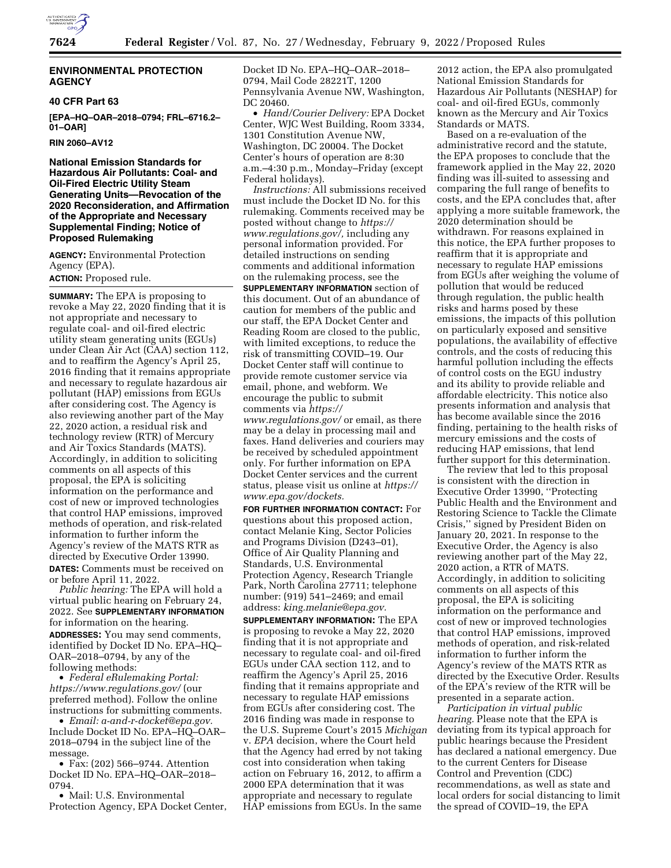

### **ENVIRONMENTAL PROTECTION AGENCY**

### **40 CFR Part 63**

**[EPA–HQ–OAR–2018–0794; FRL–6716.2– 01–OAR]** 

**RIN 2060–AV12** 

**National Emission Standards for Hazardous Air Pollutants: Coal- and Oil-Fired Electric Utility Steam Generating Units—Revocation of the 2020 Reconsideration, and Affirmation of the Appropriate and Necessary Supplemental Finding; Notice of Proposed Rulemaking** 

**AGENCY:** Environmental Protection Agency (EPA). **ACTION:** Proposed rule.

**SUMMARY:** The EPA is proposing to revoke a May 22, 2020 finding that it is not appropriate and necessary to regulate coal- and oil-fired electric utility steam generating units (EGUs) under Clean Air Act (CAA) section 112, and to reaffirm the Agency's April 25, 2016 finding that it remains appropriate and necessary to regulate hazardous air pollutant (HAP) emissions from EGUs after considering cost. The Agency is also reviewing another part of the May 22, 2020 action, a residual risk and technology review (RTR) of Mercury and Air Toxics Standards (MATS). Accordingly, in addition to soliciting comments on all aspects of this proposal, the EPA is soliciting information on the performance and cost of new or improved technologies that control HAP emissions, improved methods of operation, and risk-related information to further inform the Agency's review of the MATS RTR as directed by Executive Order 13990.

**DATES:** Comments must be received on or before April 11, 2022.

*Public hearing:* The EPA will hold a virtual public hearing on February 24, 2022. See **SUPPLEMENTARY INFORMATION** for information on the hearing. **ADDRESSES:** You may send comments, identified by Docket ID No. EPA–HQ– OAR–2018–0794, by any of the following methods:

• *Federal eRulemaking Portal: <https://www.regulations.gov/>*(our preferred method). Follow the online instructions for submitting comments.

• *Email: [a-and-r-docket@epa.gov.](mailto:a-and-r-docket@epa.gov)*  Include Docket ID No. EPA–HQ–OAR– 2018–0794 in the subject line of the message.

• Fax: (202) 566–9744. Attention Docket ID No. EPA–HQ–OAR–2018– 0794.

• Mail: U.S. Environmental Protection Agency, EPA Docket Center, Docket ID No. EPA–HQ–OAR–2018– 0794, Mail Code 28221T, 1200 Pennsylvania Avenue NW, Washington, DC 20460.

• *Hand/Courier Delivery:* EPA Docket Center, WJC West Building, Room 3334, 1301 Constitution Avenue NW, Washington, DC 20004. The Docket Center's hours of operation are 8:30 a.m.–4:30 p.m., Monday–Friday (except Federal holidays).

*Instructions:* All submissions received must include the Docket ID No. for this rulemaking. Comments received may be posted without change to *[https://](https://www.regulations.gov/) [www.regulations.gov/,](https://www.regulations.gov/)* including any personal information provided. For detailed instructions on sending comments and additional information on the rulemaking process, see the **SUPPLEMENTARY INFORMATION** section of this document. Out of an abundance of caution for members of the public and our staff, the EPA Docket Center and Reading Room are closed to the public, with limited exceptions, to reduce the risk of transmitting COVID–19. Our Docket Center staff will continue to provide remote customer service via email, phone, and webform. We encourage the public to submit comments via *[https://](https://www.regulations.gov/)*

*[www.regulations.gov/](https://www.regulations.gov/)* or email, as there may be a delay in processing mail and faxes. Hand deliveries and couriers may be received by scheduled appointment only. For further information on EPA Docket Center services and the current status, please visit us online at *[https://](https://www.epa.gov/dockets) [www.epa.gov/dockets.](https://www.epa.gov/dockets)* 

**FOR FURTHER INFORMATION CONTACT:** For questions about this proposed action, contact Melanie King, Sector Policies and Programs Division (D243–01), Office of Air Quality Planning and Standards, U.S. Environmental Protection Agency, Research Triangle Park, North Carolina 27711; telephone number: (919) 541–2469; and email address: *[king.melanie@epa.gov.](mailto:king.melanie@epa.gov)* 

**SUPPLEMENTARY INFORMATION:** The EPA is proposing to revoke a May 22, 2020 finding that it is not appropriate and necessary to regulate coal- and oil-fired EGUs under CAA section 112, and to reaffirm the Agency's April 25, 2016 finding that it remains appropriate and necessary to regulate HAP emissions from EGUs after considering cost. The 2016 finding was made in response to the U.S. Supreme Court's 2015 *Michigan*  v. *EPA* decision, where the Court held that the Agency had erred by not taking cost into consideration when taking action on February 16, 2012, to affirm a 2000 EPA determination that it was appropriate and necessary to regulate HAP emissions from EGUs. In the same

2012 action, the EPA also promulgated National Emission Standards for Hazardous Air Pollutants (NESHAP) for coal- and oil-fired EGUs, commonly known as the Mercury and Air Toxics Standards or MATS.

Based on a re-evaluation of the administrative record and the statute, the EPA proposes to conclude that the framework applied in the May 22, 2020 finding was ill-suited to assessing and comparing the full range of benefits to costs, and the EPA concludes that, after applying a more suitable framework, the 2020 determination should be withdrawn. For reasons explained in this notice, the EPA further proposes to reaffirm that it is appropriate and necessary to regulate HAP emissions from EGUs after weighing the volume of pollution that would be reduced through regulation, the public health risks and harms posed by these emissions, the impacts of this pollution on particularly exposed and sensitive populations, the availability of effective controls, and the costs of reducing this harmful pollution including the effects of control costs on the EGU industry and its ability to provide reliable and affordable electricity. This notice also presents information and analysis that has become available since the 2016 finding, pertaining to the health risks of mercury emissions and the costs of reducing HAP emissions, that lend further support for this determination.

The review that led to this proposal is consistent with the direction in Executive Order 13990, ''Protecting Public Health and the Environment and Restoring Science to Tackle the Climate Crisis,'' signed by President Biden on January 20, 2021. In response to the Executive Order, the Agency is also reviewing another part of the May 22, 2020 action, a RTR of MATS. Accordingly, in addition to soliciting comments on all aspects of this proposal, the EPA is soliciting information on the performance and cost of new or improved technologies that control HAP emissions, improved methods of operation, and risk-related information to further inform the Agency's review of the MATS RTR as directed by the Executive Order. Results of the EPA's review of the RTR will be presented in a separate action.

*Participation in virtual public hearing.* Please note that the EPA is deviating from its typical approach for public hearings because the President has declared a national emergency. Due to the current Centers for Disease Control and Prevention (CDC) recommendations, as well as state and local orders for social distancing to limit the spread of COVID–19, the EPA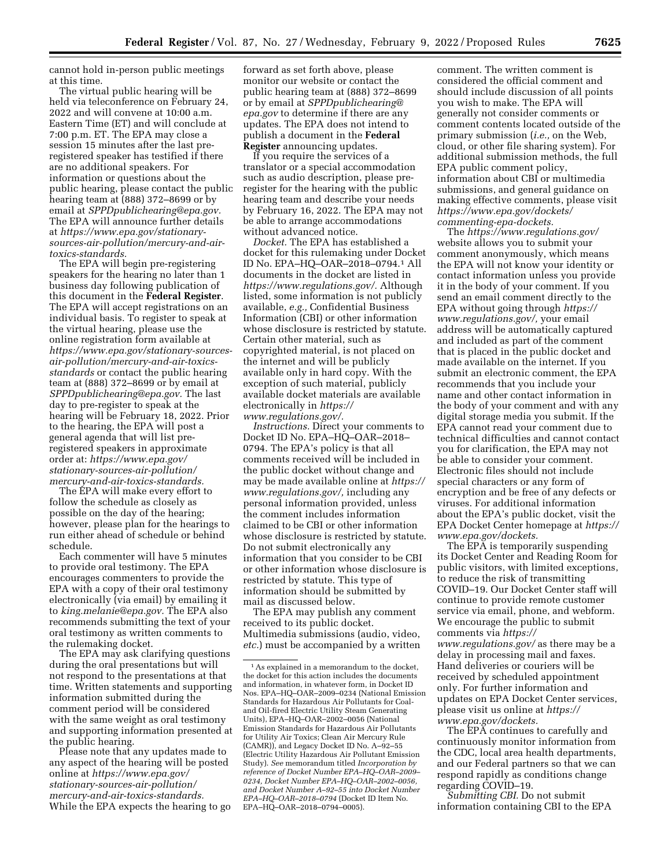cannot hold in-person public meetings at this time.

The virtual public hearing will be held via teleconference on February 24, 2022 and will convene at 10:00 a.m. Eastern Time (ET) and will conclude at 7:00 p.m. ET. The EPA may close a session 15 minutes after the last preregistered speaker has testified if there are no additional speakers. For information or questions about the public hearing, please contact the public hearing team at (888) 372–8699 or by email at *[SPPDpublichearing@epa.gov.](mailto:SPPDpublichearing@epa.gov)*  The EPA will announce further details at *[https://www.epa.gov/stationary](https://www.epa.gov/stationary-sources-air-pollution/mercury-and-air-toxics-standards)[sources-air-pollution/mercury-and-air](https://www.epa.gov/stationary-sources-air-pollution/mercury-and-air-toxics-standards)[toxics-standards.](https://www.epa.gov/stationary-sources-air-pollution/mercury-and-air-toxics-standards)* 

The EPA will begin pre-registering speakers for the hearing no later than 1 business day following publication of this document in the **Federal Register**. The EPA will accept registrations on an individual basis. To register to speak at the virtual hearing, please use the online registration form available at *[https://www.epa.gov/stationary-sources](https://www.epa.gov/stationary-sources-air-pollution/mercury-and-air-toxics-standards)[air-pollution/mercury-and-air-toxics](https://www.epa.gov/stationary-sources-air-pollution/mercury-and-air-toxics-standards)[standards](https://www.epa.gov/stationary-sources-air-pollution/mercury-and-air-toxics-standards)* or contact the public hearing team at (888) 372–8699 or by email at *[SPPDpublichearing@epa.gov.](mailto:SPPDpublichearing@epa.gov)* The last day to pre-register to speak at the hearing will be February 18, 2022. Prior to the hearing, the EPA will post a general agenda that will list preregistered speakers in approximate order at: *[https://www.epa.gov/](https://www.epa.gov/stationary-sources-air-pollution/mercury-and-air-toxics-standards)  [stationary-sources-air-pollution/](https://www.epa.gov/stationary-sources-air-pollution/mercury-and-air-toxics-standards) [mercury-and-air-toxics-standards.](https://www.epa.gov/stationary-sources-air-pollution/mercury-and-air-toxics-standards)* 

The EPA will make every effort to follow the schedule as closely as possible on the day of the hearing; however, please plan for the hearings to run either ahead of schedule or behind schedule.

Each commenter will have 5 minutes to provide oral testimony. The EPA encourages commenters to provide the EPA with a copy of their oral testimony electronically (via email) by emailing it to *[king.melanie@epa.gov.](mailto:king.melanie@epa.gov)* The EPA also recommends submitting the text of your oral testimony as written comments to the rulemaking docket.

The EPA may ask clarifying questions during the oral presentations but will not respond to the presentations at that time. Written statements and supporting information submitted during the comment period will be considered with the same weight as oral testimony and supporting information presented at the public hearing.

Please note that any updates made to any aspect of the hearing will be posted online at *[https://www.epa.gov/](https://www.epa.gov/stationary-sources-air-pollution/mercury-and-air-toxics-standards)  [stationary-sources-air-pollution/](https://www.epa.gov/stationary-sources-air-pollution/mercury-and-air-toxics-standards) [mercury-and-air-toxics-standards.](https://www.epa.gov/stationary-sources-air-pollution/mercury-and-air-toxics-standards)*  While the EPA expects the hearing to go

forward as set forth above, please monitor our website or contact the public hearing team at (888) 372–8699 or by email at *[SPPDpublichearing@](mailto:SPPDpublichearing@epa.gov) [epa.gov](mailto:SPPDpublichearing@epa.gov)* to determine if there are any updates. The EPA does not intend to publish a document in the **Federal Register** announcing updates.

If you require the services of a translator or a special accommodation such as audio description, please preregister for the hearing with the public hearing team and describe your needs by February 16, 2022. The EPA may not be able to arrange accommodations without advanced notice.

*Docket.* The EPA has established a docket for this rulemaking under Docket ID No. EPA–HQ–OAR–2018–0794.1 All documents in the docket are listed in *[https://www.regulations.gov/.](https://www.regulations.gov/)* Although listed, some information is not publicly available, *e.g.,* Confidential Business Information (CBI) or other information whose disclosure is restricted by statute. Certain other material, such as copyrighted material, is not placed on the internet and will be publicly available only in hard copy. With the exception of such material, publicly available docket materials are available electronically in *[https://](https://www.regulations.gov/) [www.regulations.gov/.](https://www.regulations.gov/)* 

*Instructions.* Direct your comments to Docket ID No. EPA–HQ–OAR–2018– 0794. The EPA's policy is that all comments received will be included in the public docket without change and may be made available online at *[https://](https://www.regulations.gov/)  [www.regulations.gov/,](https://www.regulations.gov/)* including any personal information provided, unless the comment includes information claimed to be CBI or other information whose disclosure is restricted by statute. Do not submit electronically any information that you consider to be CBI or other information whose disclosure is restricted by statute. This type of information should be submitted by mail as discussed below.

The EPA may publish any comment received to its public docket. Multimedia submissions (audio, video, *etc.*) must be accompanied by a written

comment. The written comment is considered the official comment and should include discussion of all points you wish to make. The EPA will generally not consider comments or comment contents located outside of the primary submission (*i.e.,* on the Web, cloud, or other file sharing system). For additional submission methods, the full EPA public comment policy, information about CBI or multimedia submissions, and general guidance on making effective comments, please visit *[https://www.epa.gov/dockets/](https://www.epa.gov/dockets/commenting-epa-dockets)  [commenting-epa-dockets.](https://www.epa.gov/dockets/commenting-epa-dockets)* 

The *<https://www.regulations.gov/>*  website allows you to submit your comment anonymously, which means the EPA will not know your identity or contact information unless you provide it in the body of your comment. If you send an email comment directly to the EPA without going through *[https://](https://www.regulations.gov/) [www.regulations.gov/,](https://www.regulations.gov/)* your email address will be automatically captured and included as part of the comment that is placed in the public docket and made available on the internet. If you submit an electronic comment, the EPA recommends that you include your name and other contact information in the body of your comment and with any digital storage media you submit. If the EPA cannot read your comment due to technical difficulties and cannot contact you for clarification, the EPA may not be able to consider your comment. Electronic files should not include special characters or any form of encryption and be free of any defects or viruses. For additional information about the EPA's public docket, visit the EPA Docket Center homepage at *[https://](https://www.epa.gov/dockets)  [www.epa.gov/dockets.](https://www.epa.gov/dockets)* 

The EPA is temporarily suspending its Docket Center and Reading Room for public visitors, with limited exceptions, to reduce the risk of transmitting COVID–19. Our Docket Center staff will continue to provide remote customer service via email, phone, and webform. We encourage the public to submit comments via *[https://](https://www.regulations.gov/) [www.regulations.gov/](https://www.regulations.gov/)* as there may be a delay in processing mail and faxes. Hand deliveries or couriers will be received by scheduled appointment only. For further information and updates on EPA Docket Center services, please visit us online at *[https://](https://www.epa.gov/dockets) [www.epa.gov/dockets.](https://www.epa.gov/dockets)* 

The EPA continues to carefully and continuously monitor information from the CDC, local area health departments, and our Federal partners so that we can respond rapidly as conditions change regarding COVID–19.

*Submitting CBI.* Do not submit information containing CBI to the EPA

<sup>1</sup>As explained in a memorandum to the docket, the docket for this action includes the documents and information, in whatever form, in Docket ID Nos. EPA–HQ–OAR–2009–0234 (National Emission Standards for Hazardous Air Pollutants for Coaland Oil-fired Electric Utility Steam Generating Units), EPA–HQ–OAR–2002–0056 (National Emission Standards for Hazardous Air Pollutants for Utility Air Toxics; Clean Air Mercury Rule (CAMR)), and Legacy Docket ID No. A-92-55 (Electric Utility Hazardous Air Pollutant Emission Study). *See* memorandum titled *Incorporation by reference of Docket Number EPA–HQ–OAR–2009– 0234, Docket Number EPA–HQ–OAR–2002–0056, and Docket Number A–92–55 into Docket Number EPA–HQ–OAR–2018–0794* (Docket ID Item No. EPA–HQ–OAR–2018–0794–0005).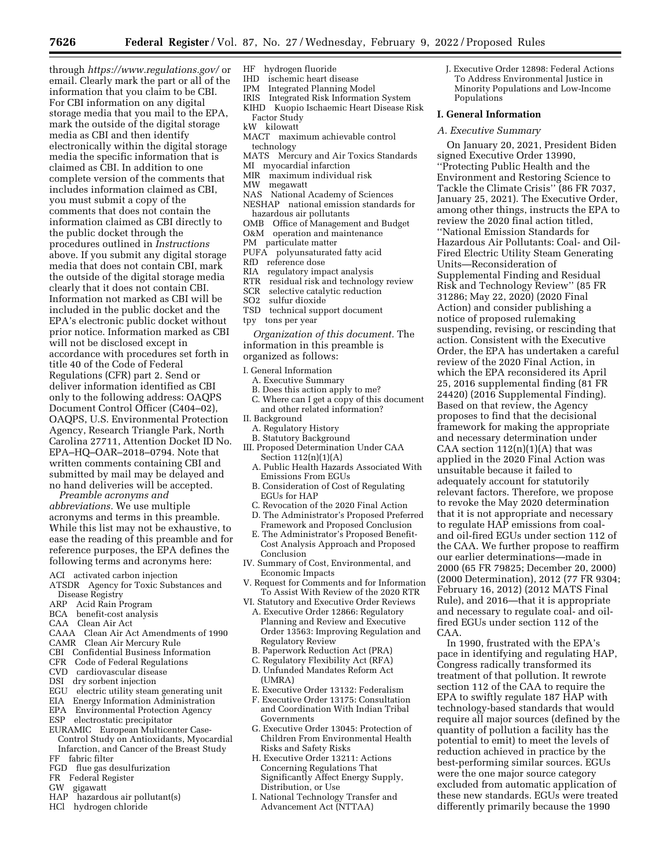through *<https://www.regulations.gov/>*or email. Clearly mark the part or all of the information that you claim to be CBI. For CBI information on any digital storage media that you mail to the EPA, mark the outside of the digital storage media as CBI and then identify electronically within the digital storage media the specific information that is claimed as CBI. In addition to one complete version of the comments that includes information claimed as CBI, you must submit a copy of the comments that does not contain the information claimed as CBI directly to the public docket through the procedures outlined in *Instructions*  above. If you submit any digital storage media that does not contain CBI, mark the outside of the digital storage media clearly that it does not contain CBI. Information not marked as CBI will be included in the public docket and the EPA's electronic public docket without prior notice. Information marked as CBI will not be disclosed except in accordance with procedures set forth in title 40 of the Code of Federal Regulations (CFR) part 2. Send or deliver information identified as CBI only to the following address: OAQPS Document Control Officer (C404–02), OAQPS, U.S. Environmental Protection Agency, Research Triangle Park, North Carolina 27711, Attention Docket ID No. EPA–HQ–OAR–2018–0794. Note that written comments containing CBI and submitted by mail may be delayed and no hand deliveries will be accepted.

*Preamble acronyms and abbreviations.* We use multiple acronyms and terms in this preamble. While this list may not be exhaustive, to ease the reading of this preamble and for reference purposes, the EPA defines the following terms and acronyms here:

- ACI activated carbon injection
- ATSDR Agency for Toxic Substances and Disease Registry
- ARP Acid Rain Program
- BCA benefit-cost analysis
- CAA Clean Air Act
- CAAA Clean Air Act Amendments of 1990
- CAMR Clean Air Mercury Rule
- CBI Confidential Business Information
- CFR Code of Federal Regulations
- CVD cardiovascular disease
- DSI dry sorbent injection
- EGU electric utility steam generating unit
- EIA Energy Information Administration
- EPA Environmental Protection Agency
- ESP electrostatic precipitator EURAMIC European Multicenter Case-
- Control Study on Antioxidants, Myocardial Infarction, and Cancer of the Breast Study
- FF fabric filter
- FGD flue gas desulfurization
- FR Federal Register
- GW gigawatt
- hazardous air pollutant(s)
- HCl hydrogen chloride
- HF hydrogen fluoride
- IHD ischemic heart disease
- IPM Integrated Planning Model
- Integrated Risk Information System
- KIHD Kuopio Ischaemic Heart Disease Risk Factor Study
- kW kilowatt
- MACT maximum achievable control technology
- MATS Mercury and Air Toxics Standards
- MI myocardial infarction
- MIR maximum individual risk<br>MW megawatt
- megawatt
- NAS National Academy of Sciences NESHAP national emission standards for
- hazardous air pollutants OMB Office of Management and Budget
- O&M operation and maintenance
- PM particulate matter
- PUFA polyunsaturated fatty acid
- 
- RfD reference dose<br>RIA regulatory imp regulatory impact analysis
- RTR residual risk and technology review
- 
- SCR selective catalytic reduction<br>SO2 sulfur dioxide
- SO<sub>2</sub> sulfur dioxide<br>TSD technical supr
- technical support document tpy tons per year

*Organization of this document.* The information in this preamble is organized as follows:

- I. General Information
- A. Executive Summary
- B. Does this action apply to me?
- Where can I get a copy of this document and other related information?
- II. Background
- A. Regulatory History
- B. Statutory Background
- III. Proposed Determination Under CAA Section  $112(n)(1)(A)$ 
	- A. Public Health Hazards Associated With Emissions From EGUs
	- B. Consideration of Cost of Regulating EGUs for HAP
	- C. Revocation of the 2020 Final Action
	- D. The Administrator's Proposed Preferred Framework and Proposed Conclusion
- E. The Administrator's Proposed Benefit-Cost Analysis Approach and Proposed Conclusion
- IV. Summary of Cost, Environmental, and Economic Impacts
- V. Request for Comments and for Information To Assist With Review of the 2020 RTR
- VI. Statutory and Executive Order Reviews
- A. Executive Order 12866: Regulatory Planning and Review and Executive Order 13563: Improving Regulation and Regulatory Review
- B. Paperwork Reduction Act (PRA)
- C. Regulatory Flexibility Act (RFA)
- D. Unfunded Mandates Reform Act (UMRA)
- E. Executive Order 13132: Federalism
- F. Executive Order 13175: Consultation and Coordination With Indian Tribal Governments
- G. Executive Order 13045: Protection of Children From Environmental Health Risks and Safety Risks
- H. Executive Order 13211: Actions Concerning Regulations That Significantly Affect Energy Supply, Distribution, or Use
- I. National Technology Transfer and Advancement Act (NTTAA)

J. Executive Order 12898: Federal Actions To Address Environmental Justice in Minority Populations and Low-Income Populations

### **I. General Information**

#### *A. Executive Summary*

On January 20, 2021, President Biden signed Executive Order 13990, ''Protecting Public Health and the Environment and Restoring Science to Tackle the Climate Crisis'' (86 FR 7037, January 25, 2021). The Executive Order, among other things, instructs the EPA to review the 2020 final action titled, ''National Emission Standards for Hazardous Air Pollutants: Coal- and Oil-Fired Electric Utility Steam Generating Units—Reconsideration of Supplemental Finding and Residual Risk and Technology Review'' (85 FR 31286; May 22, 2020) (2020 Final Action) and consider publishing a notice of proposed rulemaking suspending, revising, or rescinding that action. Consistent with the Executive Order, the EPA has undertaken a careful review of the 2020 Final Action, in which the EPA reconsidered its April 25, 2016 supplemental finding (81 FR 24420) (2016 Supplemental Finding). Based on that review, the Agency proposes to find that the decisional framework for making the appropriate and necessary determination under CAA section  $112(n)(1)(A)$  that was applied in the 2020 Final Action was unsuitable because it failed to adequately account for statutorily relevant factors. Therefore, we propose to revoke the May 2020 determination that it is not appropriate and necessary to regulate HAP emissions from coaland oil-fired EGUs under section 112 of the CAA. We further propose to reaffirm our earlier determinations—made in 2000 (65 FR 79825; December 20, 2000) (2000 Determination), 2012 (77 FR 9304; February 16, 2012) (2012 MATS Final Rule), and 2016—that it is appropriate and necessary to regulate coal- and oilfired EGUs under section 112 of the CAA.

In 1990, frustrated with the EPA's pace in identifying and regulating HAP, Congress radically transformed its treatment of that pollution. It rewrote section 112 of the CAA to require the EPA to swiftly regulate 187 HAP with technology-based standards that would require all major sources (defined by the quantity of pollution a facility has the potential to emit) to meet the levels of reduction achieved in practice by the best-performing similar sources. EGUs were the one major source category excluded from automatic application of these new standards. EGUs were treated differently primarily because the 1990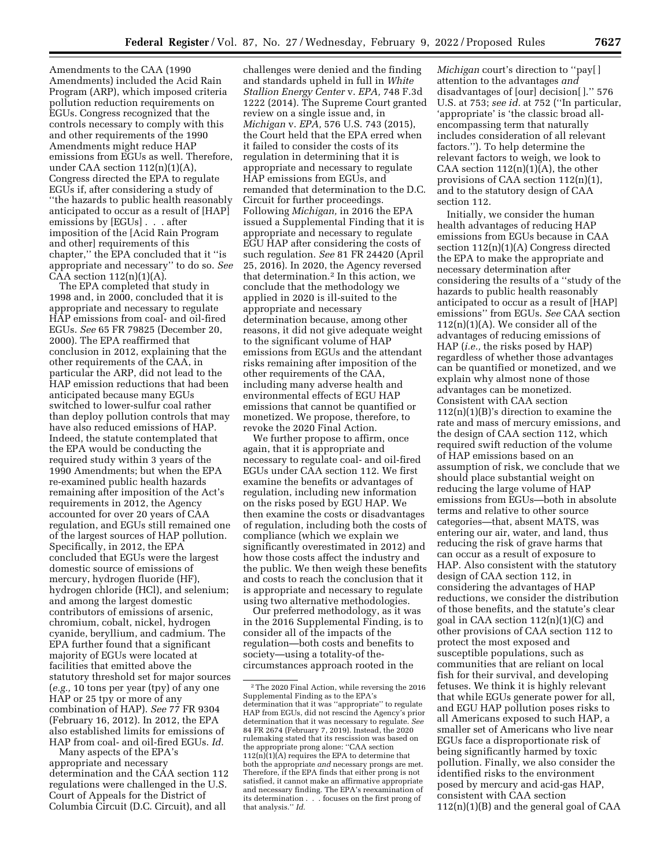challenges were denied and the finding and standards upheld in full in *White Stallion Energy Center* v. *EPA,* 748 F.3d

Amendments) included the Acid Rain Program (ARP), which imposed criteria pollution reduction requirements on EGUs. Congress recognized that the controls necessary to comply with this and other requirements of the 1990 Amendments might reduce HAP emissions from EGUs as well. Therefore, under CAA section  $112(n)(1)(A)$ , Congress directed the EPA to regulate EGUs if, after considering a study of ''the hazards to public health reasonably anticipated to occur as a result of [HAP] emissions by [EGUs] . . . after imposition of the [Acid Rain Program and other] requirements of this chapter,'' the EPA concluded that it ''is appropriate and necessary'' to do so. *See*  CAA section  $112(n)(1)(A)$ .

Amendments to the CAA (1990

The EPA completed that study in 1998 and, in 2000, concluded that it is appropriate and necessary to regulate HAP emissions from coal- and oil-fired EGUs. *See* 65 FR 79825 (December 20, 2000). The EPA reaffirmed that conclusion in 2012, explaining that the other requirements of the CAA, in particular the ARP, did not lead to the HAP emission reductions that had been anticipated because many EGUs switched to lower-sulfur coal rather than deploy pollution controls that may have also reduced emissions of HAP. Indeed, the statute contemplated that the EPA would be conducting the required study within 3 years of the 1990 Amendments; but when the EPA re-examined public health hazards remaining after imposition of the Act's requirements in 2012, the Agency accounted for over 20 years of CAA regulation, and EGUs still remained one of the largest sources of HAP pollution. Specifically, in 2012, the EPA concluded that EGUs were the largest domestic source of emissions of mercury, hydrogen fluoride (HF), hydrogen chloride (HCl), and selenium; and among the largest domestic contributors of emissions of arsenic, chromium, cobalt, nickel, hydrogen cyanide, beryllium, and cadmium. The EPA further found that a significant majority of EGUs were located at facilities that emitted above the statutory threshold set for major sources (*e.g.,* 10 tons per year (tpy) of any one HAP or 25 tpy or more of any combination of HAP). *See* 77 FR 9304 (February 16, 2012). In 2012, the EPA also established limits for emissions of HAP from coal- and oil-fired EGUs. *Id.* 

Many aspects of the EPA's appropriate and necessary determination and the CAA section 112 regulations were challenged in the U.S. Court of Appeals for the District of Columbia Circuit (D.C. Circuit), and all

1222 (2014). The Supreme Court granted review on a single issue and, in *Michigan* v. *EPA,* 576 U.S. 743 (2015), the Court held that the EPA erred when it failed to consider the costs of its regulation in determining that it is appropriate and necessary to regulate HAP emissions from EGUs, and remanded that determination to the D.C. Circuit for further proceedings. Following *Michigan,* in 2016 the EPA issued a Supplemental Finding that it is appropriate and necessary to regulate EGU HAP after considering the costs of such regulation. *See* 81 FR 24420 (April 25, 2016). In 2020, the Agency reversed that determination.2 In this action, we conclude that the methodology we applied in 2020 is ill-suited to the appropriate and necessary determination because, among other reasons, it did not give adequate weight to the significant volume of HAP emissions from EGUs and the attendant risks remaining after imposition of the other requirements of the CAA, including many adverse health and environmental effects of EGU HAP emissions that cannot be quantified or monetized. We propose, therefore, to revoke the 2020 Final Action.

We further propose to affirm, once again, that it is appropriate and necessary to regulate coal- and oil-fired EGUs under CAA section 112. We first examine the benefits or advantages of regulation, including new information on the risks posed by EGU HAP. We then examine the costs or disadvantages of regulation, including both the costs of compliance (which we explain we significantly overestimated in 2012) and how those costs affect the industry and the public. We then weigh these benefits and costs to reach the conclusion that it is appropriate and necessary to regulate using two alternative methodologies.

Our preferred methodology, as it was in the 2016 Supplemental Finding, is to consider all of the impacts of the regulation—both costs and benefits to society—using a totality-of thecircumstances approach rooted in the

*Michigan* court's direction to ''pay[ ] attention to the advantages *and*  disadvantages of [our] decision[ ].'' 576 U.S. at 753; *see id.* at 752 (''In particular, 'appropriate' is 'the classic broad allencompassing term that naturally includes consideration of all relevant factors.''). To help determine the relevant factors to weigh, we look to CAA section  $112(n)(1)(A)$ , the other provisions of CAA section 112(n)(1), and to the statutory design of CAA section 112.

Initially, we consider the human health advantages of reducing HAP emissions from EGUs because in CAA section 112(n)(1)(A) Congress directed the EPA to make the appropriate and necessary determination after considering the results of a ''study of the hazards to public health reasonably anticipated to occur as a result of [HAP] emissions'' from EGUs. *See* CAA section  $112(n)(1)(A)$ . We consider all of the advantages of reducing emissions of HAP (*i.e.,* the risks posed by HAP) regardless of whether those advantages can be quantified or monetized, and we explain why almost none of those advantages can be monetized. Consistent with CAA section 112(n)(1)(B)'s direction to examine the rate and mass of mercury emissions, and the design of CAA section 112, which required swift reduction of the volume of HAP emissions based on an assumption of risk, we conclude that we should place substantial weight on reducing the large volume of HAP emissions from EGUs—both in absolute terms and relative to other source categories—that, absent MATS, was entering our air, water, and land, thus reducing the risk of grave harms that can occur as a result of exposure to HAP. Also consistent with the statutory design of CAA section 112, in considering the advantages of HAP reductions, we consider the distribution of those benefits, and the statute's clear goal in CAA section 112(n)(1)(C) and other provisions of CAA section 112 to protect the most exposed and susceptible populations, such as communities that are reliant on local fish for their survival, and developing fetuses. We think it is highly relevant that while EGUs generate power for all, and EGU HAP pollution poses risks to all Americans exposed to such HAP, a smaller set of Americans who live near EGUs face a disproportionate risk of being significantly harmed by toxic pollution. Finally, we also consider the identified risks to the environment posed by mercury and acid-gas HAP, consistent with CAA section 112(n)(1)(B) and the general goal of CAA

 $^{\rm 2}$  The 2020 Final Action, while reversing the 2016 Supplemental Finding as to the EPA's determination that it was ''appropriate'' to regulate HAP from EGUs, did not rescind the Agency's prior determination that it was necessary to regulate. *See*  84 FR 2674 (February 7, 2019). Instead, the 2020 rulemaking stated that its rescission was based on the appropriate prong alone: ''CAA section  $112(n)(1)(A)$  requires the EPA to determine that both the appropriate *and* necessary prongs are met. Therefore, if the EPA finds that either prong is not satisfied, it cannot make an affirmative appropriate and necessary finding. The EPA's reexamination of its determination . . . focuses on the first prong of that analysis.'' *Id.*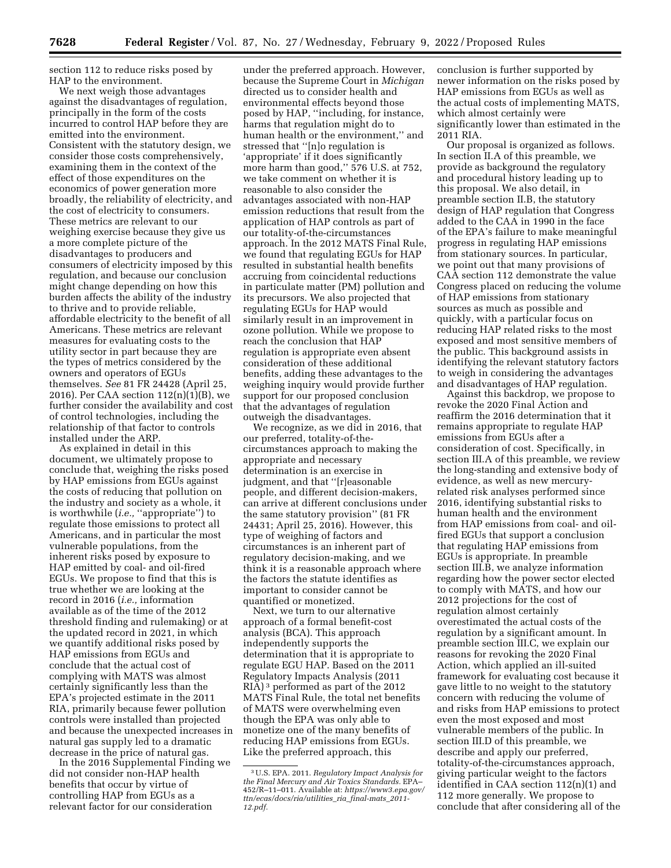section 112 to reduce risks posed by HAP to the environment.

We next weigh those advantages against the disadvantages of regulation, principally in the form of the costs incurred to control HAP before they are emitted into the environment. Consistent with the statutory design, we consider those costs comprehensively, examining them in the context of the effect of those expenditures on the economics of power generation more broadly, the reliability of electricity, and the cost of electricity to consumers. These metrics are relevant to our weighing exercise because they give us a more complete picture of the disadvantages to producers and consumers of electricity imposed by this regulation, and because our conclusion might change depending on how this burden affects the ability of the industry to thrive and to provide reliable, affordable electricity to the benefit of all Americans. These metrics are relevant measures for evaluating costs to the utility sector in part because they are the types of metrics considered by the owners and operators of EGUs themselves. *See* 81 FR 24428 (April 25, 2016). Per CAA section 112(n)(1)(B), we further consider the availability and cost of control technologies, including the relationship of that factor to controls installed under the ARP.

As explained in detail in this document, we ultimately propose to conclude that, weighing the risks posed by HAP emissions from EGUs against the costs of reducing that pollution on the industry and society as a whole, it is worthwhile (*i.e.,* ''appropriate'') to regulate those emissions to protect all Americans, and in particular the most vulnerable populations, from the inherent risks posed by exposure to HAP emitted by coal- and oil-fired EGUs. We propose to find that this is true whether we are looking at the record in 2016 (*i.e.,* information available as of the time of the 2012 threshold finding and rulemaking) or at the updated record in 2021, in which we quantify additional risks posed by HAP emissions from EGUs and conclude that the actual cost of complying with MATS was almost certainly significantly less than the EPA's projected estimate in the 2011 RIA, primarily because fewer pollution controls were installed than projected and because the unexpected increases in natural gas supply led to a dramatic decrease in the price of natural gas.

In the 2016 Supplemental Finding we did not consider non-HAP health benefits that occur by virtue of controlling HAP from EGUs as a relevant factor for our consideration

under the preferred approach. However, because the Supreme Court in *Michigan*  directed us to consider health and environmental effects beyond those posed by HAP, ''including, for instance, harms that regulation might do to human health or the environment,'' and stressed that ''[n]o regulation is 'appropriate' if it does significantly more harm than good,'' 576 U.S. at 752, we take comment on whether it is reasonable to also consider the advantages associated with non-HAP emission reductions that result from the application of HAP controls as part of our totality-of-the-circumstances approach. In the 2012 MATS Final Rule, we found that regulating EGUs for HAP resulted in substantial health benefits accruing from coincidental reductions in particulate matter (PM) pollution and its precursors. We also projected that regulating EGUs for HAP would similarly result in an improvement in ozone pollution. While we propose to reach the conclusion that HAP regulation is appropriate even absent consideration of these additional benefits, adding these advantages to the weighing inquiry would provide further support for our proposed conclusion that the advantages of regulation outweigh the disadvantages.

We recognize, as we did in 2016, that our preferred, totality-of-thecircumstances approach to making the appropriate and necessary determination is an exercise in judgment, and that ''[r]easonable people, and different decision-makers, can arrive at different conclusions under the same statutory provision'' (81 FR 24431; April 25, 2016). However, this type of weighing of factors and circumstances is an inherent part of regulatory decision-making, and we think it is a reasonable approach where the factors the statute identifies as important to consider cannot be quantified or monetized.

Next, we turn to our alternative approach of a formal benefit-cost analysis (BCA). This approach independently supports the determination that it is appropriate to regulate EGU HAP. Based on the 2011 Regulatory Impacts Analysis (2011 RIA) 3 performed as part of the 2012 MATS Final Rule, the total net benefits of MATS were overwhelming even though the EPA was only able to monetize one of the many benefits of reducing HAP emissions from EGUs. Like the preferred approach, this

conclusion is further supported by newer information on the risks posed by HAP emissions from EGUs as well as the actual costs of implementing MATS, which almost certainly were significantly lower than estimated in the 2011 RIA.

Our proposal is organized as follows. In section II.A of this preamble, we provide as background the regulatory and procedural history leading up to this proposal. We also detail, in preamble section II.B, the statutory design of HAP regulation that Congress added to the CAA in 1990 in the face of the EPA's failure to make meaningful progress in regulating HAP emissions from stationary sources. In particular, we point out that many provisions of CAA section 112 demonstrate the value Congress placed on reducing the volume of HAP emissions from stationary sources as much as possible and quickly, with a particular focus on reducing HAP related risks to the most exposed and most sensitive members of the public. This background assists in identifying the relevant statutory factors to weigh in considering the advantages and disadvantages of HAP regulation.

Against this backdrop, we propose to revoke the 2020 Final Action and reaffirm the 2016 determination that it remains appropriate to regulate HAP emissions from EGUs after a consideration of cost. Specifically, in section III.A of this preamble, we review the long-standing and extensive body of evidence, as well as new mercuryrelated risk analyses performed since 2016, identifying substantial risks to human health and the environment from HAP emissions from coal- and oilfired EGUs that support a conclusion that regulating HAP emissions from EGUs is appropriate. In preamble section III.B, we analyze information regarding how the power sector elected to comply with MATS, and how our 2012 projections for the cost of regulation almost certainly overestimated the actual costs of the regulation by a significant amount. In preamble section III.C, we explain our reasons for revoking the 2020 Final Action, which applied an ill-suited framework for evaluating cost because it gave little to no weight to the statutory concern with reducing the volume of and risks from HAP emissions to protect even the most exposed and most vulnerable members of the public. In section III.D of this preamble, we describe and apply our preferred, totality-of-the-circumstances approach, giving particular weight to the factors identified in CAA section 112(n)(1) and 112 more generally. We propose to conclude that after considering all of the

<sup>3</sup>U.S. EPA. 2011. *Regulatory Impact Analysis for the Final Mercury and Air Toxics Standards.* EPA– 452/R–11–011. Available at: *[https://www3.epa.gov/](https://www3.epa.gov/ttn/ecas/docs/ria/utilities_ria_final-mats_2011-12.pdf) [ttn/ecas/docs/ria/utilities](https://www3.epa.gov/ttn/ecas/docs/ria/utilities_ria_final-mats_2011-12.pdf)*\_*ria*\_*final-mats*\_*2011- [12.pdf.](https://www3.epa.gov/ttn/ecas/docs/ria/utilities_ria_final-mats_2011-12.pdf)*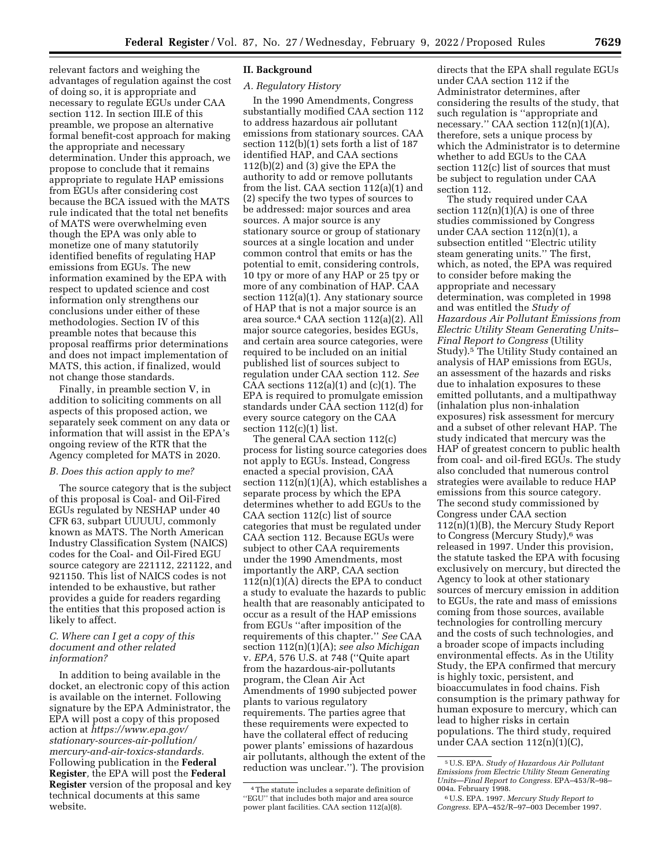relevant factors and weighing the advantages of regulation against the cost of doing so, it is appropriate and necessary to regulate EGUs under CAA section 112. In section III.E of this preamble, we propose an alternative formal benefit-cost approach for making the appropriate and necessary determination. Under this approach, we propose to conclude that it remains appropriate to regulate HAP emissions from EGUs after considering cost because the BCA issued with the MATS rule indicated that the total net benefits of MATS were overwhelming even though the EPA was only able to monetize one of many statutorily identified benefits of regulating HAP emissions from EGUs. The new information examined by the EPA with respect to updated science and cost information only strengthens our conclusions under either of these methodologies. Section IV of this preamble notes that because this proposal reaffirms prior determinations and does not impact implementation of MATS, this action, if finalized, would not change those standards.

Finally, in preamble section V, in addition to soliciting comments on all aspects of this proposed action, we separately seek comment on any data or information that will assist in the EPA's ongoing review of the RTR that the Agency completed for MATS in 2020.

# *B. Does this action apply to me?*

The source category that is the subject of this proposal is Coal- and Oil-Fired EGUs regulated by NESHAP under 40 CFR 63, subpart UUUUU, commonly known as MATS. The North American Industry Classification System (NAICS) codes for the Coal- and Oil-Fired EGU source category are 221112, 221122, and 921150. This list of NAICS codes is not intended to be exhaustive, but rather provides a guide for readers regarding the entities that this proposed action is likely to affect.

### *C. Where can I get a copy of this document and other related information?*

In addition to being available in the docket, an electronic copy of this action is available on the internet. Following signature by the EPA Administrator, the EPA will post a copy of this proposed action at *[https://www.epa.gov/](https://www.epa.gov/stationary-sources-air-pollution/mercury-and-air-toxics-standards)  [stationary-sources-air-pollution/](https://www.epa.gov/stationary-sources-air-pollution/mercury-and-air-toxics-standards) [mercury-and-air-toxics-standards.](https://www.epa.gov/stationary-sources-air-pollution/mercury-and-air-toxics-standards)*  Following publication in the **Federal Register***,* the EPA will post the **Federal Register** version of the proposal and key technical documents at this same website.

#### **II. Background**

### *A. Regulatory History*

In the 1990 Amendments, Congress substantially modified CAA section 112 to address hazardous air pollutant emissions from stationary sources. CAA section 112(b)(1) sets forth a list of 187 identified HAP, and CAA sections 112(b)(2) and (3) give the EPA the authority to add or remove pollutants from the list. CAA section 112(a)(1) and (2) specify the two types of sources to be addressed: major sources and area sources. A major source is any stationary source or group of stationary sources at a single location and under common control that emits or has the potential to emit, considering controls, 10 tpy or more of any HAP or 25 tpy or more of any combination of HAP. CAA section 112(a)(1). Any stationary source of HAP that is not a major source is an area source.4 CAA section 112(a)(2). All major source categories, besides EGUs, and certain area source categories, were required to be included on an initial published list of sources subject to regulation under CAA section 112. *See*  CAA sections  $112(a)(1)$  and  $(c)(1)$ . The EPA is required to promulgate emission standards under CAA section 112(d) for every source category on the CAA section 112(c)(1) list.

The general CAA section 112(c) process for listing source categories does not apply to EGUs. Instead, Congress enacted a special provision, CAA section  $112(n)(1)(A)$ , which establishes a separate process by which the EPA determines whether to add EGUs to the CAA section 112(c) list of source categories that must be regulated under CAA section 112. Because EGUs were subject to other CAA requirements under the 1990 Amendments, most importantly the ARP, CAA section  $112(n)(1)(A)$  directs the EPA to conduct a study to evaluate the hazards to public health that are reasonably anticipated to occur as a result of the HAP emissions from EGUs ''after imposition of the requirements of this chapter.'' *See* CAA section 112(n)(1)(A); *see also Michigan*  v. *EPA,* 576 U.S. at 748 (''Quite apart from the hazardous-air-pollutants program, the Clean Air Act Amendments of 1990 subjected power plants to various regulatory requirements. The parties agree that these requirements were expected to have the collateral effect of reducing power plants' emissions of hazardous air pollutants, although the extent of the reduction was unclear.''). The provision

directs that the EPA shall regulate EGUs under CAA section 112 if the Administrator determines, after considering the results of the study, that such regulation is ''appropriate and necessary.'' CAA section 112(n)(1)(A), therefore, sets a unique process by which the Administrator is to determine whether to add EGUs to the CAA section 112(c) list of sources that must be subject to regulation under CAA section 112.

The study required under CAA section  $112(n)(1)(A)$  is one of three studies commissioned by Congress under CAA section 112(n)(1), a subsection entitled ''Electric utility steam generating units.'' The first, which, as noted, the EPA was required to consider before making the appropriate and necessary determination, was completed in 1998 and was entitled the *Study of Hazardous Air Pollutant Emissions from Electric Utility Steam Generating Units– Final Report to Congress* (Utility Study).5 The Utility Study contained an analysis of HAP emissions from EGUs, an assessment of the hazards and risks due to inhalation exposures to these emitted pollutants, and a multipathway (inhalation plus non-inhalation exposures) risk assessment for mercury and a subset of other relevant HAP. The study indicated that mercury was the HAP of greatest concern to public health from coal- and oil-fired EGUs. The study also concluded that numerous control strategies were available to reduce HAP emissions from this source category. The second study commissioned by Congress under CAA section 112(n)(1)(B), the Mercury Study Report to Congress (Mercury Study),<sup>6</sup> was released in 1997. Under this provision, the statute tasked the EPA with focusing exclusively on mercury, but directed the Agency to look at other stationary sources of mercury emission in addition to EGUs, the rate and mass of emissions coming from those sources, available technologies for controlling mercury and the costs of such technologies, and a broader scope of impacts including environmental effects. As in the Utility Study, the EPA confirmed that mercury is highly toxic, persistent, and bioaccumulates in food chains. Fish consumption is the primary pathway for human exposure to mercury, which can lead to higher risks in certain populations. The third study, required under CAA section  $112(n)(1)(C)$ ,

<sup>4</sup>The statute includes a separate definition of ''EGU'' that includes both major and area source power plant facilities. CAA section 112(a)(8).

<sup>5</sup>U.S. EPA. *Study of Hazardous Air Pollutant Emissions from Electric Utility Steam Generating Units*—*Final Report to Congress.* EPA–453/R–98–

<sup>004</sup>a. February 1998. 6U.S. EPA. 1997. *Mercury Study Report to Congress.* EPA–452/R–97–003 December 1997.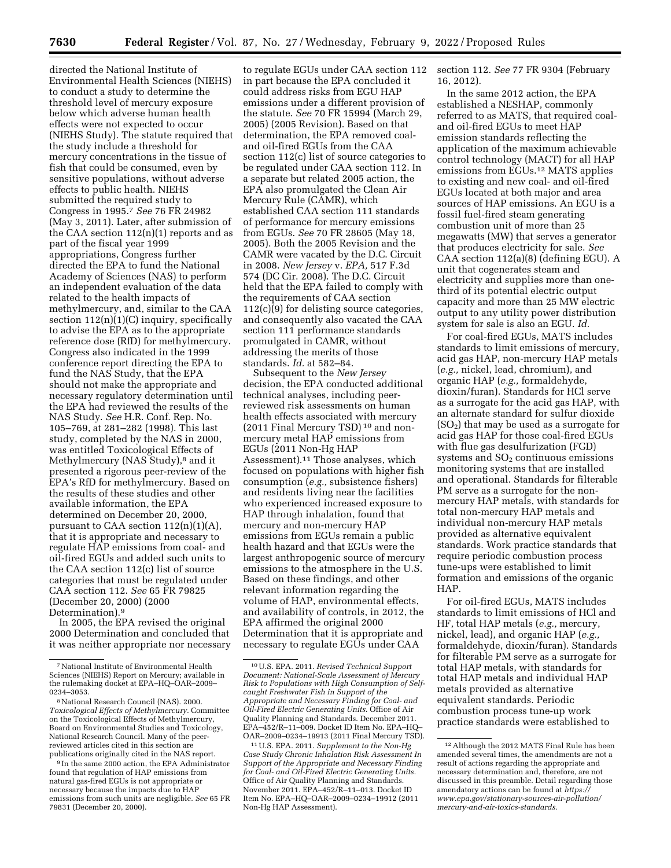directed the National Institute of Environmental Health Sciences (NIEHS) to conduct a study to determine the threshold level of mercury exposure below which adverse human health effects were not expected to occur (NIEHS Study). The statute required that the study include a threshold for mercury concentrations in the tissue of fish that could be consumed, even by sensitive populations, without adverse effects to public health. NIEHS submitted the required study to Congress in 1995.7 *See* 76 FR 24982 (May 3, 2011). Later, after submission of the CAA section  $112(n)(1)$  reports and as part of the fiscal year 1999 appropriations, Congress further directed the EPA to fund the National Academy of Sciences (NAS) to perform an independent evaluation of the data related to the health impacts of methylmercury, and, similar to the CAA section  $112(n)(1)(C)$  inquiry, specifically to advise the EPA as to the appropriate reference dose (RfD) for methylmercury. Congress also indicated in the 1999 conference report directing the EPA to fund the NAS Study, that the EPA should not make the appropriate and necessary regulatory determination until the EPA had reviewed the results of the NAS Study. *See* H.R. Conf. Rep. No. 105–769, at 281–282 (1998). This last study, completed by the NAS in 2000, was entitled Toxicological Effects of Methylmercury (NAS Study),<sup>8</sup> and it presented a rigorous peer-review of the EPA's RfD for methylmercury. Based on the results of these studies and other available information, the EPA determined on December 20, 2000, pursuant to CAA section  $112(n)(1)(A)$ , that it is appropriate and necessary to regulate HAP emissions from coal- and oil-fired EGUs and added such units to the CAA section 112(c) list of source categories that must be regulated under CAA section 112. *See* 65 FR 79825 (December 20, 2000) (2000 Determination).9

In 2005, the EPA revised the original 2000 Determination and concluded that it was neither appropriate nor necessary

9 In the same 2000 action, the EPA Administrator found that regulation of HAP emissions from natural gas-fired EGUs is not appropriate or necessary because the impacts due to HAP emissions from such units are negligible. *See* 65 FR 79831 (December 20, 2000).

to regulate EGUs under CAA section 112 in part because the EPA concluded it could address risks from EGU HAP emissions under a different provision of the statute. *See* 70 FR 15994 (March 29, 2005) (2005 Revision). Based on that determination, the EPA removed coaland oil-fired EGUs from the CAA section 112(c) list of source categories to be regulated under CAA section 112. In a separate but related 2005 action, the EPA also promulgated the Clean Air Mercury Rule (CAMR), which established CAA section 111 standards of performance for mercury emissions from EGUs. *See* 70 FR 28605 (May 18, 2005). Both the 2005 Revision and the CAMR were vacated by the D.C. Circuit in 2008. *New Jersey* v. *EPA,* 517 F.3d 574 (DC Cir. 2008). The D.C. Circuit held that the EPA failed to comply with the requirements of CAA section 112(c)(9) for delisting source categories, and consequently also vacated the CAA section 111 performance standards promulgated in CAMR, without addressing the merits of those standards. *Id.* at 582–84.

Subsequent to the *New Jersey*  decision, the EPA conducted additional technical analyses, including peerreviewed risk assessments on human health effects associated with mercury (2011 Final Mercury TSD) 10 and nonmercury metal HAP emissions from EGUs (2011 Non-Hg HAP Assessment).11 Those analyses, which focused on populations with higher fish consumption (*e.g.,* subsistence fishers) and residents living near the facilities who experienced increased exposure to HAP through inhalation, found that mercury and non-mercury HAP emissions from EGUs remain a public health hazard and that EGUs were the largest anthropogenic source of mercury emissions to the atmosphere in the U.S. Based on these findings, and other relevant information regarding the volume of HAP, environmental effects, and availability of controls, in 2012, the EPA affirmed the original 2000 Determination that it is appropriate and necessary to regulate EGUs under CAA

section 112. *See* 77 FR 9304 (February 16, 2012).

In the same 2012 action, the EPA established a NESHAP, commonly referred to as MATS, that required coaland oil-fired EGUs to meet HAP emission standards reflecting the application of the maximum achievable control technology (MACT) for all HAP emissions from EGUs.12 MATS applies to existing and new coal- and oil-fired EGUs located at both major and area sources of HAP emissions. An EGU is a fossil fuel-fired steam generating combustion unit of more than 25 megawatts (MW) that serves a generator that produces electricity for sale. *See*  CAA section 112(a)(8) (defining EGU). A unit that cogenerates steam and electricity and supplies more than onethird of its potential electric output capacity and more than 25 MW electric output to any utility power distribution system for sale is also an EGU. *Id.* 

For coal-fired EGUs, MATS includes standards to limit emissions of mercury, acid gas HAP, non-mercury HAP metals (*e.g.,* nickel, lead, chromium), and organic HAP (*e.g.,* formaldehyde, dioxin/furan). Standards for HCl serve as a surrogate for the acid gas HAP, with an alternate standard for sulfur dioxide  $(SO<sub>2</sub>)$  that may be used as a surrogate for acid gas HAP for those coal-fired EGUs with flue gas desulfurization (FGD) systems and  $SO<sub>2</sub>$  continuous emissions monitoring systems that are installed and operational. Standards for filterable PM serve as a surrogate for the nonmercury HAP metals, with standards for total non-mercury HAP metals and individual non-mercury HAP metals provided as alternative equivalent standards. Work practice standards that require periodic combustion process tune-ups were established to limit formation and emissions of the organic HAP.

For oil-fired EGUs, MATS includes standards to limit emissions of HCl and HF, total HAP metals (*e.g.,* mercury, nickel, lead), and organic HAP (*e.g.,*  formaldehyde, dioxin/furan). Standards for filterable PM serve as a surrogate for total HAP metals, with standards for total HAP metals and individual HAP metals provided as alternative equivalent standards. Periodic combustion process tune-up work practice standards were established to

<sup>7</sup>National Institute of Environmental Health Sciences (NIEHS) Report on Mercury; available in the rulemaking docket at EPA–HQ–OAR–2009– 0234–3053.

<sup>8</sup>National Research Council (NAS). 2000. *Toxicological Effects of Methylmercury.* Committee on the Toxicological Effects of Methylmercury, Board on Environmental Studies and Toxicology, National Research Council. Many of the peerreviewed articles cited in this section are publications originally cited in the NAS report.

<sup>10</sup>U.S. EPA. 2011. *Revised Technical Support Document: National-Scale Assessment of Mercury Risk to Populations with High Consumption of Selfcaught Freshwater Fish in Support of the Appropriate and Necessary Finding for Coal- and Oil-Fired Electric Generating Units.* Office of Air Quality Planning and Standards. December 2011. EPA–452/R–11–009. Docket ID Item No. EPA–HQ– OAR–2009–0234–19913 (2011 Final Mercury TSD).

<sup>11</sup>U.S. EPA. 2011. *Supplement to the Non-Hg Case Study Chronic Inhalation Risk Assessment In Support of the Appropriate and Necessary Finding for Coal- and Oil-Fired Electric Generating Units.*  Office of Air Quality Planning and Standards. November 2011. EPA–452/R–11–013. Docket ID Item No. EPA–HQ–OAR–2009–0234–19912 (2011 Non-Hg HAP Assessment).

<sup>12</sup>Although the 2012 MATS Final Rule has been amended several times, the amendments are not a result of actions regarding the appropriate and necessary determination and, therefore, are not discussed in this preamble. Detail regarding those amendatory actions can be found at *[https://](https://www.epa.gov/stationary-sources-air-pollution/mercury-and-air-toxics-standards) [www.epa.gov/stationary-sources-air-pollution/](https://www.epa.gov/stationary-sources-air-pollution/mercury-and-air-toxics-standards)  [mercury-and-air-toxics-standards.](https://www.epa.gov/stationary-sources-air-pollution/mercury-and-air-toxics-standards)*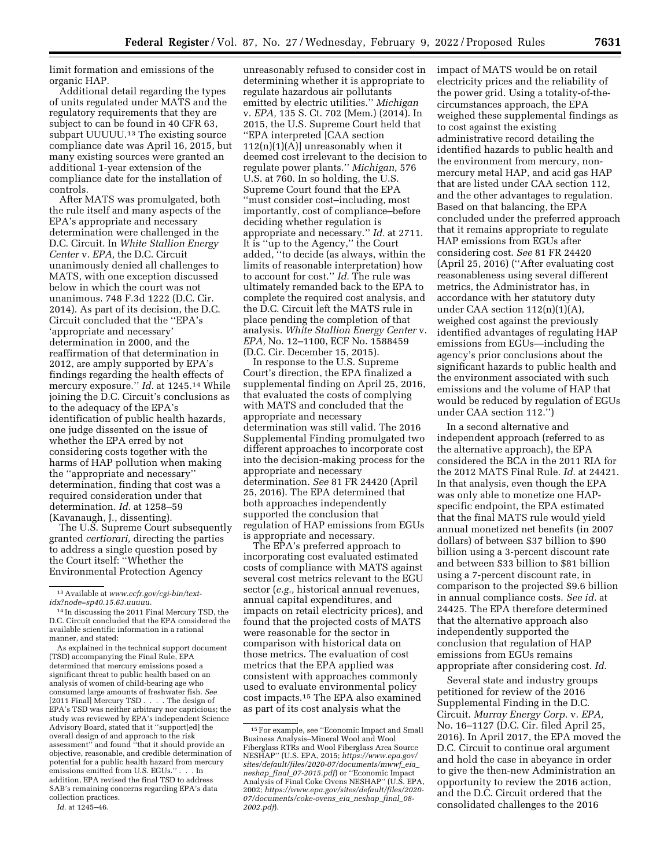limit formation and emissions of the organic HAP.

Additional detail regarding the types of units regulated under MATS and the regulatory requirements that they are subject to can be found in 40 CFR 63, subpart UUUUU.<sup>13</sup> The existing source compliance date was April 16, 2015, but many existing sources were granted an additional 1-year extension of the compliance date for the installation of controls.

After MATS was promulgated, both the rule itself and many aspects of the EPA's appropriate and necessary determination were challenged in the D.C. Circuit. In *White Stallion Energy Center* v. *EPA,* the D.C. Circuit unanimously denied all challenges to MATS, with one exception discussed below in which the court was not unanimous. 748 F.3d 1222 (D.C. Cir. 2014). As part of its decision, the D.C. Circuit concluded that the ''EPA's 'appropriate and necessary' determination in 2000, and the reaffirmation of that determination in 2012, are amply supported by EPA's findings regarding the health effects of mercury exposure.'' *Id.* at 1245.14 While joining the D.C. Circuit's conclusions as to the adequacy of the EPA's identification of public health hazards, one judge dissented on the issue of whether the EPA erred by not considering costs together with the harms of HAP pollution when making the ''appropriate and necessary'' determination, finding that cost was a required consideration under that determination. *Id.* at 1258–59 (Kavanaugh, J., dissenting).

The U.S. Supreme Court subsequently granted *certiorari,* directing the parties to address a single question posed by the Court itself: ''Whether the Environmental Protection Agency

As explained in the technical support document (TSD) accompanying the Final Rule, EPA determined that mercury emissions posed a significant threat to public health based on an analysis of women of child-bearing age who consumed large amounts of freshwater fish. *See*  [2011 Final] Mercury TSD . . . . The design of EPA's TSD was neither arbitrary nor capricious; the study was reviewed by EPA's independent Science Advisory Board, stated that it ''support[ed] the overall design of and approach to the risk assessment'' and found ''that it should provide an objective, reasonable, and credible determination of potential for a public health hazard from mercury emissions emitted from U.S. EGUs.'' . . . In addition, EPA revised the final TSD to address SAB's remaining concerns regarding EPA's data collection practices.

*Id.* at 1245–46.

unreasonably refused to consider cost in determining whether it is appropriate to regulate hazardous air pollutants emitted by electric utilities.'' *Michigan*  v. *EPA,* 135 S. Ct. 702 (Mem.) (2014). In 2015, the U.S. Supreme Court held that ''EPA interpreted [CAA section 112(n)(1)(A)] unreasonably when it deemed cost irrelevant to the decision to regulate power plants.'' *Michigan,* 576 U.S. at 760. In so holding, the U.S. Supreme Court found that the EPA ''must consider cost–including, most importantly, cost of compliance–before deciding whether regulation is appropriate and necessary.'' *Id.* at 2711. It is ''up to the Agency,'' the Court added, ''to decide (as always, within the limits of reasonable interpretation) how to account for cost.'' *Id.* The rule was ultimately remanded back to the EPA to complete the required cost analysis, and the D.C. Circuit left the MATS rule in place pending the completion of that analysis. *White Stallion Energy Center* v. *EPA,* No. 12–1100, ECF No. 1588459 (D.C. Cir. December 15, 2015).

In response to the U.S. Supreme Court's direction, the EPA finalized a supplemental finding on April 25, 2016, that evaluated the costs of complying with MATS and concluded that the appropriate and necessary determination was still valid. The 2016 Supplemental Finding promulgated two different approaches to incorporate cost into the decision-making process for the appropriate and necessary determination. *See* 81 FR 24420 (April 25, 2016). The EPA determined that both approaches independently supported the conclusion that regulation of HAP emissions from EGUs is appropriate and necessary.

The EPA's preferred approach to incorporating cost evaluated estimated costs of compliance with MATS against several cost metrics relevant to the EGU sector (*e.g.,* historical annual revenues, annual capital expenditures, and impacts on retail electricity prices), and found that the projected costs of MATS were reasonable for the sector in comparison with historical data on those metrics. The evaluation of cost metrics that the EPA applied was consistent with approaches commonly used to evaluate environmental policy cost impacts.15 The EPA also examined as part of its cost analysis what the

impact of MATS would be on retail electricity prices and the reliability of the power grid. Using a totality-of-thecircumstances approach, the EPA weighed these supplemental findings as to cost against the existing administrative record detailing the identified hazards to public health and the environment from mercury, nonmercury metal HAP, and acid gas HAP that are listed under CAA section 112, and the other advantages to regulation. Based on that balancing, the EPA concluded under the preferred approach that it remains appropriate to regulate HAP emissions from EGUs after considering cost. *See* 81 FR 24420 (April 25, 2016) (''After evaluating cost reasonableness using several different metrics, the Administrator has, in accordance with her statutory duty under CAA section  $112(n)(1)(A)$ , weighed cost against the previously identified advantages of regulating HAP emissions from EGUs—including the agency's prior conclusions about the significant hazards to public health and the environment associated with such emissions and the volume of HAP that would be reduced by regulation of EGUs under CAA section 112.'')

In a second alternative and independent approach (referred to as the alternative approach), the EPA considered the BCA in the 2011 RIA for the 2012 MATS Final Rule. *Id.* at 24421. In that analysis, even though the EPA was only able to monetize one HAPspecific endpoint, the EPA estimated that the final MATS rule would yield annual monetized net benefits (in 2007 dollars) of between \$37 billion to \$90 billion using a 3-percent discount rate and between \$33 billion to \$81 billion using a 7-percent discount rate, in comparison to the projected \$9.6 billion in annual compliance costs. *See id.* at 24425. The EPA therefore determined that the alternative approach also independently supported the conclusion that regulation of HAP emissions from EGUs remains appropriate after considering cost. *Id.* 

Several state and industry groups petitioned for review of the 2016 Supplemental Finding in the D.C. Circuit. *Murray Energy Corp.* v. *EPA,*  No. 16–1127 (D.C. Cir. filed April 25, 2016). In April 2017, the EPA moved the D.C. Circuit to continue oral argument and hold the case in abeyance in order to give the then-new Administration an opportunity to review the 2016 action, and the D.C. Circuit ordered that the consolidated challenges to the 2016

<sup>13</sup>Available at *[www.ecfr.gov/cgi-bin/text](http://www.ecfr.gov/cgi-bin/text-idx?node=sp40.15.63.uuuuu)[idx?node=sp40.15.63.uuuuu.](http://www.ecfr.gov/cgi-bin/text-idx?node=sp40.15.63.uuuuu)* 

<sup>14</sup> In discussing the 2011 Final Mercury TSD, the D.C. Circuit concluded that the EPA considered the available scientific information in a rational manner, and stated:

<sup>15</sup>For example, see ''Economic Impact and Small Business Analysis–Mineral Wool and Wool Fiberglass RTRs and Wool Fiberglass Area Source NESHAP'' (U.S. EPA, 2015; *[https://www.epa.gov/](https://www.epa.gov/sites/default/files/2020-07/documents/mwwf_eia_neshap_final_07-2015.pdf) [sites/default/files/2020-07/documents/mwwf](https://www.epa.gov/sites/default/files/2020-07/documents/mwwf_eia_neshap_final_07-2015.pdf)*\_*eia*\_ *neshap*\_*final*\_*[07-2015.pdf](https://www.epa.gov/sites/default/files/2020-07/documents/mwwf_eia_neshap_final_07-2015.pdf)*) or ''Economic Impact Analysis of Final Coke Ovens NESHAP'' (U.S. EPA, 2002; *[https://www.epa.gov/sites/default/files/2020-](https://www.epa.gov/sites/default/files/2020-07/documents/coke-ovens_eia_neshap_final_08-2002.pdf)  [07/documents/coke-ovens](https://www.epa.gov/sites/default/files/2020-07/documents/coke-ovens_eia_neshap_final_08-2002.pdf)*\_*eia*\_*neshap*\_*final*\_*08- [2002.pdf](https://www.epa.gov/sites/default/files/2020-07/documents/coke-ovens_eia_neshap_final_08-2002.pdf)*).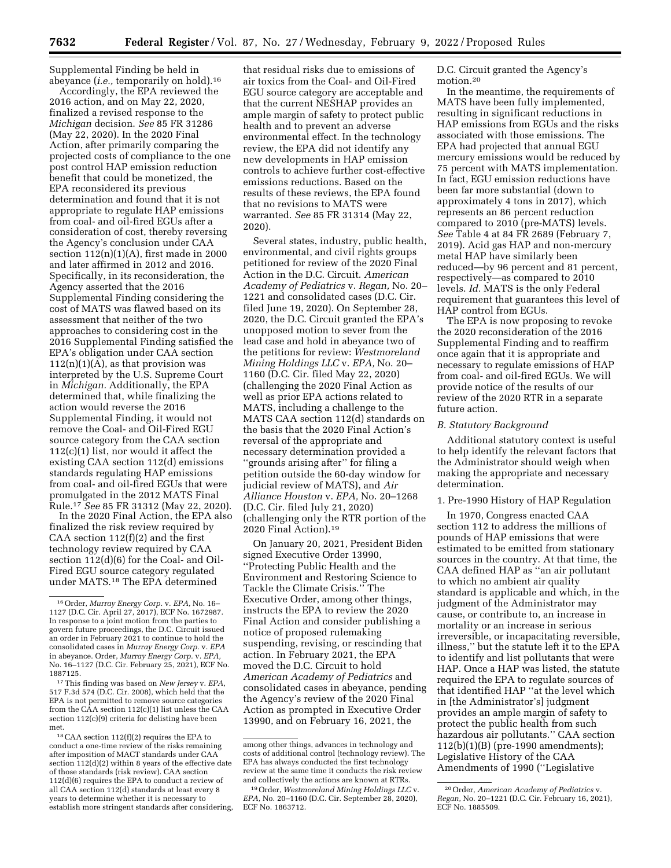Supplemental Finding be held in abeyance (*i.e.,* temporarily on hold).16

Accordingly, the EPA reviewed the 2016 action, and on May 22, 2020, finalized a revised response to the *Michigan* decision. *See* 85 FR 31286 (May 22, 2020). In the 2020 Final Action, after primarily comparing the projected costs of compliance to the one post control HAP emission reduction benefit that could be monetized, the EPA reconsidered its previous determination and found that it is not appropriate to regulate HAP emissions from coal- and oil-fired EGUs after a consideration of cost, thereby reversing the Agency's conclusion under CAA section  $112(n)(1)(A)$ , first made in 2000 and later affirmed in 2012 and 2016. Specifically, in its reconsideration, the Agency asserted that the 2016 Supplemental Finding considering the cost of MATS was flawed based on its assessment that neither of the two approaches to considering cost in the 2016 Supplemental Finding satisfied the EPA's obligation under CAA section  $112(n)(1)(A)$ , as that provision was interpreted by the U.S. Supreme Court in *Michigan.* Additionally, the EPA determined that, while finalizing the action would reverse the 2016 Supplemental Finding, it would not remove the Coal- and Oil-Fired EGU source category from the CAA section  $112(c)(1)$  list, nor would it affect the existing CAA section 112(d) emissions standards regulating HAP emissions from coal- and oil-fired EGUs that were promulgated in the 2012 MATS Final Rule.17 *See* 85 FR 31312 (May 22, 2020).

In the 2020 Final Action, the EPA also finalized the risk review required by CAA section 112(f)(2) and the first technology review required by CAA section 112(d)(6) for the Coal- and Oil-Fired EGU source category regulated under MATS.18 The EPA determined

that residual risks due to emissions of air toxics from the Coal- and Oil-Fired EGU source category are acceptable and that the current NESHAP provides an ample margin of safety to protect public health and to prevent an adverse environmental effect. In the technology review, the EPA did not identify any new developments in HAP emission controls to achieve further cost-effective emissions reductions. Based on the results of these reviews, the EPA found that no revisions to MATS were warranted. *See* 85 FR 31314 (May 22, 2020).

Several states, industry, public health, environmental, and civil rights groups petitioned for review of the 2020 Final Action in the D.C. Circuit. *American Academy of Pediatrics* v. *Regan,* No. 20– 1221 and consolidated cases (D.C. Cir. filed June 19, 2020). On September 28, 2020, the D.C. Circuit granted the EPA's unopposed motion to sever from the lead case and hold in abeyance two of the petitions for review: *Westmoreland Mining Holdings LLC* v. *EPA,* No. 20– 1160 (D.C. Cir. filed May 22, 2020) (challenging the 2020 Final Action as well as prior EPA actions related to MATS, including a challenge to the MATS CAA section 112(d) standards on the basis that the 2020 Final Action's reversal of the appropriate and necessary determination provided a ''grounds arising after'' for filing a petition outside the 60-day window for judicial review of MATS), and *Air Alliance Houston* v. *EPA,* No. 20–1268 (D.C. Cir. filed July 21, 2020) (challenging only the RTR portion of the 2020 Final Action).19

On January 20, 2021, President Biden signed Executive Order 13990, ''Protecting Public Health and the Environment and Restoring Science to Tackle the Climate Crisis.'' The Executive Order, among other things, instructs the EPA to review the 2020 Final Action and consider publishing a notice of proposed rulemaking suspending, revising, or rescinding that action. In February 2021, the EPA moved the D.C. Circuit to hold *American Academy of Pediatrics* and consolidated cases in abeyance, pending the Agency's review of the 2020 Final Action as prompted in Executive Order 13990, and on February 16, 2021, the

D.C. Circuit granted the Agency's motion.20

In the meantime, the requirements of MATS have been fully implemented, resulting in significant reductions in HAP emissions from EGUs and the risks associated with those emissions. The EPA had projected that annual EGU mercury emissions would be reduced by 75 percent with MATS implementation. In fact, EGU emission reductions have been far more substantial (down to approximately 4 tons in 2017), which represents an 86 percent reduction compared to 2010 (pre-MATS) levels. *See* Table 4 at 84 FR 2689 (February 7, 2019). Acid gas HAP and non-mercury metal HAP have similarly been reduced—by 96 percent and 81 percent, respectively—as compared to 2010 levels. *Id.* MATS is the only Federal requirement that guarantees this level of HAP control from EGUs.

The EPA is now proposing to revoke the 2020 reconsideration of the 2016 Supplemental Finding and to reaffirm once again that it is appropriate and necessary to regulate emissions of HAP from coal- and oil-fired EGUs. We will provide notice of the results of our review of the 2020 RTR in a separate future action.

#### *B. Statutory Background*

Additional statutory context is useful to help identify the relevant factors that the Administrator should weigh when making the appropriate and necessary determination.

#### 1. Pre-1990 History of HAP Regulation

In 1970, Congress enacted CAA section 112 to address the millions of pounds of HAP emissions that were estimated to be emitted from stationary sources in the country. At that time, the CAA defined HAP as ''an air pollutant to which no ambient air quality standard is applicable and which, in the judgment of the Administrator may cause, or contribute to, an increase in mortality or an increase in serious irreversible, or incapacitating reversible, illness,'' but the statute left it to the EPA to identify and list pollutants that were HAP. Once a HAP was listed, the statute required the EPA to regulate sources of that identified HAP ''at the level which in [the Administrator's] judgment provides an ample margin of safety to protect the public health from such hazardous air pollutants.'' CAA section 112(b)(1)(B) (pre-1990 amendments); Legislative History of the CAA Amendments of 1990 (''Legislative

<sup>16</sup>Order, *Murray Energy Corp.* v. *EPA,* No. 16– 1127 (D.C. Cir. April 27, 2017), ECF No. 1672987. In response to a joint motion from the parties to govern future proceedings, the D.C. Circuit issued an order in February 2021 to continue to hold the consolidated cases in *Murray Energy Corp.* v. *EPA*  in abeyance. Order, *Murray Energy Corp.* v. *EPA,*  No. 16–1127 (D.C. Cir. February 25, 2021), ECF No. 1887125.

<sup>17</sup>This finding was based on *New Jersey* v. *EPA,*  517 F.3d 574 (D.C. Cir. 2008), which held that the EPA is not permitted to remove source categories from the  $C\overline{A}A$  section 112(c)(1) list unless the  $C\overline{A}A$ section 112(c)(9) criteria for delisting have been met.

<sup>18</sup>CAA section 112(f)(2) requires the EPA to conduct a one-time review of the risks remaining after imposition of MACT standards under CAA section 112(d)(2) within 8 years of the effective date of those standards (risk review). CAA section 112(d)(6) requires the EPA to conduct a review of all CAA section 112(d) standards at least every 8 years to determine whether it is necessary to establish more stringent standards after considering,

among other things, advances in technology and costs of additional control (technology review). The EPA has always conducted the first technology review at the same time it conducts the risk review and collectively the actions are known at RTRs.

<sup>19</sup>Order, *Westmoreland Mining Holdings LLC* v. *EPA,* No. 20–1160 (D.C. Cir. September 28, 2020), ECF No. 1863712.

<sup>20</sup>Order, *American Academy of Pediatrics* v. *Regan,* No. 20–1221 (D.C. Cir. February 16, 2021), ECF No. 1885509.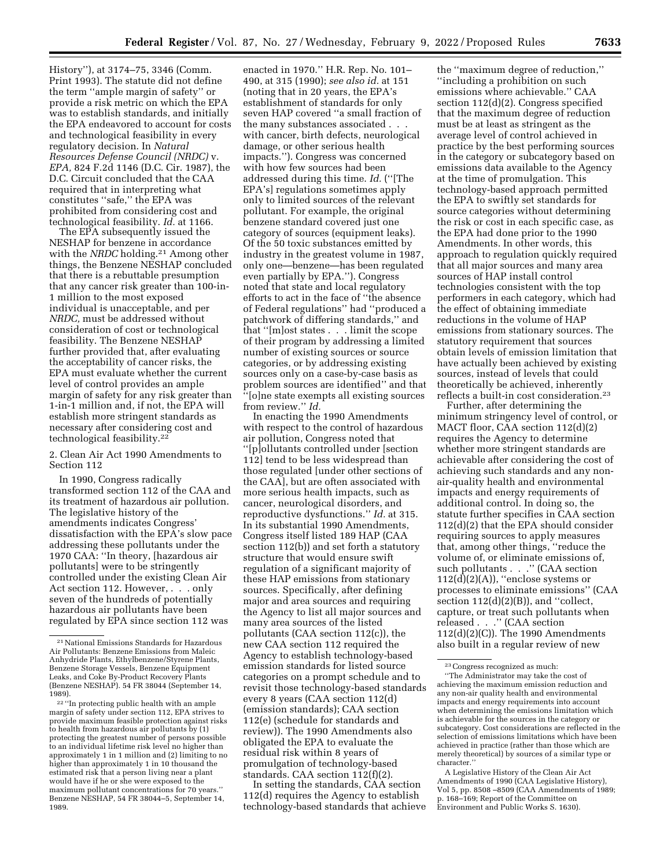History''), at 3174–75, 3346 (Comm. Print 1993). The statute did not define the term ''ample margin of safety'' or provide a risk metric on which the EPA was to establish standards, and initially the EPA endeavored to account for costs and technological feasibility in every regulatory decision. In *Natural Resources Defense Council (NRDC)* v. *EPA,* 824 F.2d 1146 (D.C. Cir. 1987), the D.C. Circuit concluded that the CAA required that in interpreting what constitutes ''safe,'' the EPA was prohibited from considering cost and technological feasibility. *Id.* at 1166.

The EPA subsequently issued the NESHAP for benzene in accordance with the *NRDC* holding.<sup>21</sup> Among other things, the Benzene NESHAP concluded that there is a rebuttable presumption that any cancer risk greater than 100-in-1 million to the most exposed individual is unacceptable, and per *NRDC,* must be addressed without consideration of cost or technological feasibility. The Benzene NESHAP further provided that, after evaluating the acceptability of cancer risks, the EPA must evaluate whether the current level of control provides an ample margin of safety for any risk greater than 1-in-1 million and, if not, the EPA will establish more stringent standards as necessary after considering cost and technological feasibility.22

2. Clean Air Act 1990 Amendments to Section 112

In 1990, Congress radically transformed section 112 of the CAA and its treatment of hazardous air pollution. The legislative history of the amendments indicates Congress' dissatisfaction with the EPA's slow pace addressing these pollutants under the 1970 CAA: ''In theory, [hazardous air pollutants] were to be stringently controlled under the existing Clean Air Act section 112. However, . . . only seven of the hundreds of potentially hazardous air pollutants have been regulated by EPA since section 112 was

margin of safety under section 112, EPA strives to provide maximum feasible protection against risks to health from hazardous air pollutants by (1) protecting the greatest number of persons possible to an individual lifetime risk level no higher than approximately 1 in 1 million and (2) limiting to no higher than approximately 1 in 10 thousand the estimated risk that a person living near a plant would have if he or she were exposed to the maximum pollutant concentrations for 70 years.'' Benzene NESHAP, 54 FR 38044–5, September 14, 1989.

enacted in 1970.'' H.R. Rep. No. 101– 490, at 315 (1990); *see also id.* at 151 (noting that in 20 years, the EPA's establishment of standards for only seven HAP covered ''a small fraction of the many substances associated . . . with cancer, birth defects, neurological damage, or other serious health impacts.''). Congress was concerned with how few sources had been addressed during this time. *Id.* (''[The EPA's] regulations sometimes apply only to limited sources of the relevant pollutant. For example, the original benzene standard covered just one category of sources (equipment leaks). Of the 50 toxic substances emitted by industry in the greatest volume in 1987, only one—benzene—has been regulated even partially by EPA.''). Congress noted that state and local regulatory efforts to act in the face of ''the absence of Federal regulations'' had ''produced a patchwork of differing standards,'' and that ''[m]ost states . . . limit the scope of their program by addressing a limited number of existing sources or source categories, or by addressing existing sources only on a case-by-case basis as problem sources are identified'' and that ''[o]ne state exempts all existing sources from review.'' *Id.* 

In enacting the 1990 Amendments with respect to the control of hazardous air pollution, Congress noted that ''[p]ollutants controlled under [section 112] tend to be less widespread than those regulated [under other sections of the CAA], but are often associated with more serious health impacts, such as cancer, neurological disorders, and reproductive dysfunctions.'' *Id.* at 315. In its substantial 1990 Amendments, Congress itself listed 189 HAP (CAA section 112(b)) and set forth a statutory structure that would ensure swift regulation of a significant majority of these HAP emissions from stationary sources. Specifically, after defining major and area sources and requiring the Agency to list all major sources and many area sources of the listed pollutants (CAA section 112(c)), the new CAA section 112 required the Agency to establish technology-based emission standards for listed source categories on a prompt schedule and to revisit those technology-based standards every 8 years (CAA section 112(d) (emission standards); CAA section 112(e) (schedule for standards and review)). The 1990 Amendments also obligated the EPA to evaluate the residual risk within 8 years of promulgation of technology-based standards. CAA section 112(f)(2).

In setting the standards, CAA section 112(d) requires the Agency to establish technology-based standards that achieve

the ''maximum degree of reduction,'' ''including a prohibition on such emissions where achievable.'' CAA section 112(d)(2). Congress specified that the maximum degree of reduction must be at least as stringent as the average level of control achieved in practice by the best performing sources in the category or subcategory based on emissions data available to the Agency at the time of promulgation. This technology-based approach permitted the EPA to swiftly set standards for source categories without determining the risk or cost in each specific case, as the EPA had done prior to the 1990 Amendments. In other words, this approach to regulation quickly required that all major sources and many area sources of HAP install control technologies consistent with the top performers in each category, which had the effect of obtaining immediate reductions in the volume of HAP emissions from stationary sources. The statutory requirement that sources obtain levels of emission limitation that have actually been achieved by existing sources, instead of levels that could theoretically be achieved, inherently reflects a built-in cost consideration.23

Further, after determining the minimum stringency level of control, or MACT floor, CAA section 112(d)(2) requires the Agency to determine whether more stringent standards are achievable after considering the cost of achieving such standards and any nonair-quality health and environmental impacts and energy requirements of additional control. In doing so, the statute further specifies in CAA section 112(d)(2) that the EPA should consider requiring sources to apply measures that, among other things, ''reduce the volume of, or eliminate emissions of, such pollutants . . .'' (CAA section  $112(d)(2)(A)$ , "enclose systems or processes to eliminate emissions'' (CAA section  $112(d)(2)(B)$ , and "collect, capture, or treat such pollutants when released . . .'' (CAA section 112(d)(2)(C)). The 1990 Amendments also built in a regular review of new

A Legislative History of the Clean Air Act Amendments of 1990 (CAA Legislative History), Vol 5, pp. 8508 –8509 (CAA Amendments of 1989; p. 168–169; Report of the Committee on Environment and Public Works S. 1630).

<sup>21</sup>National Emissions Standards for Hazardous Air Pollutants: Benzene Emissions from Maleic Anhydride Plants, Ethylbenzene/Styrene Plants, Benzene Storage Vessels, Benzene Equipment Leaks, and Coke By-Product Recovery Plants (Benzene NESHAP). 54 FR 38044 (September 14, 1989).<br> $22$  "In protecting public health with an ample

<sup>23</sup>Congress recognized as much:

<sup>&#</sup>x27;'The Administrator may take the cost of achieving the maximum emission reduction and any non-air quality health and environmental impacts and energy requirements into account when determining the emissions limitation which is achievable for the sources in the category or subcategory. Cost considerations are reflected in the selection of emissions limitations which have been achieved in practice (rather than those which are merely theoretical) by sources of a similar type or character.''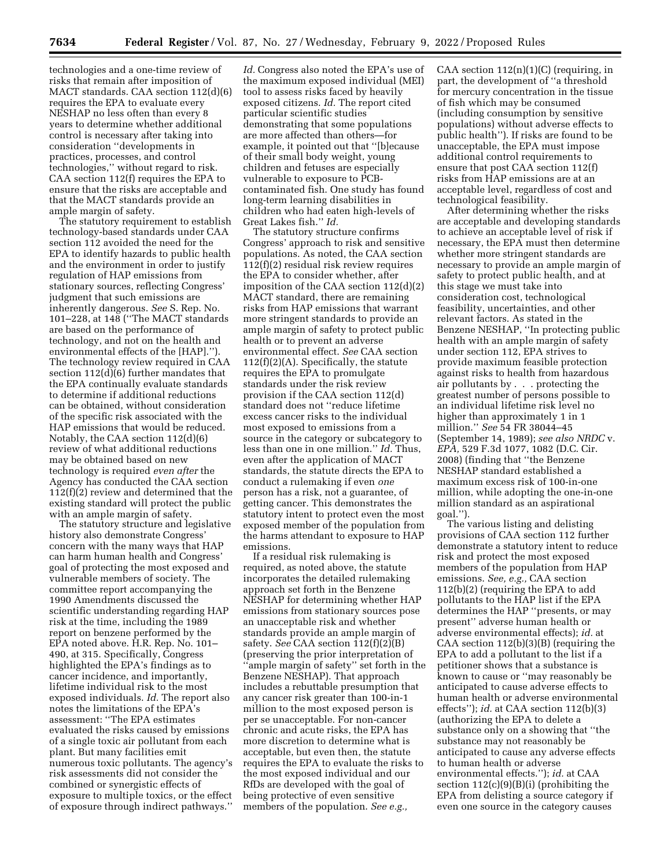technologies and a one-time review of risks that remain after imposition of MACT standards. CAA section 112(d)(6) requires the EPA to evaluate every NESHAP no less often than every 8 years to determine whether additional control is necessary after taking into consideration ''developments in practices, processes, and control technologies,'' without regard to risk. CAA section 112(f) requires the EPA to ensure that the risks are acceptable and that the MACT standards provide an ample margin of safety.

The statutory requirement to establish technology-based standards under CAA section 112 avoided the need for the EPA to identify hazards to public health and the environment in order to justify regulation of HAP emissions from stationary sources, reflecting Congress' judgment that such emissions are inherently dangerous. *See* S. Rep. No. 101–228, at 148 (''The MACT standards are based on the performance of technology, and not on the health and environmental effects of the [HAP].''). The technology review required in CAA section 112(d)(6) further mandates that the EPA continually evaluate standards to determine if additional reductions can be obtained, without consideration of the specific risk associated with the HAP emissions that would be reduced. Notably, the CAA section 112(d)(6) review of what additional reductions may be obtained based on new technology is required *even after* the Agency has conducted the CAA section 112(f)(2) review and determined that the existing standard will protect the public with an ample margin of safety.

The statutory structure and legislative history also demonstrate Congress' concern with the many ways that HAP can harm human health and Congress' goal of protecting the most exposed and vulnerable members of society. The committee report accompanying the 1990 Amendments discussed the scientific understanding regarding HAP risk at the time, including the 1989 report on benzene performed by the EPA noted above. H.R. Rep. No. 101– 490, at 315. Specifically, Congress highlighted the EPA's findings as to cancer incidence, and importantly, lifetime individual risk to the most exposed individuals. *Id.* The report also notes the limitations of the EPA's assessment: ''The EPA estimates evaluated the risks caused by emissions of a single toxic air pollutant from each plant. But many facilities emit numerous toxic pollutants. The agency's risk assessments did not consider the combined or synergistic effects of exposure to multiple toxics, or the effect of exposure through indirect pathways.''

*Id.* Congress also noted the EPA's use of the maximum exposed individual (MEI) tool to assess risks faced by heavily exposed citizens. *Id.* The report cited particular scientific studies demonstrating that some populations are more affected than others—for example, it pointed out that ''[b]ecause of their small body weight, young children and fetuses are especially vulnerable to exposure to PCBcontaminated fish. One study has found long-term learning disabilities in children who had eaten high-levels of Great Lakes fish.'' *Id.* 

The statutory structure confirms Congress' approach to risk and sensitive populations. As noted, the CAA section 112(f)(2) residual risk review requires the EPA to consider whether, after imposition of the CAA section 112(d)(2) MACT standard, there are remaining risks from HAP emissions that warrant more stringent standards to provide an ample margin of safety to protect public health or to prevent an adverse environmental effect. *See* CAA section 112(f)(2)(A). Specifically, the statute requires the EPA to promulgate standards under the risk review provision if the CAA section 112(d) standard does not ''reduce lifetime excess cancer risks to the individual most exposed to emissions from a source in the category or subcategory to less than one in one million.'' *Id.* Thus, even after the application of MACT standards, the statute directs the EPA to conduct a rulemaking if even *one*  person has a risk, not a guarantee, of getting cancer. This demonstrates the statutory intent to protect even the most exposed member of the population from the harms attendant to exposure to HAP emissions.

If a residual risk rulemaking is required, as noted above, the statute incorporates the detailed rulemaking approach set forth in the Benzene NESHAP for determining whether HAP emissions from stationary sources pose an unacceptable risk and whether standards provide an ample margin of safety. *See* CAA section 112(f)(2)(B) (preserving the prior interpretation of 'ample margin of safety'' set forth in the Benzene NESHAP). That approach includes a rebuttable presumption that any cancer risk greater than 100-in-1 million to the most exposed person is per se unacceptable. For non-cancer chronic and acute risks, the EPA has more discretion to determine what is acceptable, but even then, the statute requires the EPA to evaluate the risks to the most exposed individual and our RfDs are developed with the goal of being protective of even sensitive members of the population. *See e.g.,* 

CAA section  $112(n)(1)(C)$  (requiring, in part, the development of ''a threshold for mercury concentration in the tissue of fish which may be consumed (including consumption by sensitive populations) without adverse effects to public health''). If risks are found to be unacceptable, the EPA must impose additional control requirements to ensure that post CAA section 112(f) risks from HAP emissions are at an acceptable level, regardless of cost and technological feasibility.

After determining whether the risks are acceptable and developing standards to achieve an acceptable level of risk if necessary, the EPA must then determine whether more stringent standards are necessary to provide an ample margin of safety to protect public health, and at this stage we must take into consideration cost, technological feasibility, uncertainties, and other relevant factors. As stated in the Benzene NESHAP, ''In protecting public health with an ample margin of safety under section 112, EPA strives to provide maximum feasible protection against risks to health from hazardous air pollutants by . . . protecting the greatest number of persons possible to an individual lifetime risk level no higher than approximately 1 in 1 million.'' *See* 54 FR 38044–45 (September 14, 1989); *see also NRDC* v. *EPA,* 529 F.3d 1077, 1082 (D.C. Cir. 2008) (finding that ''the Benzene NESHAP standard established a maximum excess risk of 100-in-one million, while adopting the one-in-one million standard as an aspirational goal.'').

The various listing and delisting provisions of CAA section 112 further demonstrate a statutory intent to reduce risk and protect the most exposed members of the population from HAP emissions. *See, e.g.,* CAA section 112(b)(2) (requiring the EPA to add pollutants to the HAP list if the EPA determines the HAP ''presents, or may present'' adverse human health or adverse environmental effects); *id.* at CAA section 112(b)(3)(B) (requiring the EPA to add a pollutant to the list if a petitioner shows that a substance is known to cause or ''may reasonably be anticipated to cause adverse effects to human health or adverse environmental effects''); *id.* at CAA section 112(b)(3) (authorizing the EPA to delete a substance only on a showing that ''the substance may not reasonably be anticipated to cause any adverse effects to human health or adverse environmental effects.''); *id.* at CAA section 112(c)(9)(B)(i) (prohibiting the EPA from delisting a source category if even one source in the category causes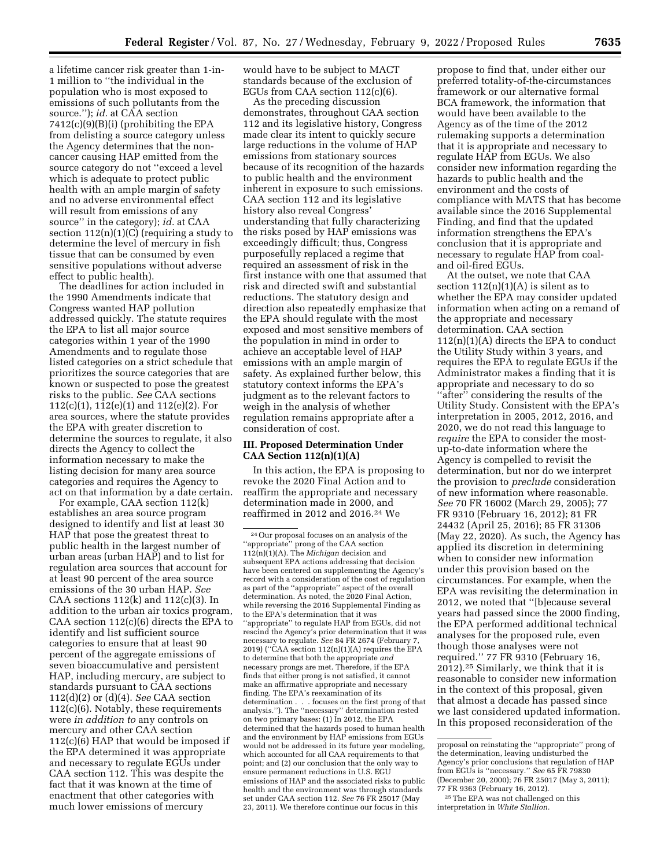a lifetime cancer risk greater than 1-in-1 million to ''the individual in the population who is most exposed to emissions of such pollutants from the source.''); *id.* at CAA section 7412(c)(9)(B)(i) (prohibiting the EPA from delisting a source category unless the Agency determines that the noncancer causing HAP emitted from the source category do not ''exceed a level which is adequate to protect public health with an ample margin of safety and no adverse environmental effect will result from emissions of any source'' in the category); *id.* at CAA section  $112(n)(1)(C)$  (requiring a study to determine the level of mercury in fish tissue that can be consumed by even sensitive populations without adverse effect to public health).

The deadlines for action included in the 1990 Amendments indicate that Congress wanted HAP pollution addressed quickly. The statute requires the EPA to list all major source categories within 1 year of the 1990 Amendments and to regulate those listed categories on a strict schedule that prioritizes the source categories that are known or suspected to pose the greatest risks to the public. *See* CAA sections 112(c)(1), 112(e)(1) and 112(e)(2). For area sources, where the statute provides the EPA with greater discretion to determine the sources to regulate, it also directs the Agency to collect the information necessary to make the listing decision for many area source categories and requires the Agency to act on that information by a date certain.

For example, CAA section 112(k) establishes an area source program designed to identify and list at least 30 HAP that pose the greatest threat to public health in the largest number of urban areas (urban HAP) and to list for regulation area sources that account for at least 90 percent of the area source emissions of the 30 urban HAP. *See*  CAA sections  $112(k)$  and  $112(c)(3)$ . In addition to the urban air toxics program, CAA section 112(c)(6) directs the EPA to identify and list sufficient source categories to ensure that at least 90 percent of the aggregate emissions of seven bioaccumulative and persistent HAP, including mercury, are subject to standards pursuant to CAA sections 112(d)(2) or (d)(4). *See* CAA section 112(c)(6). Notably, these requirements were *in addition to* any controls on mercury and other CAA section 112(c)(6) HAP that would be imposed if the EPA determined it was appropriate and necessary to regulate EGUs under CAA section 112. This was despite the fact that it was known at the time of enactment that other categories with much lower emissions of mercury

would have to be subject to MACT standards because of the exclusion of EGUs from CAA section 112(c)(6).

As the preceding discussion demonstrates, throughout CAA section 112 and its legislative history, Congress made clear its intent to quickly secure large reductions in the volume of HAP emissions from stationary sources because of its recognition of the hazards to public health and the environment inherent in exposure to such emissions. CAA section 112 and its legislative history also reveal Congress' understanding that fully characterizing the risks posed by HAP emissions was exceedingly difficult; thus, Congress purposefully replaced a regime that required an assessment of risk in the first instance with one that assumed that risk and directed swift and substantial reductions. The statutory design and direction also repeatedly emphasize that the EPA should regulate with the most exposed and most sensitive members of the population in mind in order to achieve an acceptable level of HAP emissions with an ample margin of safety. As explained further below, this statutory context informs the EPA's judgment as to the relevant factors to weigh in the analysis of whether regulation remains appropriate after a consideration of cost.

# **III. Proposed Determination Under CAA Section 112(n)(1)(A)**

In this action, the EPA is proposing to revoke the 2020 Final Action and to reaffirm the appropriate and necessary determination made in 2000, and reaffirmed in 2012 and 2016.24 We

propose to find that, under either our preferred totality-of-the-circumstances framework or our alternative formal BCA framework, the information that would have been available to the Agency as of the time of the 2012 rulemaking supports a determination that it is appropriate and necessary to regulate HAP from EGUs. We also consider new information regarding the hazards to public health and the environment and the costs of compliance with MATS that has become available since the 2016 Supplemental Finding, and find that the updated information strengthens the EPA's conclusion that it is appropriate and necessary to regulate HAP from coaland oil-fired EGUs.

At the outset, we note that CAA section  $112(n)(1)(A)$  is silent as to whether the EPA may consider updated information when acting on a remand of the appropriate and necessary determination. CAA section  $112(n)(1)(A)$  directs the EPA to conduct the Utility Study within 3 years, and requires the EPA to regulate EGUs if the Administrator makes a finding that it is appropriate and necessary to do so "after" considering the results of the Utility Study. Consistent with the EPA's interpretation in 2005, 2012, 2016, and 2020, we do not read this language to *require* the EPA to consider the mostup-to-date information where the Agency is compelled to revisit the determination, but nor do we interpret the provision to *preclude* consideration of new information where reasonable. *See* 70 FR 16002 (March 29, 2005); 77 FR 9310 (February 16, 2012); 81 FR 24432 (April 25, 2016); 85 FR 31306 (May 22, 2020). As such, the Agency has applied its discretion in determining when to consider new information under this provision based on the circumstances. For example, when the EPA was revisiting the determination in 2012, we noted that ''[b]ecause several years had passed since the 2000 finding, the EPA performed additional technical analyses for the proposed rule, even though those analyses were not required." 77 FR 9310 (February 16, 2012).25 Similarly, we think that it is reasonable to consider new information in the context of this proposal, given that almost a decade has passed since we last considered updated information. In this proposed reconsideration of the

25The EPA was not challenged on this interpretation in *White Stallion.* 

<sup>24</sup>Our proposal focuses on an analysis of the ''appropriate'' prong of the CAA section 112(n)(1)(A). The *Michigan* decision and subsequent EPA actions addressing that decision have been centered on supplementing the Agency's record with a consideration of the cost of regulation as part of the ''appropriate'' aspect of the overall determination. As noted, the 2020 Final Action, while reversing the 2016 Supplemental Finding as to the EPA's determination that it was ''appropriate'' to regulate HAP from EGUs, did not rescind the Agency's prior determination that it was necessary to regulate. *See* 84 FR 2674 (February 7, 2019) (''CAA section 112(n)(1)(A) requires the EPA to determine that both the appropriate *and*  necessary prongs are met. Therefore, if the EPA finds that either prong is not satisfied, it cannot make an affirmative appropriate and necessary finding. The EPA's reexamination of its determination . . . focuses on the first prong of that analysis.''). The ''necessary'' determination rested on two primary bases: (1) In 2012, the EPA determined that the hazards posed to human health and the environment by HAP emissions from EGUs would not be addressed in its future year modeling, which accounted for all CAA requirements to that point; and (2) our conclusion that the only way to ensure permanent reductions in U.S. EGU emissions of HAP and the associated risks to public health and the environment was through standards set under CAA section 112. *See* 76 FR 25017 (May 23, 2011). We therefore continue our focus in this

proposal on reinstating the ''appropriate'' prong of the determination, leaving undisturbed the Agency's prior conclusions that regulation of HAP from EGUs is ''necessary.'' *See* 65 FR 79830 (December 20, 2000); 76 FR 25017 (May 3, 2011); 77 FR 9363 (February 16, 2012).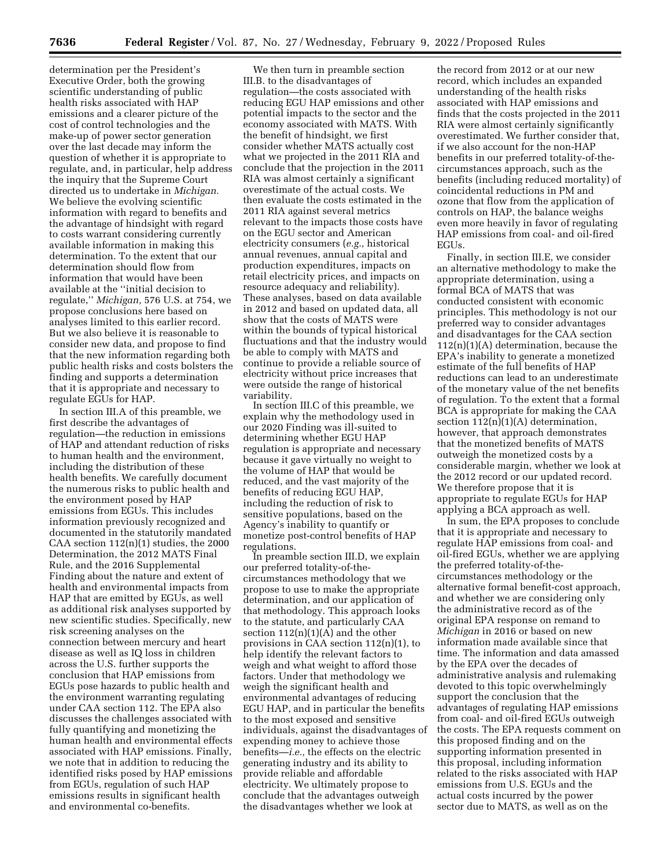determination per the President's Executive Order, both the growing scientific understanding of public health risks associated with HAP emissions and a clearer picture of the cost of control technologies and the make-up of power sector generation over the last decade may inform the question of whether it is appropriate to regulate, and, in particular, help address the inquiry that the Supreme Court directed us to undertake in *Michigan.*  We believe the evolving scientific information with regard to benefits and the advantage of hindsight with regard to costs warrant considering currently available information in making this determination. To the extent that our determination should flow from information that would have been available at the ''initial decision to regulate,'' *Michigan,* 576 U.S. at 754, we propose conclusions here based on analyses limited to this earlier record. But we also believe it is reasonable to consider new data, and propose to find that the new information regarding both public health risks and costs bolsters the finding and supports a determination that it is appropriate and necessary to regulate EGUs for HAP.

In section III.A of this preamble, we first describe the advantages of regulation—the reduction in emissions of HAP and attendant reduction of risks to human health and the environment, including the distribution of these health benefits. We carefully document the numerous risks to public health and the environment posed by HAP emissions from EGUs. This includes information previously recognized and documented in the statutorily mandated CAA section  $112(n)(1)$  studies, the 2000 Determination, the 2012 MATS Final Rule, and the 2016 Supplemental Finding about the nature and extent of health and environmental impacts from HAP that are emitted by EGUs, as well as additional risk analyses supported by new scientific studies. Specifically, new risk screening analyses on the connection between mercury and heart disease as well as IQ loss in children across the U.S. further supports the conclusion that HAP emissions from EGUs pose hazards to public health and the environment warranting regulating under CAA section 112. The EPA also discusses the challenges associated with fully quantifying and monetizing the human health and environmental effects associated with HAP emissions. Finally, we note that in addition to reducing the identified risks posed by HAP emissions from EGUs, regulation of such HAP emissions results in significant health and environmental co-benefits.

We then turn in preamble section III.B. to the disadvantages of regulation—the costs associated with reducing EGU HAP emissions and other potential impacts to the sector and the economy associated with MATS. With the benefit of hindsight, we first consider whether MATS actually cost what we projected in the 2011 RIA and conclude that the projection in the 2011 RIA was almost certainly a significant overestimate of the actual costs. We then evaluate the costs estimated in the 2011 RIA against several metrics relevant to the impacts those costs have on the EGU sector and American electricity consumers (*e.g.,* historical annual revenues, annual capital and production expenditures, impacts on retail electricity prices, and impacts on resource adequacy and reliability). These analyses, based on data available in 2012 and based on updated data, all show that the costs of MATS were within the bounds of typical historical fluctuations and that the industry would be able to comply with MATS and continue to provide a reliable source of electricity without price increases that were outside the range of historical variability.

In section III.C of this preamble, we explain why the methodology used in our 2020 Finding was ill-suited to determining whether EGU HAP regulation is appropriate and necessary because it gave virtually no weight to the volume of HAP that would be reduced, and the vast majority of the benefits of reducing EGU HAP, including the reduction of risk to sensitive populations, based on the Agency's inability to quantify or monetize post-control benefits of HAP regulations.

In preamble section III.D, we explain our preferred totality-of-thecircumstances methodology that we propose to use to make the appropriate determination, and our application of that methodology. This approach looks to the statute, and particularly CAA section  $112(n)(1)(A)$  and the other provisions in CAA section 112(n)(1), to help identify the relevant factors to weigh and what weight to afford those factors. Under that methodology we weigh the significant health and environmental advantages of reducing EGU HAP, and in particular the benefits to the most exposed and sensitive individuals, against the disadvantages of expending money to achieve those benefits—*i.e.,* the effects on the electric generating industry and its ability to provide reliable and affordable electricity. We ultimately propose to conclude that the advantages outweigh the disadvantages whether we look at

the record from 2012 or at our new record, which includes an expanded understanding of the health risks associated with HAP emissions and finds that the costs projected in the 2011 RIA were almost certainly significantly overestimated. We further consider that, if we also account for the non-HAP benefits in our preferred totality-of-thecircumstances approach, such as the benefits (including reduced mortality) of coincidental reductions in PM and ozone that flow from the application of controls on HAP, the balance weighs even more heavily in favor of regulating HAP emissions from coal- and oil-fired EGUs.

Finally, in section III.E, we consider an alternative methodology to make the appropriate determination, using a formal BCA of MATS that was conducted consistent with economic principles. This methodology is not our preferred way to consider advantages and disadvantages for the CAA section  $112(n)(1)(A)$  determination, because the EPA's inability to generate a monetized estimate of the full benefits of HAP reductions can lead to an underestimate of the monetary value of the net benefits of regulation. To the extent that a formal BCA is appropriate for making the CAA section  $112(n)(1)(A)$  determination, however, that approach demonstrates that the monetized benefits of MATS outweigh the monetized costs by a considerable margin, whether we look at the 2012 record or our updated record. We therefore propose that it is appropriate to regulate EGUs for HAP applying a BCA approach as well.

In sum, the EPA proposes to conclude that it is appropriate and necessary to regulate HAP emissions from coal- and oil-fired EGUs, whether we are applying the preferred totality-of-thecircumstances methodology or the alternative formal benefit-cost approach, and whether we are considering only the administrative record as of the original EPA response on remand to *Michigan* in 2016 or based on new information made available since that time. The information and data amassed by the EPA over the decades of administrative analysis and rulemaking devoted to this topic overwhelmingly support the conclusion that the advantages of regulating HAP emissions from coal- and oil-fired EGUs outweigh the costs. The EPA requests comment on this proposed finding and on the supporting information presented in this proposal, including information related to the risks associated with HAP emissions from U.S. EGUs and the actual costs incurred by the power sector due to MATS, as well as on the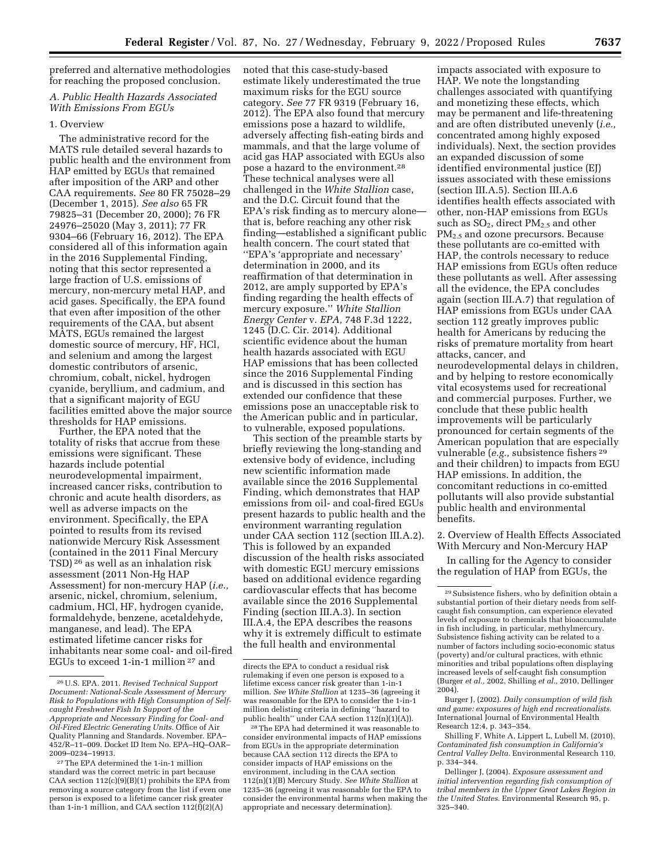preferred and alternative methodologies for reaching the proposed conclusion.

# *A. Public Health Hazards Associated With Emissions From EGUs*

### 1. Overview

The administrative record for the MATS rule detailed several hazards to public health and the environment from HAP emitted by EGUs that remained after imposition of the ARP and other CAA requirements. *See* 80 FR 75028–29 (December 1, 2015). *See also* 65 FR 79825–31 (December 20, 2000); 76 FR 24976–25020 (May 3, 2011); 77 FR 9304–66 (February 16, 2012). The EPA considered all of this information again in the 2016 Supplemental Finding, noting that this sector represented a large fraction of U.S. emissions of mercury, non-mercury metal HAP, and acid gases. Specifically, the EPA found that even after imposition of the other requirements of the CAA, but absent MATS, EGUs remained the largest domestic source of mercury, HF, HCl, and selenium and among the largest domestic contributors of arsenic, chromium, cobalt, nickel, hydrogen cyanide, beryllium, and cadmium, and that a significant majority of EGU facilities emitted above the major source thresholds for HAP emissions.

Further, the EPA noted that the totality of risks that accrue from these emissions were significant. These hazards include potential neurodevelopmental impairment, increased cancer risks, contribution to chronic and acute health disorders, as well as adverse impacts on the environment. Specifically, the EPA pointed to results from its revised nationwide Mercury Risk Assessment (contained in the 2011 Final Mercury TSD) 26 as well as an inhalation risk assessment (2011 Non-Hg HAP Assessment) for non-mercury HAP (*i.e.,*  arsenic, nickel, chromium, selenium, cadmium, HCl, HF, hydrogen cyanide, formaldehyde, benzene, acetaldehyde, manganese, and lead). The EPA estimated lifetime cancer risks for inhabitants near some coal- and oil-fired EGUs to exceed 1-in-1 million 27 and

noted that this case-study-based estimate likely underestimated the true maximum risks for the EGU source category. *See* 77 FR 9319 (February 16, 2012). The EPA also found that mercury emissions pose a hazard to wildlife, adversely affecting fish-eating birds and mammals, and that the large volume of acid gas HAP associated with EGUs also pose a hazard to the environment.28 These technical analyses were all challenged in the *White Stallion* case, and the D.C. Circuit found that the EPA's risk finding as to mercury alone that is, before reaching any other risk finding—established a significant public health concern. The court stated that ''EPA's 'appropriate and necessary' determination in 2000, and its reaffirmation of that determination in 2012, are amply supported by EPA's finding regarding the health effects of mercury exposure.'' *White Stallion Energy Center* v. *EPA,* 748 F.3d 1222, 1245 (D.C. Cir. 2014). Additional scientific evidence about the human health hazards associated with EGU HAP emissions that has been collected since the 2016 Supplemental Finding and is discussed in this section has extended our confidence that these emissions pose an unacceptable risk to the American public and in particular, to vulnerable, exposed populations.

This section of the preamble starts by briefly reviewing the long-standing and extensive body of evidence, including new scientific information made available since the 2016 Supplemental Finding, which demonstrates that HAP emissions from oil- and coal-fired EGUs present hazards to public health and the environment warranting regulation under CAA section 112 (section III.A.2). This is followed by an expanded discussion of the health risks associated with domestic EGU mercury emissions based on additional evidence regarding cardiovascular effects that has become available since the 2016 Supplemental Finding (section III.A.3). In section III.A.4, the EPA describes the reasons why it is extremely difficult to estimate the full health and environmental

impacts associated with exposure to HAP. We note the longstanding challenges associated with quantifying and monetizing these effects, which may be permanent and life-threatening and are often distributed unevenly (*i.e.,*  concentrated among highly exposed individuals). Next, the section provides an expanded discussion of some identified environmental justice (EJ) issues associated with these emissions (section III.A.5). Section III.A.6 identifies health effects associated with other, non-HAP emissions from EGUs such as  $SO_2$ , direct  $PM_{2.5}$  and other PM<sub>2.5</sub> and ozone precursors. Because these pollutants are co-emitted with HAP, the controls necessary to reduce HAP emissions from EGUs often reduce these pollutants as well. After assessing all the evidence, the EPA concludes again (section III.A.7) that regulation of HAP emissions from EGUs under CAA section 112 greatly improves public health for Americans by reducing the risks of premature mortality from heart attacks, cancer, and neurodevelopmental delays in children, and by helping to restore economically vital ecosystems used for recreational and commercial purposes. Further, we conclude that these public health improvements will be particularly pronounced for certain segments of the American population that are especially vulnerable (*e.g.,* subsistence fishers 29 and their children) to impacts from EGU HAP emissions. In addition, the concomitant reductions in co-emitted pollutants will also provide substantial public health and environmental benefits.

2. Overview of Health Effects Associated With Mercury and Non-Mercury HAP

In calling for the Agency to consider the regulation of HAP from EGUs, the

Burger J, (2002). *Daily consumption of wild fish and game: exposures of high end recreationalists.*  International Journal of Environmental Health Research 12:4, p. 343–354.

<sup>26</sup>U.S. EPA. 2011. *Revised Technical Support Document: National-Scale Assessment of Mercury Risk to Populations with High Consumption of Selfcaught Freshwater Fish In Support of the Appropriate and Necessary Finding for Coal- and Oil-Fired Electric Generating Units.* Office of Air Quality Planning and Standards. November. EPA– 452/R–11–009. Docket ID Item No. EPA–HQ–OAR– 2009–0234–19913.

<sup>27</sup>The EPA determined the 1-in-1 million standard was the correct metric in part because CAA section 112(c)(9)(B)(1) prohibits the EPA from removing a source category from the list if even one person is exposed to a lifetime cancer risk greater than 1-in-1 million, and CAA section  $112(\tilde{f})(2)(A)$ 

directs the EPA to conduct a residual risk rulemaking if even one person is exposed to a lifetime excess cancer risk greater than 1-in-1 million. *See White Stallion* at 1235–36 (agreeing it was reasonable for the EPA to consider the 1-in-1 million delisting criteria in defining ''hazard to public health" under CAA section 112(n)(1)(A)).

<sup>28</sup>The EPA had determined it was reasonable to consider environmental impacts of HAP emissions from EGUs in the appropriate determination because CAA section 112 directs the EPA to consider impacts of HAP emissions on the environment, including in the CAA section 112(n)(1)(B) Mercury Study. *See White Stallion* at 1235–36 (agreeing it was reasonable for the EPA to consider the environmental harms when making the appropriate and necessary determination).

<sup>29</sup>Subsistence fishers, who by definition obtain a substantial portion of their dietary needs from selfcaught fish consumption, can experience elevated levels of exposure to chemicals that bioaccumulate in fish including, in particular, methylmercury. Subsistence fishing activity can be related to a number of factors including socio-economic status (poverty) and/or cultural practices, with ethnic minorities and tribal populations often displaying increased levels of self-caught fish consumption (Burger *et al.,* 2002, Shilling *et al.,* 2010, Dellinger 2004).

Shilling F, White A, Lippert L, Lubell M, (2010). *Contaminated fish consumption in California's Central Valley Delta.* Environmental Research 110, p. 334–344.

Dellinger J, (2004). *Exposure assessment and initial intervention regarding fish consumption of tribal members in the Upper Great Lakes Region in the United States.* Environmental Research 95, p. 325–340.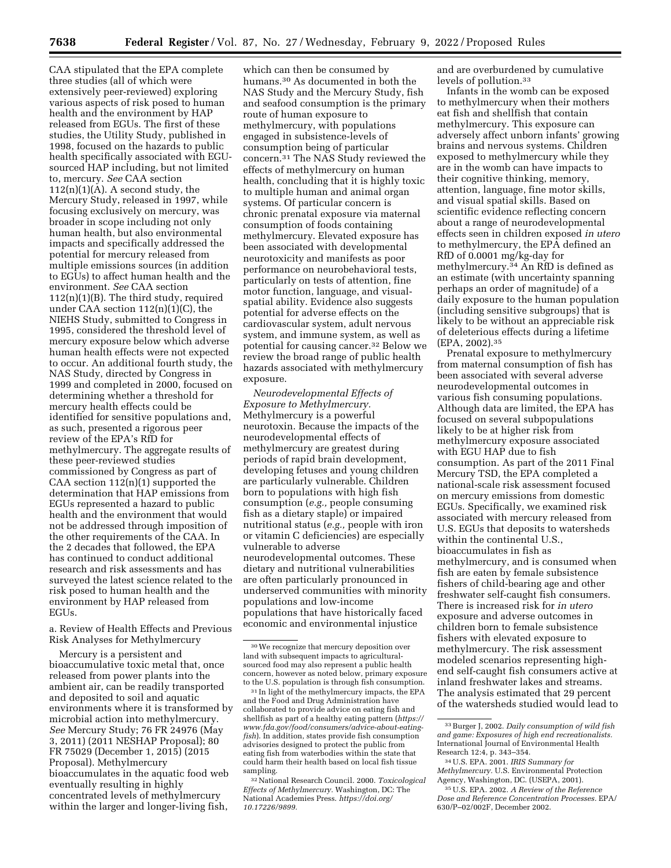CAA stipulated that the EPA complete three studies (all of which were extensively peer-reviewed) exploring various aspects of risk posed to human health and the environment by HAP released from EGUs. The first of these studies, the Utility Study, published in 1998, focused on the hazards to public health specifically associated with EGUsourced HAP including, but not limited to, mercury. *See* CAA section  $112(n)(1)(A)$ . A second study, the Mercury Study, released in 1997, while focusing exclusively on mercury, was broader in scope including not only human health, but also environmental impacts and specifically addressed the potential for mercury released from multiple emissions sources (in addition to EGUs) to affect human health and the environment. *See* CAA section 112(n)(1)(B). The third study, required under CAA section  $112(n)(1)(C)$ , the NIEHS Study, submitted to Congress in 1995, considered the threshold level of mercury exposure below which adverse human health effects were not expected to occur. An additional fourth study, the NAS Study, directed by Congress in 1999 and completed in 2000, focused on determining whether a threshold for mercury health effects could be identified for sensitive populations and, as such, presented a rigorous peer review of the EPA's RfD for methylmercury. The aggregate results of these peer-reviewed studies commissioned by Congress as part of CAA section  $112(n)(1)$  supported the determination that HAP emissions from EGUs represented a hazard to public health and the environment that would not be addressed through imposition of the other requirements of the CAA. In the 2 decades that followed, the EPA has continued to conduct additional research and risk assessments and has surveyed the latest science related to the risk posed to human health and the environment by HAP released from EGUs.

a. Review of Health Effects and Previous Risk Analyses for Methylmercury

Mercury is a persistent and bioaccumulative toxic metal that, once released from power plants into the ambient air, can be readily transported and deposited to soil and aquatic environments where it is transformed by microbial action into methylmercury. *See* Mercury Study; 76 FR 24976 (May 3, 2011) (2011 NESHAP Proposal); 80 FR 75029 (December 1, 2015) (2015 Proposal). Methylmercury bioaccumulates in the aquatic food web eventually resulting in highly concentrated levels of methylmercury within the larger and longer-living fish,

which can then be consumed by humans.30 As documented in both the NAS Study and the Mercury Study, fish and seafood consumption is the primary route of human exposure to methylmercury, with populations engaged in subsistence-levels of consumption being of particular concern.31 The NAS Study reviewed the effects of methylmercury on human health, concluding that it is highly toxic to multiple human and animal organ systems. Of particular concern is chronic prenatal exposure via maternal consumption of foods containing methylmercury. Elevated exposure has been associated with developmental neurotoxicity and manifests as poor performance on neurobehavioral tests, particularly on tests of attention, fine motor function, language, and visualspatial ability. Evidence also suggests potential for adverse effects on the cardiovascular system, adult nervous system, and immune system, as well as potential for causing cancer.32 Below we review the broad range of public health hazards associated with methylmercury exposure.

*Neurodevelopmental Effects of Exposure to Methylmercury.*  Methylmercury is a powerful neurotoxin. Because the impacts of the neurodevelopmental effects of methylmercury are greatest during periods of rapid brain development, developing fetuses and young children are particularly vulnerable. Children born to populations with high fish consumption (*e.g.,* people consuming fish as a dietary staple) or impaired nutritional status (*e.g.,* people with iron or vitamin C deficiencies) are especially vulnerable to adverse neurodevelopmental outcomes. These dietary and nutritional vulnerabilities are often particularly pronounced in underserved communities with minority populations and low-income populations that have historically faced economic and environmental injustice

31 In light of the methylmercury impacts, the EPA and the Food and Drug Administration have collaborated to provide advice on eating fish and shellfish as part of a healthy eating pattern (*[https://](https://www.fda.gov/food/consumers/advice-about-eating-fish)  [www.fda.gov/food/consumers/advice-about-eating](https://www.fda.gov/food/consumers/advice-about-eating-fish)[fish](https://www.fda.gov/food/consumers/advice-about-eating-fish)*). In addition, states provide fish consumption advisories designed to protect the public from eating fish from waterbodies within the state that could harm their health based on local fish tissue sampling.

32National Research Council. 2000. *Toxicological Effects of Methylmercury.* Washington, DC: The National Academies Press. *[https://doi.org/](https://doi.org/10.17226/9899) [10.17226/9899.](https://doi.org/10.17226/9899)* 

and are overburdened by cumulative levels of pollution.33

Infants in the womb can be exposed to methylmercury when their mothers eat fish and shellfish that contain methylmercury. This exposure can adversely affect unborn infants' growing brains and nervous systems. Children exposed to methylmercury while they are in the womb can have impacts to their cognitive thinking, memory, attention, language, fine motor skills, and visual spatial skills. Based on scientific evidence reflecting concern about a range of neurodevelopmental effects seen in children exposed *in utero*  to methylmercury, the EPA defined an RfD of 0.0001 mg/kg-day for methylmercury.34 An RfD is defined as an estimate (with uncertainty spanning perhaps an order of magnitude) of a daily exposure to the human population (including sensitive subgroups) that is likely to be without an appreciable risk of deleterious effects during a lifetime (EPA, 2002).35

Prenatal exposure to methylmercury from maternal consumption of fish has been associated with several adverse neurodevelopmental outcomes in various fish consuming populations. Although data are limited, the EPA has focused on several subpopulations likely to be at higher risk from methylmercury exposure associated with EGU HAP due to fish consumption. As part of the 2011 Final Mercury TSD, the EPA completed a national-scale risk assessment focused on mercury emissions from domestic EGUs. Specifically, we examined risk associated with mercury released from U.S. EGUs that deposits to watersheds within the continental U.S., bioaccumulates in fish as methylmercury, and is consumed when fish are eaten by female subsistence fishers of child-bearing age and other freshwater self-caught fish consumers. There is increased risk for *in utero*  exposure and adverse outcomes in children born to female subsistence fishers with elevated exposure to methylmercury. The risk assessment modeled scenarios representing highend self-caught fish consumers active at inland freshwater lakes and streams. The analysis estimated that 29 percent of the watersheds studied would lead to

<sup>30</sup>We recognize that mercury deposition over land with subsequent impacts to agriculturalsourced food may also represent a public health concern, however as noted below, primary exposure to the U.S. population is through fish consumption.

<sup>33</sup>Burger J, 2002. *Daily consumption of wild fish and game: Exposures of high end recreationalists.*  International Journal of Environmental Health Research 12:4, p. 343–354.

<sup>34</sup>U.S. EPA. 2001. *IRIS Summary for Methylmercury.* U.S. Environmental Protection Agency, Washington, DC. (USEPA, 2001).

<sup>35</sup>U.S. EPA. 2002. *A Review of the Reference Dose and Reference Concentration Processes.* EPA/ 630/P–02/002F, December 2002.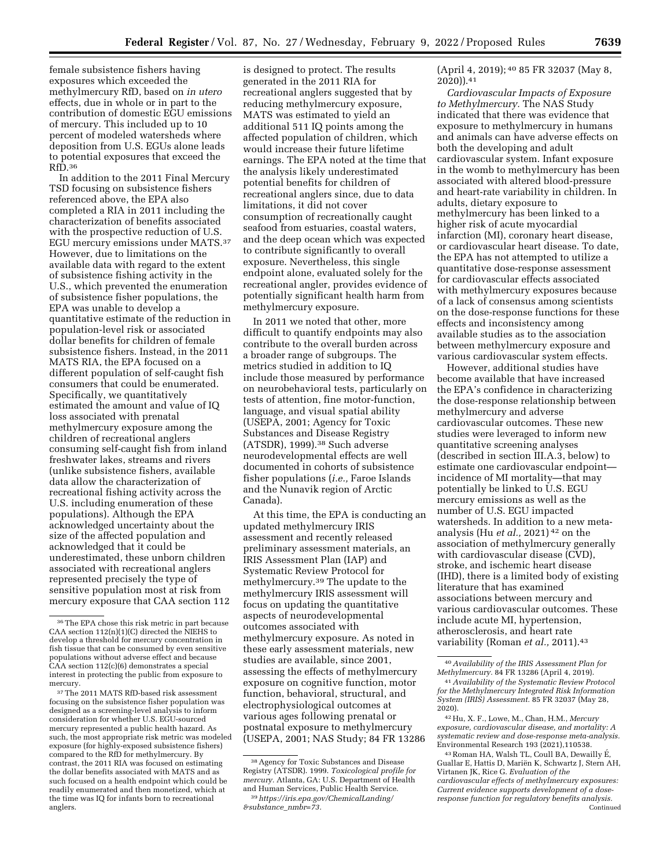female subsistence fishers having exposures which exceeded the methylmercury RfD, based on *in utero*  effects, due in whole or in part to the contribution of domestic EGU emissions of mercury. This included up to 10 percent of modeled watersheds where deposition from U.S. EGUs alone leads to potential exposures that exceed the RfD.36

In addition to the 2011 Final Mercury TSD focusing on subsistence fishers referenced above, the EPA also completed a RIA in 2011 including the characterization of benefits associated with the prospective reduction of U.S. EGU mercury emissions under MATS.37 However, due to limitations on the available data with regard to the extent of subsistence fishing activity in the U.S., which prevented the enumeration of subsistence fisher populations, the EPA was unable to develop a quantitative estimate of the reduction in population-level risk or associated dollar benefits for children of female subsistence fishers. Instead, in the 2011 MATS RIA, the EPA focused on a different population of self-caught fish consumers that could be enumerated. Specifically, we quantitatively estimated the amount and value of IQ loss associated with prenatal methylmercury exposure among the children of recreational anglers consuming self-caught fish from inland freshwater lakes, streams and rivers (unlike subsistence fishers, available data allow the characterization of recreational fishing activity across the U.S. including enumeration of these populations). Although the EPA acknowledged uncertainty about the size of the affected population and acknowledged that it could be underestimated, these unborn children associated with recreational anglers represented precisely the type of sensitive population most at risk from mercury exposure that CAA section 112

37The 2011 MATS RfD-based risk assessment focusing on the subsistence fisher population was designed as a screening-level analysis to inform consideration for whether U.S. EGU-sourced mercury represented a public health hazard. As such, the most appropriate risk metric was modeled exposure (for highly-exposed subsistence fishers) compared to the RfD for methylmercury. By contrast, the 2011 RIA was focused on estimating the dollar benefits associated with MATS and as such focused on a health endpoint which could be readily enumerated and then monetized, which at the time was IQ for infants born to recreational anglers.

is designed to protect. The results generated in the 2011 RIA for recreational anglers suggested that by reducing methylmercury exposure, MATS was estimated to yield an additional 511 IQ points among the affected population of children, which would increase their future lifetime earnings. The EPA noted at the time that the analysis likely underestimated potential benefits for children of recreational anglers since, due to data limitations, it did not cover consumption of recreationally caught seafood from estuaries, coastal waters, and the deep ocean which was expected to contribute significantly to overall exposure. Nevertheless, this single endpoint alone, evaluated solely for the recreational angler, provides evidence of potentially significant health harm from methylmercury exposure.

In 2011 we noted that other, more difficult to quantify endpoints may also contribute to the overall burden across a broader range of subgroups. The metrics studied in addition to IQ include those measured by performance on neurobehavioral tests, particularly on tests of attention, fine motor-function, language, and visual spatial ability (USEPA, 2001; Agency for Toxic Substances and Disease Registry (ATSDR), 1999).38 Such adverse neurodevelopmental effects are well documented in cohorts of subsistence fisher populations (*i.e.,* Faroe Islands and the Nunavik region of Arctic Canada).

At this time, the EPA is conducting an updated methylmercury IRIS assessment and recently released preliminary assessment materials, an IRIS Assessment Plan (IAP) and Systematic Review Protocol for methylmercury.39 The update to the methylmercury IRIS assessment will focus on updating the quantitative aspects of neurodevelopmental outcomes associated with methylmercury exposure. As noted in these early assessment materials, new studies are available, since 2001, assessing the effects of methylmercury exposure on cognitive function, motor function, behavioral, structural, and electrophysiological outcomes at various ages following prenatal or postnatal exposure to methylmercury (USEPA, 2001; NAS Study; 84 FR 13286

(April 4, 2019); 40 85 FR 32037 (May 8, 2020)).41

*Cardiovascular Impacts of Exposure to Methylmercury.* The NAS Study indicated that there was evidence that exposure to methylmercury in humans and animals can have adverse effects on both the developing and adult cardiovascular system. Infant exposure in the womb to methylmercury has been associated with altered blood-pressure and heart-rate variability in children. In adults, dietary exposure to methylmercury has been linked to a higher risk of acute myocardial infarction (MI), coronary heart disease, or cardiovascular heart disease. To date, the EPA has not attempted to utilize a quantitative dose-response assessment for cardiovascular effects associated with methylmercury exposures because of a lack of consensus among scientists on the dose-response functions for these effects and inconsistency among available studies as to the association between methylmercury exposure and various cardiovascular system effects.

However, additional studies have become available that have increased the EPA's confidence in characterizing the dose-response relationship between methylmercury and adverse cardiovascular outcomes. These new studies were leveraged to inform new quantitative screening analyses (described in section III.A.3, below) to estimate one cardiovascular endpoint incidence of MI mortality—that may potentially be linked to U.S. EGU mercury emissions as well as the number of U.S. EGU impacted watersheds. In addition to a new metaanalysis (Hu *et al.,* 2021) 42 on the association of methylmercury generally with cardiovascular disease (CVD), stroke, and ischemic heart disease (IHD), there is a limited body of existing literature that has examined associations between mercury and various cardiovascular outcomes. These include acute MI, hypertension, atherosclerosis, and heart rate variability (Roman *et al.,* 2011).43

<sup>36</sup>The EPA chose this risk metric in part because CAA section 112(n)(1)(C) directed the NIEHS to develop a threshold for mercury concentration in fish tissue that can be consumed by even sensitive populations without adverse effect and because CAA section 112(c)(6) demonstrates a special interest in protecting the public from exposure to mercury.

<sup>38</sup>Agency for Toxic Substances and Disease Registry (ATSDR). 1999. *Toxicological profile for mercury.* Atlanta, GA: U.S. Department of Health and Human Services, Public Health Service. 39*[https://iris.epa.gov/ChemicalLanding/](https://iris.epa.gov/ChemicalLanding/&substance_nmbr=73)* 

*[<sup>&</sup>amp;substance](https://iris.epa.gov/ChemicalLanding/&substance_nmbr=73)*\_*nmbr=73.* 

<sup>40</sup>*Availability of the IRIS Assessment Plan for Methylmercury.* 84 FR 13286 (April 4, 2019).

<sup>41</sup>*Availability of the Systematic Review Protocol for the Methylmercury Integrated Risk Information System (IRIS) Assessment.* 85 FR 32037 (May 28, 2020).

<sup>42</sup>Hu, X. F., Lowe, M., Chan, H.M., *Mercury exposure, cardiovascular disease, and mortality: A systematic review and dose-response meta-analysis.*  Environmental Research 193 (2021),110538.

<sup>43</sup> Roman HA, Walsh TL, Coull BA, Dewailly É, Guallar E, Hattis D, Mariën K, Schwartz J, Stern AH, Virtanen JK, Rice G. *Evaluation of the cardiovascular effects of methylmercury exposures: Current evidence supports development of a doseresponse function for regulatory benefits analysis.*  **Continued**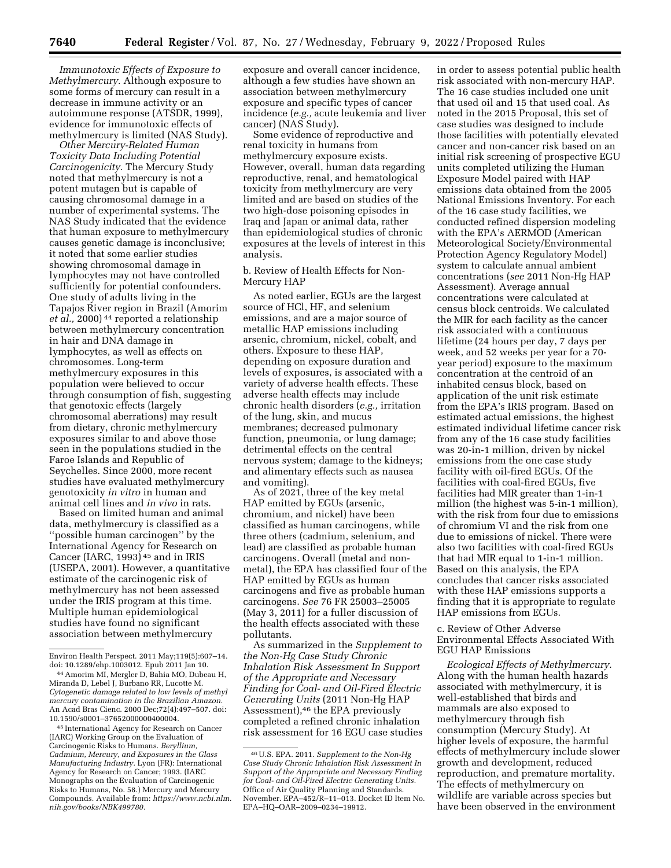*Immunotoxic Effects of Exposure to Methylmercury.* Although exposure to some forms of mercury can result in a decrease in immune activity or an autoimmune response (ATSDR, 1999), evidence for immunotoxic effects of methylmercury is limited (NAS Study).

*Other Mercury-Related Human Toxicity Data Including Potential Carcinogenicity.* The Mercury Study noted that methylmercury is not a potent mutagen but is capable of causing chromosomal damage in a number of experimental systems. The NAS Study indicated that the evidence that human exposure to methylmercury causes genetic damage is inconclusive; it noted that some earlier studies showing chromosomal damage in lymphocytes may not have controlled sufficiently for potential confounders. One study of adults living in the Tapajos River region in Brazil (Amorim *et al.,* 2000) 44 reported a relationship between methylmercury concentration in hair and DNA damage in lymphocytes, as well as effects on chromosomes. Long-term methylmercury exposures in this population were believed to occur through consumption of fish, suggesting that genotoxic effects (largely chromosomal aberrations) may result from dietary, chronic methylmercury exposures similar to and above those seen in the populations studied in the Faroe Islands and Republic of Seychelles. Since 2000, more recent studies have evaluated methylmercury genotoxicity *in vitro* in human and animal cell lines and *in vivo* in rats.

Based on limited human and animal data, methylmercury is classified as a ''possible human carcinogen'' by the International Agency for Research on Cancer (IARC, 1993) 45 and in IRIS (USEPA, 2001). However, a quantitative estimate of the carcinogenic risk of methylmercury has not been assessed under the IRIS program at this time. Multiple human epidemiological studies have found no significant association between methylmercury

45 International Agency for Research on Cancer (IARC) Working Group on the Evaluation of Carcinogenic Risks to Humans. *Beryllium, Cadmium, Mercury, and Exposures in the Glass Manufacturing Industry.* Lyon (FR): International Agency for Research on Cancer; 1993. (IARC Monographs on the Evaluation of Carcinogenic Risks to Humans, No. 58.) Mercury and Mercury Compounds. Available from: *[https://www.ncbi.nlm.](https://www.ncbi.nlm.nih.gov/books/NBK499780) [nih.gov/books/NBK499780.](https://www.ncbi.nlm.nih.gov/books/NBK499780)* 

exposure and overall cancer incidence, although a few studies have shown an association between methylmercury exposure and specific types of cancer incidence (*e.g.,* acute leukemia and liver cancer) (NAS Study).

Some evidence of reproductive and renal toxicity in humans from methylmercury exposure exists. However, overall, human data regarding reproductive, renal, and hematological toxicity from methylmercury are very limited and are based on studies of the two high-dose poisoning episodes in Iraq and Japan or animal data, rather than epidemiological studies of chronic exposures at the levels of interest in this analysis.

b. Review of Health Effects for Non-Mercury HAP

As noted earlier, EGUs are the largest source of HCl, HF, and selenium emissions, and are a major source of metallic HAP emissions including arsenic, chromium, nickel, cobalt, and others. Exposure to these HAP, depending on exposure duration and levels of exposures, is associated with a variety of adverse health effects. These adverse health effects may include chronic health disorders (*e.g.,* irritation of the lung, skin, and mucus membranes; decreased pulmonary function, pneumonia, or lung damage; detrimental effects on the central nervous system; damage to the kidneys; and alimentary effects such as nausea and vomiting).

As of 2021, three of the key metal HAP emitted by EGUs (arsenic, chromium, and nickel) have been classified as human carcinogens, while three others (cadmium, selenium, and lead) are classified as probable human carcinogens. Overall (metal and nonmetal), the EPA has classified four of the HAP emitted by EGUs as human carcinogens and five as probable human carcinogens. *See* 76 FR 25003–25005 (May 3, 2011) for a fuller discussion of the health effects associated with these pollutants.

As summarized in the *Supplement to the Non-Hg Case Study Chronic Inhalation Risk Assessment In Support of the Appropriate and Necessary Finding for Coal- and Oil-Fired Electric Generating Units* (2011 Non-Hg HAP Assessment),46 the EPA previously completed a refined chronic inhalation risk assessment for 16 EGU case studies

in order to assess potential public health risk associated with non-mercury HAP. The 16 case studies included one unit that used oil and 15 that used coal. As noted in the 2015 Proposal, this set of case studies was designed to include those facilities with potentially elevated cancer and non-cancer risk based on an initial risk screening of prospective EGU units completed utilizing the Human Exposure Model paired with HAP emissions data obtained from the 2005 National Emissions Inventory. For each of the 16 case study facilities, we conducted refined dispersion modeling with the EPA's AERMOD (American Meteorological Society/Environmental Protection Agency Regulatory Model) system to calculate annual ambient concentrations (*see* 2011 Non-Hg HAP Assessment). Average annual concentrations were calculated at census block centroids. We calculated the MIR for each facility as the cancer risk associated with a continuous lifetime (24 hours per day, 7 days per week, and 52 weeks per year for a 70 year period) exposure to the maximum concentration at the centroid of an inhabited census block, based on application of the unit risk estimate from the EPA's IRIS program. Based on estimated actual emissions, the highest estimated individual lifetime cancer risk from any of the 16 case study facilities was 20-in-1 million, driven by nickel emissions from the one case study facility with oil-fired EGUs. Of the facilities with coal-fired EGUs, five facilities had MIR greater than 1-in-1 million (the highest was 5-in-1 million), with the risk from four due to emissions of chromium VI and the risk from one due to emissions of nickel. There were also two facilities with coal-fired EGUs that had MIR equal to 1-in-1 million. Based on this analysis, the EPA concludes that cancer risks associated with these HAP emissions supports a finding that it is appropriate to regulate HAP emissions from EGUs.

c. Review of Other Adverse Environmental Effects Associated With EGU HAP Emissions

*Ecological Effects of Methylmercury.*  Along with the human health hazards associated with methylmercury, it is well-established that birds and mammals are also exposed to methylmercury through fish consumption (Mercury Study). At higher levels of exposure, the harmful effects of methylmercury include slower growth and development, reduced reproduction, and premature mortality. The effects of methylmercury on wildlife are variable across species but have been observed in the environment

Environ Health Perspect. 2011 May;119(5):607–14. doi: 10.1289/ehp.1003012. Epub 2011 Jan 10.

<sup>44</sup>Amorim MI, Mergler D, Bahia MO, Dubeau H, Miranda D, Lebel J, Burbano RR, Lucotte M. *Cytogenetic damage related to low levels of methyl mercury contamination in the Brazilian Amazon.*  An Acad Bras Cienc. 2000 Dec;72(4):497–507. doi: 10.1590/s0001–37652000000400004.

<sup>46</sup>U.S. EPA. 2011. *Supplement to the Non-Hg Case Study Chronic Inhalation Risk Assessment In Support of the Appropriate and Necessary Finding for Coal- and Oil-Fired Electric Generating Units.*  Office of Air Quality Planning and Standards. November. EPA–452/R–11–013. Docket ID Item No. EPA–HQ–OAR–2009–0234–19912.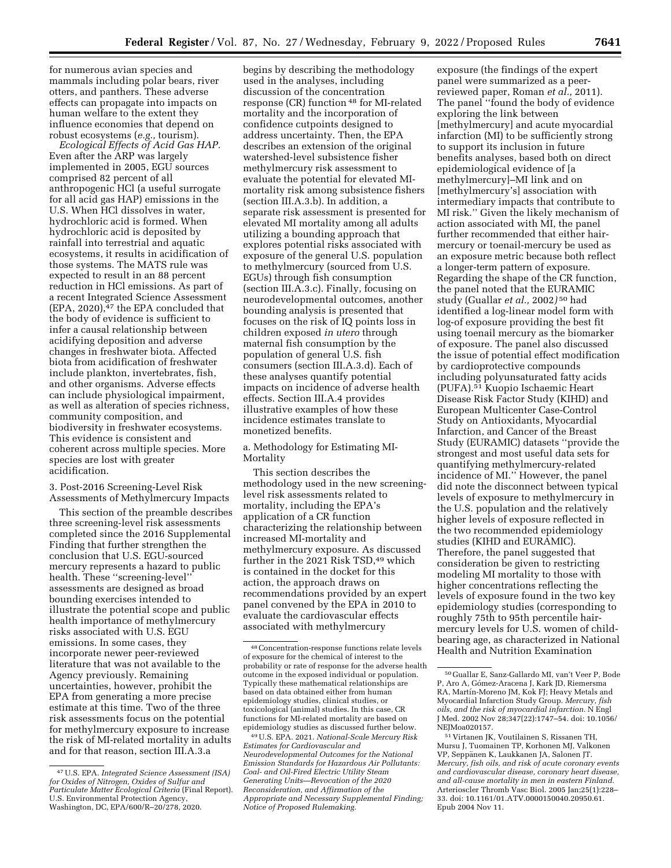for numerous avian species and mammals including polar bears, river otters, and panthers. These adverse effects can propagate into impacts on human welfare to the extent they influence economies that depend on robust ecosystems (*e.g.,* tourism).

*Ecological Effects of Acid Gas HAP.*  Even after the ARP was largely implemented in 2005, EGU sources comprised 82 percent of all anthropogenic HCl (a useful surrogate for all acid gas HAP) emissions in the U.S. When HCl dissolves in water, hydrochloric acid is formed. When hydrochloric acid is deposited by rainfall into terrestrial and aquatic ecosystems, it results in acidification of those systems. The MATS rule was expected to result in an 88 percent reduction in HCl emissions. As part of a recent Integrated Science Assessment  $(EPA, 2020)$ ,<sup>47</sup> the EPA concluded that the body of evidence is sufficient to infer a causal relationship between acidifying deposition and adverse changes in freshwater biota. Affected biota from acidification of freshwater include plankton, invertebrates, fish, and other organisms. Adverse effects can include physiological impairment, as well as alteration of species richness, community composition, and biodiversity in freshwater ecosystems. This evidence is consistent and coherent across multiple species. More species are lost with greater acidification.

### 3. Post-2016 Screening-Level Risk Assessments of Methylmercury Impacts

This section of the preamble describes three screening-level risk assessments completed since the 2016 Supplemental Finding that further strengthen the conclusion that U.S. EGU-sourced mercury represents a hazard to public health. These ''screening-level'' assessments are designed as broad bounding exercises intended to illustrate the potential scope and public health importance of methylmercury risks associated with U.S. EGU emissions. In some cases, they incorporate newer peer-reviewed literature that was not available to the Agency previously. Remaining uncertainties, however, prohibit the EPA from generating a more precise estimate at this time. Two of the three risk assessments focus on the potential for methylmercury exposure to increase the risk of MI-related mortality in adults and for that reason, section III.A.3.a

begins by describing the methodology used in the analyses, including discussion of the concentration response (CR) function 48 for MI-related mortality and the incorporation of confidence cutpoints designed to address uncertainty. Then, the EPA describes an extension of the original watershed-level subsistence fisher methylmercury risk assessment to evaluate the potential for elevated MImortality risk among subsistence fishers (section III.A.3.b). In addition, a separate risk assessment is presented for elevated MI mortality among all adults utilizing a bounding approach that explores potential risks associated with exposure of the general U.S. population to methylmercury (sourced from U.S. EGUs) through fish consumption (section III.A.3.c). Finally, focusing on neurodevelopmental outcomes, another bounding analysis is presented that focuses on the risk of IQ points loss in children exposed *in utero* through maternal fish consumption by the population of general U.S. fish consumers (section III.A.3.d). Each of these analyses quantify potential impacts on incidence of adverse health effects. Section III.A.4 provides illustrative examples of how these incidence estimates translate to monetized benefits.

### a. Methodology for Estimating MI-Mortality

This section describes the methodology used in the new screeninglevel risk assessments related to mortality, including the EPA's application of a CR function characterizing the relationship between increased MI-mortality and methylmercury exposure. As discussed further in the 2021 Risk TSD,49 which is contained in the docket for this action, the approach draws on recommendations provided by an expert panel convened by the EPA in 2010 to evaluate the cardiovascular effects associated with methylmercury

49U.S. EPA. 2021. *National-Scale Mercury Risk Estimates for Cardiovascular and Neurodevelopmental Outcomes for the National Emission Standards for Hazardous Air Pollutants: Coal- and Oil-Fired Electric Utility Steam Generating Units—Revocation of the 2020 Reconsideration, and Affirmation of the Appropriate and Necessary Supplemental Finding; Notice of Proposed Rulemaking.* 

exposure (the findings of the expert panel were summarized as a peerreviewed paper, Roman *et al.,* 2011). The panel ''found the body of evidence exploring the link between [methylmercury] and acute myocardial infarction (MI) to be sufficiently strong to support its inclusion in future benefits analyses, based both on direct epidemiological evidence of [a methylmercury]–MI link and on [methylmercury's] association with intermediary impacts that contribute to MI risk.'' Given the likely mechanism of action associated with MI, the panel further recommended that either hairmercury or toenail-mercury be used as an exposure metric because both reflect a longer-term pattern of exposure. Regarding the shape of the CR function, the panel noted that the EURAMIC study (Guallar *et al.,* 2002*)* 50 had identified a log-linear model form with log-of exposure providing the best fit using toenail mercury as the biomarker of exposure. The panel also discussed the issue of potential effect modification by cardioprotective compounds including polyunsaturated fatty acids (PUFA).51 Kuopio Ischaemic Heart Disease Risk Factor Study (KIHD) and European Multicenter Case-Control Study on Antioxidants, Myocardial Infarction, and Cancer of the Breast Study (EURAMIC) datasets ''provide the strongest and most useful data sets for quantifying methylmercury-related incidence of MI.'' However, the panel did note the disconnect between typical levels of exposure to methylmercury in the U.S. population and the relatively higher levels of exposure reflected in the two recommended epidemiology studies (KIHD and EURAMIC). Therefore, the panel suggested that consideration be given to restricting modeling MI mortality to those with higher concentrations reflecting the levels of exposure found in the two key epidemiology studies (corresponding to roughly 75th to 95th percentile hairmercury levels for U.S. women of childbearing age, as characterized in National Health and Nutrition Examination

<sup>47</sup>U.S. EPA. *Integrated Science Assessment (ISA) for Oxides of Nitrogen, Oxides of Sulfur and Particulate Matter Ecological Criteria* (Final Report). U.S. Environmental Protection Agency, Washington, DC, EPA/600/R–20/278, 2020.

<sup>48</sup>Concentration-response functions relate levels of exposure for the chemical of interest to the probability or rate of response for the adverse health outcome in the exposed individual or population. Typically these mathematical relationships are based on data obtained either from human epidemiology studies, clinical studies, or toxicological (animal) studies. In this case, CR functions for MI-related mortality are based on epidemiology studies as discussed further below.

<sup>50</sup> Guallar E, Sanz-Gallardo MI, van't Veer P, Bode P, Aro A, Gómez-Aracena J, Kark JD, Riemersma RA, Martín-Moreno JM, Kok FJ; Heavy Metals and Myocardial Infarction Study Group. *Mercury, fish oils, and the risk of myocardial infarction.* N Engl J Med. 2002 Nov 28;347(22):1747–54. doi: 10.1056/ NEIMoa020157.

<sup>51</sup> Virtanen JK, Voutilainen S, Rissanen TH, Mursu J, Tuomainen TP, Korhonen MJ, Valkonen VP, Seppänen K, Laukkanen JA, Salonen JT. *Mercury, fish oils, and risk of acute coronary events and cardiovascular disease, coronary heart disease, and all-cause mortality in men in eastern Finland.*  Arterioscler Thromb Vasc Biol. 2005 Jan;25(1):228– 33. doi: 10.1161/01.ATV.0000150040.20950.61. Epub 2004 Nov 11.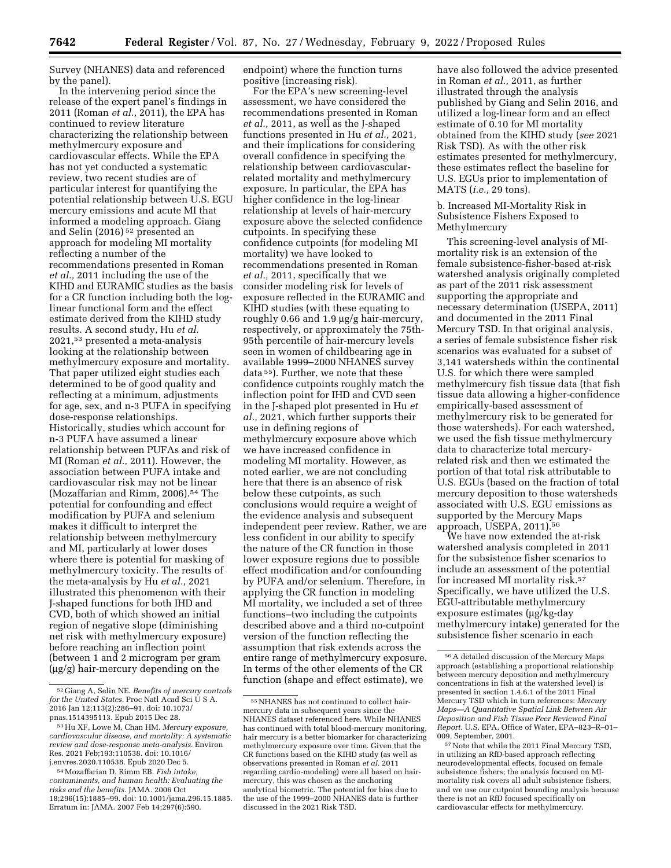Survey (NHANES) data and referenced by the panel).

In the intervening period since the release of the expert panel's findings in 2011 (Roman *et al.,* 2011), the EPA has continued to review literature characterizing the relationship between methylmercury exposure and cardiovascular effects. While the EPA has not yet conducted a systematic review, two recent studies are of particular interest for quantifying the potential relationship between U.S. EGU mercury emissions and acute MI that informed a modeling approach. Giang and Selin (2016) 52 presented an approach for modeling MI mortality reflecting a number of the recommendations presented in Roman *et al.,* 2011 including the use of the KIHD and EURAMIC studies as the basis for a CR function including both the loglinear functional form and the effect estimate derived from the KIHD study results. A second study, Hu *et al.*  2021,53 presented a meta-analysis looking at the relationship between methylmercury exposure and mortality. That paper utilized eight studies each determined to be of good quality and reflecting at a minimum, adjustments for age, sex, and n-3 PUFA in specifying dose-response relationships. Historically, studies which account for n-3 PUFA have assumed a linear relationship between PUFAs and risk of MI (Roman *et al.,* 2011). However, the association between PUFA intake and cardiovascular risk may not be linear (Mozaffarian and Rimm, 2006).54 The potential for confounding and effect modification by PUFA and selenium makes it difficult to interpret the relationship between methylmercury and MI, particularly at lower doses where there is potential for masking of methylmercury toxicity. The results of the meta-analysis by Hu *et al.,* 2021 illustrated this phenomenon with their J-shaped functions for both IHD and CVD, both of which showed an initial region of negative slope (diminishing net risk with methylmercury exposure) before reaching an inflection point (between 1 and 2 microgram per gram  $(\mu g/g)$  hair-mercury depending on the

endpoint) where the function turns positive (increasing risk).

For the EPA's new screening-level assessment, we have considered the recommendations presented in Roman *et al.,* 2011, as well as the J-shaped functions presented in Hu *et al.,* 2021, and their implications for considering overall confidence in specifying the relationship between cardiovascularrelated mortality and methylmercury exposure. In particular, the EPA has higher confidence in the log-linear relationship at levels of hair-mercury exposure above the selected confidence cutpoints. In specifying these confidence cutpoints (for modeling MI mortality) we have looked to recommendations presented in Roman *et al.,* 2011, specifically that we consider modeling risk for levels of exposure reflected in the EURAMIC and KIHD studies (with these equating to roughly 0.66 and 1.9 mg/g hair-mercury, respectively, or approximately the 75th-95th percentile of hair-mercury levels seen in women of childbearing age in available 1999–2000 NHANES survey data 55). Further, we note that these confidence cutpoints roughly match the inflection point for IHD and CVD seen in the J-shaped plot presented in Hu *et al.,* 2021, which further supports their use in defining regions of methylmercury exposure above which we have increased confidence in modeling MI mortality. However, as noted earlier, we are not concluding here that there is an absence of risk below these cutpoints, as such conclusions would require a weight of the evidence analysis and subsequent independent peer review. Rather, we are less confident in our ability to specify the nature of the CR function in those lower exposure regions due to possible effect modification and/or confounding by PUFA and/or selenium. Therefore, in applying the CR function in modeling MI mortality, we included a set of three functions–two including the cutpoints described above and a third no-cutpoint version of the function reflecting the assumption that risk extends across the entire range of methylmercury exposure. In terms of the other elements of the CR function (shape and effect estimate), we

have also followed the advice presented in Roman *et al.,* 2011, as further illustrated through the analysis published by Giang and Selin 2016, and utilized a log-linear form and an effect estimate of 0.10 for MI mortality obtained from the KIHD study (*see* 2021 Risk TSD). As with the other risk estimates presented for methylmercury, these estimates reflect the baseline for U.S. EGUs prior to implementation of MATS (*i.e.,* 29 tons).

### b. Increased MI-Mortality Risk in Subsistence Fishers Exposed to Methylmercury

This screening-level analysis of MImortality risk is an extension of the female subsistence-fisher-based at-risk watershed analysis originally completed as part of the 2011 risk assessment supporting the appropriate and necessary determination (USEPA, 2011) and documented in the 2011 Final Mercury TSD. In that original analysis, a series of female subsistence fisher risk scenarios was evaluated for a subset of 3,141 watersheds within the continental U.S. for which there were sampled methylmercury fish tissue data (that fish tissue data allowing a higher-confidence empirically-based assessment of methylmercury risk to be generated for those watersheds). For each watershed, we used the fish tissue methylmercury data to characterize total mercuryrelated risk and then we estimated the portion of that total risk attributable to U.S. EGUs (based on the fraction of total mercury deposition to those watersheds associated with U.S. EGU emissions as supported by the Mercury Maps approach, USEPA, 2011).56

We have now extended the at-risk watershed analysis completed in 2011 for the subsistence fisher scenarios to include an assessment of the potential for increased MI mortality risk.57 Specifically, we have utilized the U.S. EGU-attributable methylmercury  $exposure$  extimates  $(\mu g/kg$ -day methylmercury intake) generated for the subsistence fisher scenario in each

<sup>52</sup> Giang A, Selin NE. *Benefits of mercury controls for the United States.* Proc Natl Acad Sci U S A. 2016 Jan 12;113(2):286–91. doi: 10.1073/ pnas.1514395113. Epub 2015 Dec 28.

<sup>53</sup>Hu XF, Lowe M, Chan HM. *Mercury exposure, cardiovascular disease, and mortality: A systematic review and dose-response meta-analysis.* Environ Res. 2021 Feb;193:110538. doi: 10.1016/ j.envres.2020.110538. Epub 2020 Dec 5.

<sup>54</sup>Mozaffarian D, Rimm EB. *Fish intake, contaminants, and human health: Evaluating the risks and the benefits.* JAMA. 2006 Oct 18;296(15):1885–99. doi: 10.1001/jama.296.15.1885. Erratum in: JAMA. 2007 Feb 14;297(6):590.

<sup>55</sup>NHANES has not continued to collect hairmercury data in subsequent years since the NHANES dataset referenced here. While NHANES has continued with total blood-mercury monitoring, hair mercury is a better biomarker for characterizing methylmercury exposure over time. Given that the CR functions based on the KIHD study (as well as observations presented in Roman *et al.* 2011 regarding cardio-modeling) were all based on hairmercury, this was chosen as the anchoring analytical biometric. The potential for bias due to the use of the 1999–2000 NHANES data is further discussed in the 2021 Risk TSD.

<sup>56</sup>A detailed discussion of the Mercury Maps approach (establishing a proportional relationship between mercury deposition and methylmercury concentrations in fish at the watershed level) is presented in section 1.4.6.1 of the 2011 Final Mercury TSD which in turn references: *Mercury Maps—A Quantitative Spatial Link Between Air Deposition and Fish Tissue Peer Reviewed Final Report.* U.S. EPA, Office of Water, EPA–823–R–01– 009, September, 2001.

<sup>57</sup>Note that while the 2011 Final Mercury TSD, in utilizing an RfD-based approach reflecting neurodevelopmental effects, focused on female subsistence fishers; the analysis focused on MImortality risk covers all adult subsistence fishers, and we use our cutpoint bounding analysis because there is not an RfD focused specifically on cardiovascular effects for methylmercury.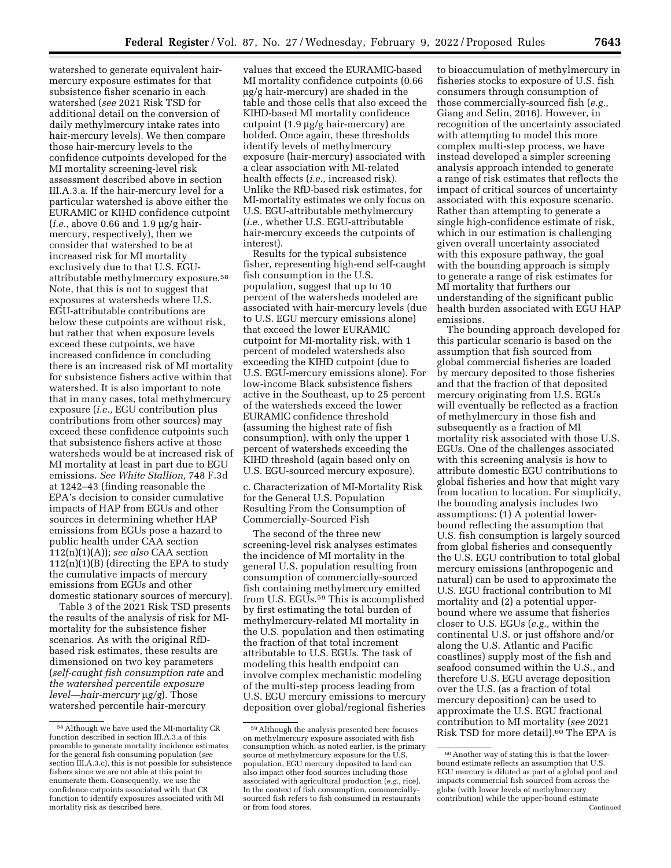watershed to generate equivalent hairmercury exposure estimates for that subsistence fisher scenario in each watershed (*see* 2021 Risk TSD for additional detail on the conversion of daily methylmercury intake rates into hair-mercury levels). We then compare those hair-mercury levels to the confidence cutpoints developed for the MI mortality screening-level risk assessment described above in section III.A.3.a. If the hair-mercury level for a particular watershed is above either the EURAMIC or KIHD confidence cutpoint  $(i.e., above 0.66 and 1.9 \mu g/g hair$ mercury, respectively), then we consider that watershed to be at increased risk for MI mortality exclusively due to that U.S. EGUattributable methylmercury exposure.58 Note, that this is not to suggest that exposures at watersheds where U.S. EGU-attributable contributions are below these cutpoints are without risk, but rather that when exposure levels exceed these cutpoints, we have increased confidence in concluding there is an increased risk of MI mortality for subsistence fishers active within that watershed. It is also important to note that in many cases, total methylmercury exposure (*i.e.,* EGU contribution plus contributions from other sources) may exceed these confidence cutpoints such that subsistence fishers active at those watersheds would be at increased risk of MI mortality at least in part due to EGU emissions. *See White Stallion,* 748 F.3d at 1242–43 (finding reasonable the EPA's decision to consider cumulative impacts of HAP from EGUs and other sources in determining whether HAP emissions from EGUs pose a hazard to public health under CAA section 112(n)(1)(A)); *see also* CAA section  $112(n)(1)(B)$  (directing the EPA to study the cumulative impacts of mercury emissions from EGUs and other domestic stationary sources of mercury).

Table 3 of the 2021 Risk TSD presents the results of the analysis of risk for MImortality for the subsistence fisher scenarios. As with the original RfDbased risk estimates, these results are dimensioned on two key parameters (*self-caught fish consumption rate* and *the watershed percentile exposure level—hair-mercury*  $\mu$ *g/g*). Those watershed percentile hair-mercury

values that exceed the EURAMIC-based MI mortality confidence cutpoints (0.66  $\mu$ g/g hair-mercury) are shaded in the table and those cells that also exceed the KIHD-based MI mortality confidence cutpoint  $(1.9 \mu g/g \text{ hair-mercury})$  are bolded. Once again, these thresholds identify levels of methylmercury exposure (hair-mercury) associated with a clear association with MI-related health effects (*i.e.,* increased risk). Unlike the RfD-based risk estimates, for MI-mortality estimates we only focus on U.S. EGU-attributable methylmercury (*i.e.,* whether U.S. EGU-attributable hair-mercury exceeds the cutpoints of interest).

Results for the typical subsistence fisher, representing high-end self-caught fish consumption in the U.S. population, suggest that up to 10 percent of the watersheds modeled are associated with hair-mercury levels (due to U.S. EGU mercury emissions alone) that exceed the lower EURAMIC cutpoint for MI-mortality risk, with 1 percent of modeled watersheds also exceeding the KIHD cutpoint (due to U.S. EGU-mercury emissions alone). For low-income Black subsistence fishers active in the Southeast, up to 25 percent of the watersheds exceed the lower EURAMIC confidence threshold (assuming the highest rate of fish consumption), with only the upper 1 percent of watersheds exceeding the KIHD threshold (again based only on U.S. EGU-sourced mercury exposure).

c. Characterization of MI-Mortality Risk for the General U.S. Population Resulting From the Consumption of Commercially-Sourced Fish

The second of the three new screening-level risk analyses estimates the incidence of MI mortality in the general U.S. population resulting from consumption of commercially-sourced fish containing methylmercury emitted from U.S. EGUs.<sup>59</sup> This is accomplished by first estimating the total burden of methylmercury-related MI mortality in the U.S. population and then estimating the fraction of that total increment attributable to U.S. EGUs. The task of modeling this health endpoint can involve complex mechanistic modeling of the multi-step process leading from U.S. EGU mercury emissions to mercury deposition over global/regional fisheries to bioaccumulation of methylmercury in fisheries stocks to exposure of U.S. fish consumers through consumption of those commercially-sourced fish (*e.g.,*  Giang and Selin, 2016). However, in recognition of the uncertainty associated with attempting to model this more complex multi-step process, we have instead developed a simpler screening analysis approach intended to generate a range of risk estimates that reflects the impact of critical sources of uncertainty associated with this exposure scenario. Rather than attempting to generate a single high-confidence estimate of risk, which in our estimation is challenging given overall uncertainty associated with this exposure pathway, the goal with the bounding approach is simply to generate a range of risk estimates for MI mortality that furthers our understanding of the significant public health burden associated with EGU HAP emissions.

The bounding approach developed for this particular scenario is based on the assumption that fish sourced from global commercial fisheries are loaded by mercury deposited to those fisheries and that the fraction of that deposited mercury originating from U.S. EGUs will eventually be reflected as a fraction of methylmercury in those fish and subsequently as a fraction of MI mortality risk associated with those U.S. EGUs. One of the challenges associated with this screening analysis is how to attribute domestic EGU contributions to global fisheries and how that might vary from location to location. For simplicity, the bounding analysis includes two assumptions: (1) A potential lowerbound reflecting the assumption that U.S. fish consumption is largely sourced from global fisheries and consequently the U.S. EGU contribution to total global mercury emissions (anthropogenic and natural) can be used to approximate the U.S. EGU fractional contribution to MI mortality and (2) a potential upperbound where we assume that fisheries closer to U.S. EGUs (*e.g.,* within the continental U.S. or just offshore and/or along the U.S. Atlantic and Pacific coastlines) supply most of the fish and seafood consumed within the U.S., and therefore U.S. EGU average deposition over the U.S. (as a fraction of total mercury deposition) can be used to approximate the U.S. EGU fractional contribution to MI mortality (*see* 2021 Risk TSD for more detail).60 The EPA is

<sup>58</sup>Although we have used the MI-mortality CR function described in section III.A.3.a of this preamble to generate mortality incidence estimates for the general fish consuming population (*see*  section III.A.3.c), this is not possible for subsistence fishers since we are not able at this point to enumerate them. Consequently, we use the confidence cutpoints associated with that CR function to identify exposures associated with MI mortality risk as described here.

<sup>59</sup>Although the analysis presented here focuses on methylmercury exposure associated with fish consumption which, as noted earlier, is the primary source of methylmercury exposure for the U.S. population, EGU mercury deposited to land can also impact other food sources including those associated with agricultural production (*e.g.,* rice). In the context of fish consumption, commerciallysourced fish refers to fish consumed in restaurants or from food stores.

<sup>60</sup>Another way of stating this is that the lowerbound estimate reflects an assumption that U.S. EGU mercury is diluted as part of a global pool and impacts commercial fish sourced from across the globe (with lower levels of methylmercury contribution) while the upper-bound estimate Continued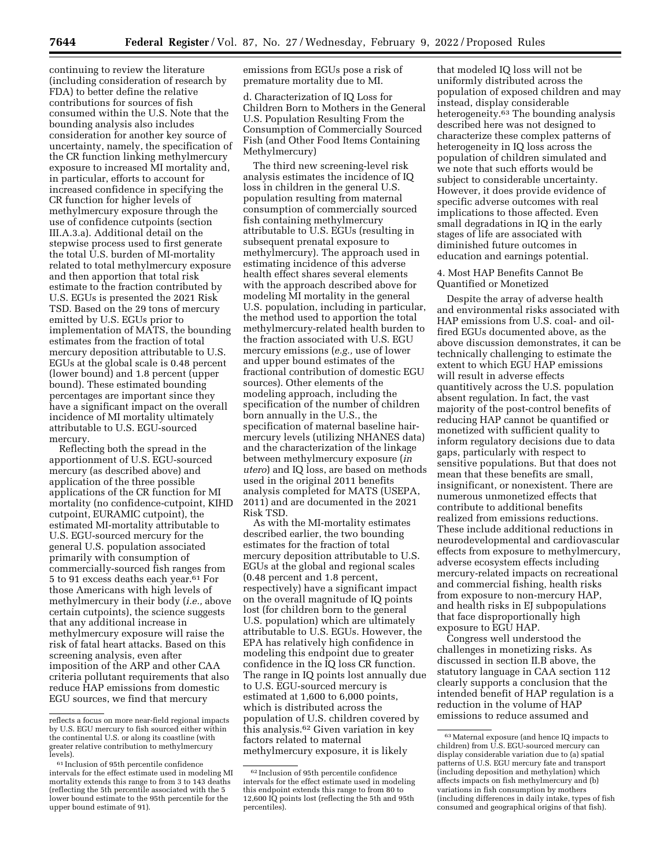continuing to review the literature (including consideration of research by FDA) to better define the relative contributions for sources of fish consumed within the U.S. Note that the bounding analysis also includes consideration for another key source of uncertainty, namely, the specification of the CR function linking methylmercury exposure to increased MI mortality and, in particular, efforts to account for increased confidence in specifying the CR function for higher levels of methylmercury exposure through the use of confidence cutpoints (section III.A.3.a). Additional detail on the stepwise process used to first generate the total U.S. burden of MI-mortality related to total methylmercury exposure and then apportion that total risk estimate to the fraction contributed by U.S. EGUs is presented the 2021 Risk TSD. Based on the 29 tons of mercury emitted by U.S. EGUs prior to implementation of MATS, the bounding estimates from the fraction of total mercury deposition attributable to U.S. EGUs at the global scale is 0.48 percent (lower bound) and 1.8 percent (upper bound). These estimated bounding percentages are important since they have a significant impact on the overall incidence of MI mortality ultimately attributable to U.S. EGU-sourced mercury.

Reflecting both the spread in the apportionment of U.S. EGU-sourced mercury (as described above) and application of the three possible applications of the CR function for MI mortality (no confidence-cutpoint, KIHD cutpoint, EURAMIC cutpoint), the estimated MI-mortality attributable to U.S. EGU-sourced mercury for the general U.S. population associated primarily with consumption of commercially-sourced fish ranges from 5 to 91 excess deaths each year.61 For those Americans with high levels of methylmercury in their body (*i.e.,* above certain cutpoints), the science suggests that any additional increase in methylmercury exposure will raise the risk of fatal heart attacks. Based on this screening analysis, even after imposition of the ARP and other CAA criteria pollutant requirements that also reduce HAP emissions from domestic EGU sources, we find that mercury

emissions from EGUs pose a risk of premature mortality due to MI.

d. Characterization of IQ Loss for Children Born to Mothers in the General U.S. Population Resulting From the Consumption of Commercially Sourced Fish (and Other Food Items Containing Methylmercury)

The third new screening-level risk analysis estimates the incidence of IQ loss in children in the general U.S. population resulting from maternal consumption of commercially sourced fish containing methylmercury attributable to U.S. EGUs (resulting in subsequent prenatal exposure to methylmercury). The approach used in estimating incidence of this adverse health effect shares several elements with the approach described above for modeling MI mortality in the general U.S. population, including in particular, the method used to apportion the total methylmercury-related health burden to the fraction associated with U.S. EGU mercury emissions (*e.g.,* use of lower and upper bound estimates of the fractional contribution of domestic EGU sources). Other elements of the modeling approach, including the specification of the number of children born annually in the U.S., the specification of maternal baseline hairmercury levels (utilizing NHANES data) and the characterization of the linkage between methylmercury exposure (*in utero*) and IQ loss, are based on methods used in the original 2011 benefits analysis completed for MATS (USEPA, 2011) and are documented in the 2021 Risk TSD.

As with the MI-mortality estimates described earlier, the two bounding estimates for the fraction of total mercury deposition attributable to U.S. EGUs at the global and regional scales (0.48 percent and 1.8 percent, respectively) have a significant impact on the overall magnitude of IQ points lost (for children born to the general U.S. population) which are ultimately attributable to U.S. EGUs. However, the EPA has relatively high confidence in modeling this endpoint due to greater confidence in the IQ loss CR function. The range in IQ points lost annually due to U.S. EGU-sourced mercury is estimated at 1,600 to 6,000 points, which is distributed across the population of U.S. children covered by this analysis.62 Given variation in key factors related to maternal methylmercury exposure, it is likely

that modeled IQ loss will not be uniformly distributed across the population of exposed children and may instead, display considerable heterogeneity.<sup>63</sup> The bounding analysis described here was not designed to characterize these complex patterns of heterogeneity in IQ loss across the population of children simulated and we note that such efforts would be subject to considerable uncertainty. However, it does provide evidence of specific adverse outcomes with real implications to those affected. Even small degradations in IQ in the early stages of life are associated with diminished future outcomes in education and earnings potential.

4. Most HAP Benefits Cannot Be Quantified or Monetized

Despite the array of adverse health and environmental risks associated with HAP emissions from U.S. coal- and oilfired EGUs documented above, as the above discussion demonstrates, it can be technically challenging to estimate the extent to which EGU HAP emissions will result in adverse effects quantitively across the U.S. population absent regulation. In fact, the vast majority of the post-control benefits of reducing HAP cannot be quantified or monetized with sufficient quality to inform regulatory decisions due to data gaps, particularly with respect to sensitive populations. But that does not mean that these benefits are small, insignificant, or nonexistent. There are numerous unmonetized effects that contribute to additional benefits realized from emissions reductions. These include additional reductions in neurodevelopmental and cardiovascular effects from exposure to methylmercury, adverse ecosystem effects including mercury-related impacts on recreational and commercial fishing, health risks from exposure to non-mercury HAP, and health risks in EJ subpopulations that face disproportionally high exposure to EGU HAP.

Congress well understood the challenges in monetizing risks. As discussed in section II.B above, the statutory language in CAA section 112 clearly supports a conclusion that the intended benefit of HAP regulation is a reduction in the volume of HAP emissions to reduce assumed and

reflects a focus on more near-field regional impacts by U.S. EGU mercury to fish sourced either within the continental U.S. or along its coastline (with greater relative contribution to methylmercury<br>levels).

 $61$  Inclusion of 95th percentile confidence intervals for the effect estimate used in modeling MI mortality extends this range to from 3 to 143 deaths (reflecting the 5th percentile associated with the 5 lower bound estimate to the 95th percentile for the upper bound estimate of 91).

<sup>62</sup> Inclusion of 95th percentile confidence intervals for the effect estimate used in modeling this endpoint extends this range to from 80 to 12,600 IQ points lost (reflecting the 5th and 95th percentiles).

<sup>63</sup>Maternal exposure (and hence IQ impacts to children) from U.S. EGU-sourced mercury can display considerable variation due to (a) spatial patterns of U.S. EGU mercury fate and transport (including deposition and methylation) which affects impacts on fish methylmercury and (b) variations in fish consumption by mothers (including differences in daily intake, types of fish consumed and geographical origins of that fish).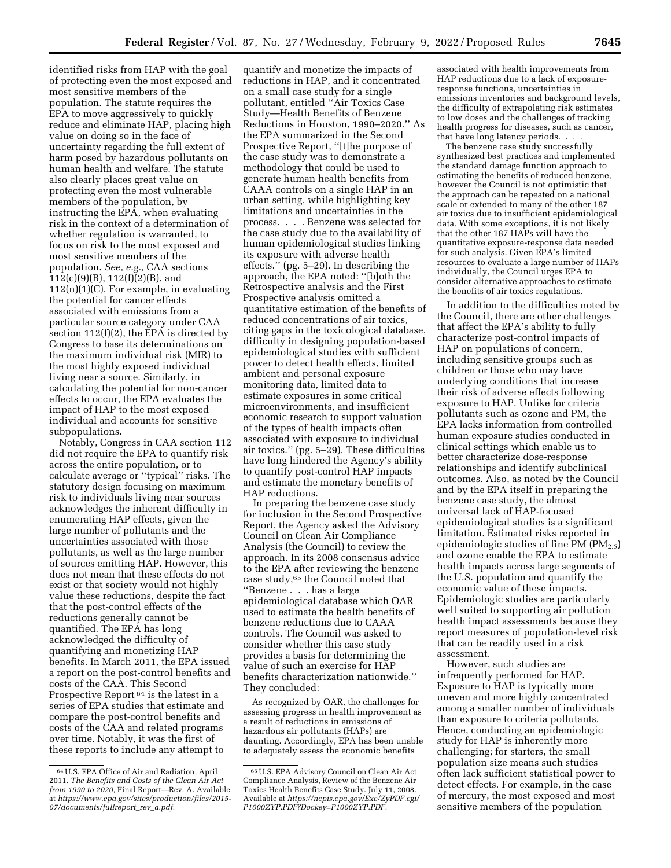identified risks from HAP with the goal of protecting even the most exposed and most sensitive members of the population. The statute requires the EPA to move aggressively to quickly reduce and eliminate HAP, placing high value on doing so in the face of uncertainty regarding the full extent of harm posed by hazardous pollutants on human health and welfare. The statute also clearly places great value on protecting even the most vulnerable members of the population, by instructing the EPA, when evaluating risk in the context of a determination of whether regulation is warranted, to focus on risk to the most exposed and most sensitive members of the population. *See, e.g.,* CAA sections 112(c)(9)(B), 112(f)(2)(B), and  $112(n)(1)(C)$ . For example, in evaluating the potential for cancer effects associated with emissions from a particular source category under CAA section 112(f)(2), the EPA is directed by Congress to base its determinations on the maximum individual risk (MIR) to the most highly exposed individual living near a source. Similarly, in calculating the potential for non-cancer effects to occur, the EPA evaluates the impact of HAP to the most exposed individual and accounts for sensitive subpopulations.

Notably, Congress in CAA section 112 did not require the EPA to quantify risk across the entire population, or to calculate average or ''typical'' risks. The statutory design focusing on maximum risk to individuals living near sources acknowledges the inherent difficulty in enumerating HAP effects, given the large number of pollutants and the uncertainties associated with those pollutants, as well as the large number of sources emitting HAP. However, this does not mean that these effects do not exist or that society would not highly value these reductions, despite the fact that the post-control effects of the reductions generally cannot be quantified. The EPA has long acknowledged the difficulty of quantifying and monetizing HAP benefits. In March 2011, the EPA issued a report on the post-control benefits and costs of the CAA. This Second Prospective Report 64 is the latest in a series of EPA studies that estimate and compare the post-control benefits and costs of the CAA and related programs over time. Notably, it was the first of these reports to include any attempt to

quantify and monetize the impacts of reductions in HAP, and it concentrated on a small case study for a single pollutant, entitled ''Air Toxics Case Study—Health Benefits of Benzene Reductions in Houston, 1990–2020.'' As the EPA summarized in the Second Prospective Report, ''[t]he purpose of the case study was to demonstrate a methodology that could be used to generate human health benefits from CAAA controls on a single HAP in an urban setting, while highlighting key limitations and uncertainties in the process. . . . Benzene was selected for the case study due to the availability of human epidemiological studies linking its exposure with adverse health effects.'' (pg. 5–29). In describing the approach, the EPA noted: ''[b]oth the Retrospective analysis and the First Prospective analysis omitted a quantitative estimation of the benefits of reduced concentrations of air toxics, citing gaps in the toxicological database, difficulty in designing population-based epidemiological studies with sufficient power to detect health effects, limited ambient and personal exposure monitoring data, limited data to estimate exposures in some critical microenvironments, and insufficient economic research to support valuation of the types of health impacts often associated with exposure to individual air toxics.'' (pg. 5–29). These difficulties have long hindered the Agency's ability to quantify post-control HAP impacts and estimate the monetary benefits of HAP reductions.

In preparing the benzene case study for inclusion in the Second Prospective Report, the Agency asked the Advisory Council on Clean Air Compliance Analysis (the Council) to review the approach. In its 2008 consensus advice to the EPA after reviewing the benzene case study,65 the Council noted that ''Benzene . . . has a large epidemiological database which OAR used to estimate the health benefits of benzene reductions due to CAAA controls. The Council was asked to consider whether this case study provides a basis for determining the value of such an exercise for HAP benefits characterization nationwide.'' They concluded:

As recognized by OAR, the challenges for assessing progress in health improvement as a result of reductions in emissions of hazardous air pollutants (HAPs) are daunting. Accordingly, EPA has been unable to adequately assess the economic benefits

associated with health improvements from HAP reductions due to a lack of exposureresponse functions, uncertainties in emissions inventories and background levels, the difficulty of extrapolating risk estimates to low doses and the challenges of tracking health progress for diseases, such as cancer, that have long latency periods. . . .

The benzene case study successfully synthesized best practices and implemented the standard damage function approach to estimating the benefits of reduced benzene, however the Council is not optimistic that the approach can be repeated on a national scale or extended to many of the other 187 air toxics due to insufficient epidemiological data. With some exceptions, it is not likely that the other 187 HAPs will have the quantitative exposure-response data needed for such analysis. Given EPA's limited resources to evaluate a large number of HAPs individually, the Council urges EPA to consider alternative approaches to estimate the benefits of air toxics regulations.

In addition to the difficulties noted by the Council, there are other challenges that affect the EPA's ability to fully characterize post-control impacts of HAP on populations of concern, including sensitive groups such as children or those who may have underlying conditions that increase their risk of adverse effects following exposure to HAP. Unlike for criteria pollutants such as ozone and PM, the EPA lacks information from controlled human exposure studies conducted in clinical settings which enable us to better characterize dose-response relationships and identify subclinical outcomes. Also, as noted by the Council and by the EPA itself in preparing the benzene case study, the almost universal lack of HAP-focused epidemiological studies is a significant limitation. Estimated risks reported in epidemiologic studies of fine PM  $(PM_{2.5})$ and ozone enable the EPA to estimate health impacts across large segments of the U.S. population and quantify the economic value of these impacts. Epidemiologic studies are particularly well suited to supporting air pollution health impact assessments because they report measures of population-level risk that can be readily used in a risk assessment.

However, such studies are infrequently performed for HAP. Exposure to HAP is typically more uneven and more highly concentrated among a smaller number of individuals than exposure to criteria pollutants. Hence, conducting an epidemiologic study for HAP is inherently more challenging; for starters, the small population size means such studies often lack sufficient statistical power to detect effects. For example, in the case of mercury, the most exposed and most sensitive members of the population

<sup>64</sup>U.S. EPA Office of Air and Radiation, April 2011. *The Benefits and Costs of the Clean Air Act from 1990 to 2020,* Final Report—Rev. A. Available at *[https://www.epa.gov/sites/production/files/2015-](https://www.epa.gov/sites/production/files/2015-07/documents/fullreport_rev_a.pdf) [07/documents/fullreport](https://www.epa.gov/sites/production/files/2015-07/documents/fullreport_rev_a.pdf)*\_*rev*\_*a.pdf.* 

<sup>65</sup>U.S. EPA Advisory Council on Clean Air Act Compliance Analysis, Review of the Benzene Air Toxics Health Benefits Case Study. July 11, 2008. Available at *[https://nepis.epa.gov/Exe/ZyPDF.cgi/](https://nepis.epa.gov/Exe/ZyPDF.cgi/P1000ZYP.PDF?Dockey=P1000ZYP.PDF)  [P1000ZYP.PDF?Dockey=P1000ZYP.PDF.](https://nepis.epa.gov/Exe/ZyPDF.cgi/P1000ZYP.PDF?Dockey=P1000ZYP.PDF)*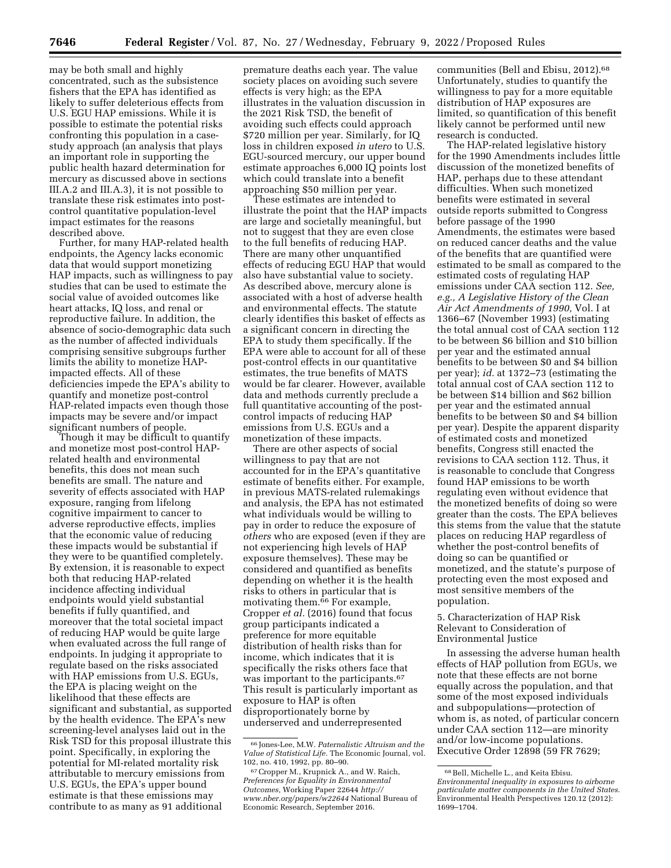may be both small and highly concentrated, such as the subsistence fishers that the EPA has identified as likely to suffer deleterious effects from U.S. EGU HAP emissions. While it is possible to estimate the potential risks confronting this population in a casestudy approach (an analysis that plays an important role in supporting the public health hazard determination for mercury as discussed above in sections III.A.2 and III.A.3), it is not possible to translate these risk estimates into postcontrol quantitative population-level impact estimates for the reasons described above.

Further, for many HAP-related health endpoints, the Agency lacks economic data that would support monetizing HAP impacts, such as willingness to pay studies that can be used to estimate the social value of avoided outcomes like heart attacks, IQ loss, and renal or reproductive failure. In addition, the absence of socio-demographic data such as the number of affected individuals comprising sensitive subgroups further limits the ability to monetize HAPimpacted effects. All of these deficiencies impede the EPA's ability to quantify and monetize post-control HAP-related impacts even though those impacts may be severe and/or impact significant numbers of people.

Though it may be difficult to quantify and monetize most post-control HAPrelated health and environmental benefits, this does not mean such benefits are small. The nature and severity of effects associated with HAP exposure, ranging from lifelong cognitive impairment to cancer to adverse reproductive effects, implies that the economic value of reducing these impacts would be substantial if they were to be quantified completely. By extension, it is reasonable to expect both that reducing HAP-related incidence affecting individual endpoints would yield substantial benefits if fully quantified, and moreover that the total societal impact of reducing HAP would be quite large when evaluated across the full range of endpoints. In judging it appropriate to regulate based on the risks associated with HAP emissions from U.S. EGUs, the EPA is placing weight on the likelihood that these effects are significant and substantial, as supported by the health evidence. The EPA's new screening-level analyses laid out in the Risk TSD for this proposal illustrate this point. Specifically, in exploring the potential for MI-related mortality risk attributable to mercury emissions from U.S. EGUs, the EPA's upper bound estimate is that these emissions may contribute to as many as 91 additional

premature deaths each year. The value society places on avoiding such severe effects is very high; as the EPA illustrates in the valuation discussion in the 2021 Risk TSD, the benefit of avoiding such effects could approach \$720 million per year. Similarly, for IQ loss in children exposed *in utero* to U.S. EGU-sourced mercury, our upper bound estimate approaches 6,000 IQ points lost which could translate into a benefit approaching \$50 million per year.

These estimates are intended to illustrate the point that the HAP impacts are large and societally meaningful, but not to suggest that they are even close to the full benefits of reducing HAP. There are many other unquantified effects of reducing EGU HAP that would also have substantial value to society. As described above, mercury alone is associated with a host of adverse health and environmental effects. The statute clearly identifies this basket of effects as a significant concern in directing the EPA to study them specifically. If the EPA were able to account for all of these post-control effects in our quantitative estimates, the true benefits of MATS would be far clearer. However, available data and methods currently preclude a full quantitative accounting of the postcontrol impacts of reducing HAP emissions from U.S. EGUs and a monetization of these impacts.

There are other aspects of social willingness to pay that are not accounted for in the EPA's quantitative estimate of benefits either. For example, in previous MATS-related rulemakings and analysis, the EPA has not estimated what individuals would be willing to pay in order to reduce the exposure of *others* who are exposed (even if they are not experiencing high levels of HAP exposure themselves). These may be considered and quantified as benefits depending on whether it is the health risks to others in particular that is motivating them.<sup>66</sup> For example, Cropper *et al.* (2016) found that focus group participants indicated a preference for more equitable distribution of health risks than for income, which indicates that it is specifically the risks others face that was important to the participants.<sup>67</sup> This result is particularly important as exposure to HAP is often disproportionately borne by underserved and underrepresented

communities (Bell and Ebisu, 2012).<sup>68</sup> Unfortunately, studies to quantify the willingness to pay for a more equitable distribution of HAP exposures are limited, so quantification of this benefit likely cannot be performed until new research is conducted.

The HAP-related legislative history for the 1990 Amendments includes little discussion of the monetized benefits of HAP, perhaps due to these attendant difficulties. When such monetized benefits were estimated in several outside reports submitted to Congress before passage of the 1990 Amendments, the estimates were based on reduced cancer deaths and the value of the benefits that are quantified were estimated to be small as compared to the estimated costs of regulating HAP emissions under CAA section 112. *See, e.g., A Legislative History of the Clean Air Act Amendments of 1990,* Vol. I at 1366–67 (November 1993) (estimating the total annual cost of CAA section 112 to be between \$6 billion and \$10 billion per year and the estimated annual benefits to be between \$0 and \$4 billion per year); *id.* at 1372–73 (estimating the total annual cost of CAA section 112 to be between \$14 billion and \$62 billion per year and the estimated annual benefits to be between \$0 and \$4 billion per year). Despite the apparent disparity of estimated costs and monetized benefits, Congress still enacted the revisions to CAA section 112. Thus, it is reasonable to conclude that Congress found HAP emissions to be worth regulating even without evidence that the monetized benefits of doing so were greater than the costs. The EPA believes this stems from the value that the statute places on reducing HAP regardless of whether the post-control benefits of doing so can be quantified or monetized, and the statute's purpose of protecting even the most exposed and most sensitive members of the population.

5. Characterization of HAP Risk Relevant to Consideration of Environmental Justice

In assessing the adverse human health effects of HAP pollution from EGUs, we note that these effects are not borne equally across the population, and that some of the most exposed individuals and subpopulations—protection of whom is, as noted, of particular concern under CAA section 112—are minority and/or low-income populations. Executive Order 12898 (59 FR 7629;

<sup>66</sup> Jones-Lee, M.W. *Paternalistic Altruism and the Value of Statistical Life.* The Economic Journal, vol. 102, no. 410, 1992, pp. 80–90.

<sup>67</sup>Cropper M., Krupnick A., and W. Raich, *Preferences for Equality in Environmental Outcomes,* Working Paper 22644 *[http://](http://www.nber.org/papers/w22644) [www.nber.org/papers/w22644](http://www.nber.org/papers/w22644)* National Bureau of Economic Research, September 2016.

<sup>68</sup>Bell, Michelle L., and Keita Ebisu. *Environmental inequality in exposures to airborne particulate matter components in the United States.*  Environmental Health Perspectives 120.12 (2012): 1699–1704.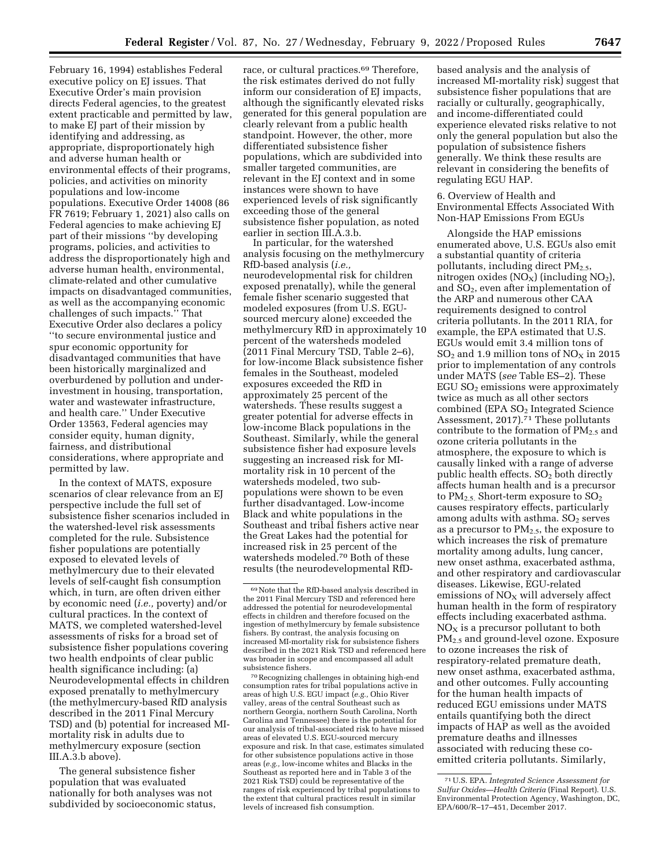February 16, 1994) establishes Federal executive policy on EJ issues. That Executive Order's main provision directs Federal agencies, to the greatest extent practicable and permitted by law, to make EJ part of their mission by identifying and addressing, as appropriate, disproportionately high and adverse human health or environmental effects of their programs, policies, and activities on minority populations and low-income populations. Executive Order 14008 (86 FR 7619; February 1, 2021) also calls on Federal agencies to make achieving EJ part of their missions ''by developing programs, policies, and activities to address the disproportionately high and adverse human health, environmental, climate-related and other cumulative impacts on disadvantaged communities, as well as the accompanying economic challenges of such impacts.'' That Executive Order also declares a policy ''to secure environmental justice and spur economic opportunity for disadvantaged communities that have been historically marginalized and overburdened by pollution and underinvestment in housing, transportation, water and wastewater infrastructure, and health care.'' Under Executive Order 13563, Federal agencies may consider equity, human dignity, fairness, and distributional considerations, where appropriate and permitted by law.

In the context of MATS, exposure scenarios of clear relevance from an EJ perspective include the full set of subsistence fisher scenarios included in the watershed-level risk assessments completed for the rule. Subsistence fisher populations are potentially exposed to elevated levels of methylmercury due to their elevated levels of self-caught fish consumption which, in turn, are often driven either by economic need (*i.e.,* poverty) and/or cultural practices. In the context of MATS, we completed watershed-level assessments of risks for a broad set of subsistence fisher populations covering two health endpoints of clear public health significance including: (a) Neurodevelopmental effects in children exposed prenatally to methylmercury (the methylmercury-based RfD analysis described in the 2011 Final Mercury TSD) and (b) potential for increased MImortality risk in adults due to methylmercury exposure (section III.A.3.b above).

The general subsistence fisher population that was evaluated nationally for both analyses was not subdivided by socioeconomic status,

race, or cultural practices.<sup>69</sup> Therefore, the risk estimates derived do not fully inform our consideration of EJ impacts, although the significantly elevated risks generated for this general population are clearly relevant from a public health standpoint. However, the other, more differentiated subsistence fisher populations, which are subdivided into smaller targeted communities, are relevant in the EJ context and in some instances were shown to have experienced levels of risk significantly exceeding those of the general subsistence fisher population, as noted earlier in section III.A.3.b.

In particular, for the watershed analysis focusing on the methylmercury RfD-based analysis (*i.e.,*  neurodevelopmental risk for children exposed prenatally), while the general female fisher scenario suggested that modeled exposures (from U.S. EGUsourced mercury alone) exceeded the methylmercury RfD in approximately 10 percent of the watersheds modeled (2011 Final Mercury TSD, Table 2–6), for low-income Black subsistence fisher females in the Southeast, modeled exposures exceeded the RfD in approximately 25 percent of the watersheds. These results suggest a greater potential for adverse effects in low-income Black populations in the Southeast. Similarly, while the general subsistence fisher had exposure levels suggesting an increased risk for MImortality risk in 10 percent of the watersheds modeled, two subpopulations were shown to be even further disadvantaged. Low-income Black and white populations in the Southeast and tribal fishers active near the Great Lakes had the potential for increased risk in 25 percent of the watersheds modeled.70 Both of these results (the neurodevelopmental RfD-

70Recognizing challenges in obtaining high-end consumption rates for tribal populations active in areas of high U.S. EGU impact (*e.g.,* Ohio River valley, areas of the central Southeast such as northern Georgia, northern South Carolina, North Carolina and Tennessee) there is the potential for our analysis of tribal-associated risk to have missed areas of elevated U.S. EGU-sourced mercury exposure and risk. In that case, estimates simulated for other subsistence populations active in those areas (*e.g.,* low-income whites and Blacks in the Southeast as reported here and in Table 3 of the 2021 Risk TSD) could be representative of the ranges of risk experienced by tribal populations to the extent that cultural practices result in similar levels of increased fish consumption.

based analysis and the analysis of increased MI-mortality risk) suggest that subsistence fisher populations that are racially or culturally, geographically, and income-differentiated could experience elevated risks relative to not only the general population but also the population of subsistence fishers generally. We think these results are relevant in considering the benefits of regulating EGU HAP.

6. Overview of Health and Environmental Effects Associated With Non-HAP Emissions From EGUs

Alongside the HAP emissions enumerated above, U.S. EGUs also emit a substantial quantity of criteria pollutants, including direct  $PM<sub>2.5</sub>$ , nitrogen oxides  $(NO<sub>X</sub>)$  (including  $NO<sub>2</sub>$ ), and  $SO<sub>2</sub>$ , even after implementation of the ARP and numerous other CAA requirements designed to control criteria pollutants. In the 2011 RIA, for example, the EPA estimated that U.S. EGUs would emit 3.4 million tons of  $SO<sub>2</sub>$  and 1.9 million tons of  $NO<sub>X</sub>$  in 2015 prior to implementation of any controls under MATS (*see* Table ES–2). These EGU  $SO<sub>2</sub>$  emissions were approximately twice as much as all other sectors combined (EPA SO2 Integrated Science Assessment, 2017).71 These pollutants contribute to the formation of  $PM_{2.5}$  and ozone criteria pollutants in the atmosphere, the exposure to which is causally linked with a range of adverse public health effects. SO<sub>2</sub> both directly affects human health and is a precursor to  $PM_{2.5}$ . Short-term exposure to  $SO_2$ causes respiratory effects, particularly among adults with asthma.  $SO<sub>2</sub>$  serves as a precursor to  $PM_{2.5}$ , the exposure to which increases the risk of premature mortality among adults, lung cancer, new onset asthma, exacerbated asthma, and other respiratory and cardiovascular diseases. Likewise, EGU-related emissions of  $NO<sub>X</sub>$  will adversely affect human health in the form of respiratory effects including exacerbated asthma.  $NO<sub>x</sub>$  is a precursor pollutant to both PM2.5 and ground-level ozone. Exposure to ozone increases the risk of respiratory-related premature death, new onset asthma, exacerbated asthma, and other outcomes. Fully accounting for the human health impacts of reduced EGU emissions under MATS entails quantifying both the direct impacts of HAP as well as the avoided premature deaths and illnesses associated with reducing these coemitted criteria pollutants. Similarly,

<sup>69</sup>Note that the RfD-based analysis described in the 2011 Final Mercury TSD and referenced here addressed the potential for neurodevelopmental effects in children and therefore focused on the ingestion of methylmercury by female subsistence fishers. By contrast, the analysis focusing on increased MI-mortality risk for subsistence fishers described in the 2021 Risk TSD and referenced here was broader in scope and encompassed all adult subsistence fishers.

<sup>71</sup>U.S. EPA. *Integrated Science Assessment for Sulfur Oxides—Health Criteria* (Final Report). U.S. Environmental Protection Agency, Washington, DC, EPA/600/R–17–451, December 2017.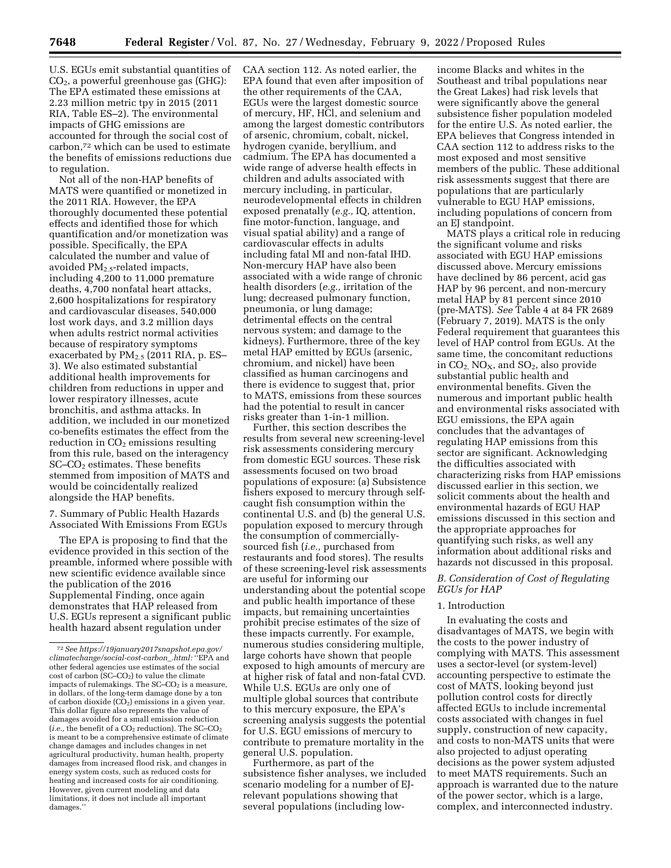U.S. EGUs emit substantial quantities of CO2, a powerful greenhouse gas (GHG): The EPA estimated these emissions at 2.23 million metric tpy in 2015 (2011 RIA, Table ES–2). The environmental impacts of GHG emissions are accounted for through the social cost of carbon,72 which can be used to estimate the benefits of emissions reductions due to regulation.

Not all of the non-HAP benefits of MATS were quantified or monetized in the 2011 RIA. However, the EPA thoroughly documented these potential effects and identified those for which quantification and/or monetization was possible. Specifically, the EPA calculated the number and value of avoided PM2.5-related impacts, including 4,200 to 11,000 premature deaths, 4,700 nonfatal heart attacks, 2,600 hospitalizations for respiratory and cardiovascular diseases, 540,000 lost work days, and 3.2 million days when adults restrict normal activities because of respiratory symptoms exacerbated by  $PM_{2.5}$  (2011 RIA, p. ES-3). We also estimated substantial additional health improvements for children from reductions in upper and lower respiratory illnesses, acute bronchitis, and asthma attacks. In addition, we included in our monetized co-benefits estimates the effect from the reduction in  $CO<sub>2</sub>$  emissions resulting from this rule, based on the interagency SC–CO2 estimates. These benefits stemmed from imposition of MATS and would be coincidentally realized alongside the HAP benefits.

7. Summary of Public Health Hazards Associated With Emissions From EGUs

The EPA is proposing to find that the evidence provided in this section of the preamble, informed where possible with new scientific evidence available since the publication of the 2016 Supplemental Finding, once again demonstrates that HAP released from U.S. EGUs represent a significant public health hazard absent regulation under

CAA section 112. As noted earlier, the EPA found that even after imposition of the other requirements of the CAA, EGUs were the largest domestic source of mercury, HF, HCl, and selenium and among the largest domestic contributors of arsenic, chromium, cobalt, nickel, hydrogen cyanide, beryllium, and cadmium. The EPA has documented a wide range of adverse health effects in children and adults associated with mercury including, in particular, neurodevelopmental effects in children exposed prenatally (*e.g.,* IQ, attention, fine motor-function, language, and visual spatial ability) and a range of cardiovascular effects in adults including fatal MI and non-fatal IHD. Non-mercury HAP have also been associated with a wide range of chronic health disorders (*e.g.,* irritation of the lung; decreased pulmonary function, pneumonia, or lung damage; detrimental effects on the central nervous system; and damage to the kidneys). Furthermore, three of the key metal HAP emitted by EGUs (arsenic, chromium, and nickel) have been classified as human carcinogens and there is evidence to suggest that, prior to MATS, emissions from these sources had the potential to result in cancer risks greater than 1-in-1 million.

Further, this section describes the results from several new screening-level risk assessments considering mercury from domestic EGU sources. These risk assessments focused on two broad populations of exposure: (a) Subsistence fishers exposed to mercury through selfcaught fish consumption within the continental U.S. and (b) the general U.S. population exposed to mercury through the consumption of commerciallysourced fish (*i.e.,* purchased from restaurants and food stores). The results of these screening-level risk assessments are useful for informing our understanding about the potential scope and public health importance of these impacts, but remaining uncertainties prohibit precise estimates of the size of these impacts currently. For example, numerous studies considering multiple, large cohorts have shown that people exposed to high amounts of mercury are at higher risk of fatal and non-fatal CVD. While U.S. EGUs are only one of multiple global sources that contribute to this mercury exposure, the EPA's screening analysis suggests the potential for U.S. EGU emissions of mercury to contribute to premature mortality in the general U.S. population.

Furthermore, as part of the subsistence fisher analyses, we included scenario modeling for a number of EJrelevant populations showing that several populations (including lowincome Blacks and whites in the Southeast and tribal populations near the Great Lakes) had risk levels that were significantly above the general subsistence fisher population modeled for the entire U.S. As noted earlier, the EPA believes that Congress intended in CAA section 112 to address risks to the most exposed and most sensitive members of the public. These additional risk assessments suggest that there are populations that are particularly vulnerable to EGU HAP emissions, including populations of concern from an EJ standpoint.

MATS plays a critical role in reducing the significant volume and risks associated with EGU HAP emissions discussed above. Mercury emissions have declined by 86 percent, acid gas HAP by 96 percent, and non-mercury metal HAP by 81 percent since 2010 (pre-MATS). *See* Table 4 at 84 FR 2689 (February 7, 2019). MATS is the only Federal requirement that guarantees this level of HAP control from EGUs. At the same time, the concomitant reductions in CO2, NOX, and SO2, also provide substantial public health and environmental benefits. Given the numerous and important public health and environmental risks associated with EGU emissions, the EPA again concludes that the advantages of regulating HAP emissions from this sector are significant. Acknowledging the difficulties associated with characterizing risks from HAP emissions discussed earlier in this section, we solicit comments about the health and environmental hazards of EGU HAP emissions discussed in this section and the appropriate approaches for quantifying such risks, as well any information about additional risks and hazards not discussed in this proposal.

### *B. Consideration of Cost of Regulating EGUs for HAP*

#### 1. Introduction

In evaluating the costs and disadvantages of MATS, we begin with the costs to the power industry of complying with MATS. This assessment uses a sector-level (or system-level) accounting perspective to estimate the cost of MATS, looking beyond just pollution control costs for directly affected EGUs to include incremental costs associated with changes in fuel supply, construction of new capacity, and costs to non-MATS units that were also projected to adjust operating decisions as the power system adjusted to meet MATS requirements. Such an approach is warranted due to the nature of the power sector, which is a large, complex, and interconnected industry.

<sup>72</sup>*See [https://19january2017snapshot.epa.gov/](https://19january2017snapshot.epa.gov/climatechange/social-cost-carbon_.html)  [climatechange/social-cost-carbon](https://19january2017snapshot.epa.gov/climatechange/social-cost-carbon_.html)*\_*.html:* ''EPA and other federal agencies use estimates of the social cost of carbon  $(SC$ – $CO<sub>2</sub>$ ) to value the climate impacts of rulemakings. The  $SC$ – $CO<sub>2</sub>$  is a measure, in dollars, of the long-term damage done by a ton of carbon dioxide  $(CO<sub>2</sub>)$  emissions in a given year. This dollar figure also represents the value of damages avoided for a small emission reduction (*i.e.*, the benefit of a  $CO<sub>2</sub>$  reduction). The  $SC$ – $CO<sub>2</sub>$ is meant to be a comprehensive estimate of climate change damages and includes changes in net agricultural productivity, human health, property damages from increased flood risk, and changes in energy system costs, such as reduced costs for heating and increased costs for air conditioning. However, given current modeling and data limitations, it does not include all important damages.''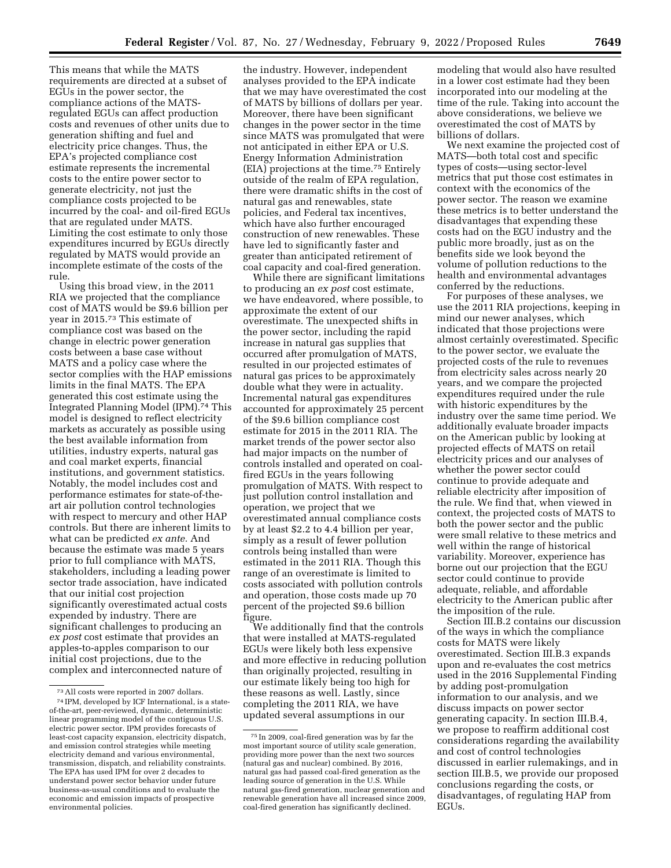This means that while the MATS requirements are directed at a subset of EGUs in the power sector, the compliance actions of the MATSregulated EGUs can affect production costs and revenues of other units due to generation shifting and fuel and electricity price changes. Thus, the EPA's projected compliance cost estimate represents the incremental costs to the entire power sector to generate electricity, not just the compliance costs projected to be incurred by the coal- and oil-fired EGUs that are regulated under MATS. Limiting the cost estimate to only those expenditures incurred by EGUs directly regulated by MATS would provide an incomplete estimate of the costs of the rule.

Using this broad view, in the 2011 RIA we projected that the compliance cost of MATS would be \$9.6 billion per year in 2015.73 This estimate of compliance cost was based on the change in electric power generation costs between a base case without MATS and a policy case where the sector complies with the HAP emissions limits in the final MATS. The EPA generated this cost estimate using the Integrated Planning Model (IPM).74 This model is designed to reflect electricity markets as accurately as possible using the best available information from utilities, industry experts, natural gas and coal market experts, financial institutions, and government statistics. Notably, the model includes cost and performance estimates for state-of-theart air pollution control technologies with respect to mercury and other HAP controls. But there are inherent limits to what can be predicted *ex ante.* And because the estimate was made 5 years prior to full compliance with MATS, stakeholders, including a leading power sector trade association, have indicated that our initial cost projection significantly overestimated actual costs expended by industry. There are significant challenges to producing an *ex post* cost estimate that provides an apples-to-apples comparison to our initial cost projections, due to the complex and interconnected nature of

the industry. However, independent analyses provided to the EPA indicate that we may have overestimated the cost of MATS by billions of dollars per year. Moreover, there have been significant changes in the power sector in the time since MATS was promulgated that were not anticipated in either EPA or U.S. Energy Information Administration (EIA) projections at the time.75 Entirely outside of the realm of EPA regulation, there were dramatic shifts in the cost of natural gas and renewables, state policies, and Federal tax incentives, which have also further encouraged construction of new renewables. These have led to significantly faster and greater than anticipated retirement of coal capacity and coal-fired generation.

While there are significant limitations to producing an *ex post* cost estimate, we have endeavored, where possible, to approximate the extent of our overestimate. The unexpected shifts in the power sector, including the rapid increase in natural gas supplies that occurred after promulgation of MATS, resulted in our projected estimates of natural gas prices to be approximately double what they were in actuality. Incremental natural gas expenditures accounted for approximately 25 percent of the \$9.6 billion compliance cost estimate for 2015 in the 2011 RIA. The market trends of the power sector also had major impacts on the number of controls installed and operated on coalfired EGUs in the years following promulgation of MATS. With respect to just pollution control installation and operation, we project that we overestimated annual compliance costs by at least \$2.2 to 4.4 billion per year, simply as a result of fewer pollution controls being installed than were estimated in the 2011 RIA. Though this range of an overestimate is limited to costs associated with pollution controls and operation, those costs made up 70 percent of the projected \$9.6 billion figure.

We additionally find that the controls that were installed at MATS-regulated EGUs were likely both less expensive and more effective in reducing pollution than originally projected, resulting in our estimate likely being too high for these reasons as well. Lastly, since completing the 2011 RIA, we have updated several assumptions in our

modeling that would also have resulted in a lower cost estimate had they been incorporated into our modeling at the time of the rule. Taking into account the above considerations, we believe we overestimated the cost of MATS by billions of dollars.

We next examine the projected cost of MATS—both total cost and specific types of costs—using sector-level metrics that put those cost estimates in context with the economics of the power sector. The reason we examine these metrics is to better understand the disadvantages that expending these costs had on the EGU industry and the public more broadly, just as on the benefits side we look beyond the volume of pollution reductions to the health and environmental advantages conferred by the reductions.

For purposes of these analyses, we use the 2011 RIA projections, keeping in mind our newer analyses, which indicated that those projections were almost certainly overestimated. Specific to the power sector, we evaluate the projected costs of the rule to revenues from electricity sales across nearly 20 years, and we compare the projected expenditures required under the rule with historic expenditures by the industry over the same time period. We additionally evaluate broader impacts on the American public by looking at projected effects of MATS on retail electricity prices and our analyses of whether the power sector could continue to provide adequate and reliable electricity after imposition of the rule. We find that, when viewed in context, the projected costs of MATS to both the power sector and the public were small relative to these metrics and well within the range of historical variability. Moreover, experience has borne out our projection that the EGU sector could continue to provide adequate, reliable, and affordable electricity to the American public after the imposition of the rule.

Section III.B.2 contains our discussion of the ways in which the compliance costs for MATS were likely overestimated. Section III.B.3 expands upon and re-evaluates the cost metrics used in the 2016 Supplemental Finding by adding post-promulgation information to our analysis, and we discuss impacts on power sector generating capacity. In section III.B.4, we propose to reaffirm additional cost considerations regarding the availability and cost of control technologies discussed in earlier rulemakings, and in section III.B.5, we provide our proposed conclusions regarding the costs, or disadvantages, of regulating HAP from EGUs.

<sup>73</sup>All costs were reported in 2007 dollars.

<sup>74</sup> IPM, developed by ICF International, is a stateof-the-art, peer-reviewed, dynamic, deterministic linear programming model of the contiguous U.S. electric power sector. IPM provides forecasts of least-cost capacity expansion, electricity dispatch, and emission control strategies while meeting electricity demand and various environmental, transmission, dispatch, and reliability constraints. The EPA has used IPM for over 2 decades to understand power sector behavior under future business-as-usual conditions and to evaluate the economic and emission impacts of prospective environmental policies.

<sup>75</sup> In 2009, coal-fired generation was by far the most important source of utility scale generation, providing more power than the next two sources (natural gas and nuclear) combined. By 2016, natural gas had passed coal-fired generation as the leading source of generation in the U.S. While natural gas-fired generation, nuclear generation and renewable generation have all increased since 2009, coal-fired generation has significantly declined.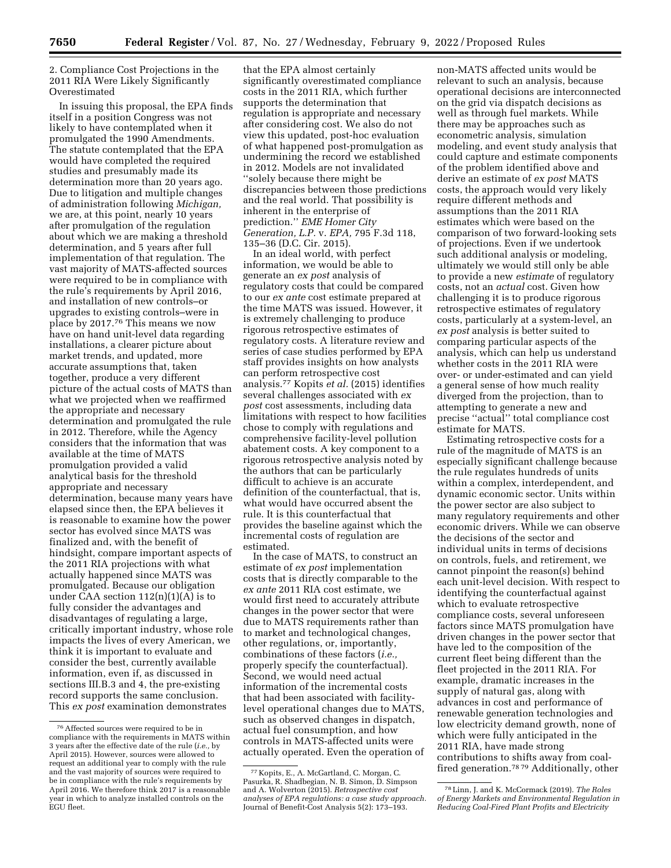2. Compliance Cost Projections in the 2011 RIA Were Likely Significantly Overestimated

In issuing this proposal, the EPA finds itself in a position Congress was not likely to have contemplated when it promulgated the 1990 Amendments. The statute contemplated that the EPA would have completed the required studies and presumably made its determination more than 20 years ago. Due to litigation and multiple changes of administration following *Michigan,*  we are, at this point, nearly 10 years after promulgation of the regulation about which we are making a threshold determination, and 5 years after full implementation of that regulation. The vast majority of MATS-affected sources were required to be in compliance with the rule's requirements by April 2016, and installation of new controls–or upgrades to existing controls–were in place by 2017.76 This means we now have on hand unit-level data regarding installations, a clearer picture about market trends, and updated, more accurate assumptions that, taken together, produce a very different picture of the actual costs of MATS than what we projected when we reaffirmed the appropriate and necessary determination and promulgated the rule in 2012. Therefore, while the Agency considers that the information that was available at the time of MATS promulgation provided a valid analytical basis for the threshold appropriate and necessary determination, because many years have elapsed since then, the EPA believes it is reasonable to examine how the power sector has evolved since MATS was finalized and, with the benefit of hindsight, compare important aspects of the 2011 RIA projections with what actually happened since MATS was promulgated. Because our obligation under CAA section  $112(n)(1)(A)$  is to fully consider the advantages and disadvantages of regulating a large, critically important industry, whose role impacts the lives of every American, we think it is important to evaluate and consider the best, currently available information, even if, as discussed in sections III.B.3 and 4, the pre-existing record supports the same conclusion. This *ex post* examination demonstrates

that the EPA almost certainly significantly overestimated compliance costs in the 2011 RIA, which further supports the determination that regulation is appropriate and necessary after considering cost. We also do not view this updated, post-hoc evaluation of what happened post-promulgation as undermining the record we established in 2012. Models are not invalidated ''solely because there might be discrepancies between those predictions and the real world. That possibility is inherent in the enterprise of prediction.'' *EME Homer City Generation, L.P.* v. *EPA,* 795 F.3d 118, 135–36 (D.C. Cir. 2015).

In an ideal world, with perfect information, we would be able to generate an *ex post* analysis of regulatory costs that could be compared to our *ex ante* cost estimate prepared at the time MATS was issued. However, it is extremely challenging to produce rigorous retrospective estimates of regulatory costs. A literature review and series of case studies performed by EPA staff provides insights on how analysts can perform retrospective cost analysis.77 Kopits *et al.* (2015) identifies several challenges associated with *ex post* cost assessments, including data limitations with respect to how facilities chose to comply with regulations and comprehensive facility-level pollution abatement costs. A key component to a rigorous retrospective analysis noted by the authors that can be particularly difficult to achieve is an accurate definition of the counterfactual, that is, what would have occurred absent the rule. It is this counterfactual that provides the baseline against which the incremental costs of regulation are estimated.

In the case of MATS, to construct an estimate of *ex post* implementation costs that is directly comparable to the *ex ante* 2011 RIA cost estimate, we would first need to accurately attribute changes in the power sector that were due to MATS requirements rather than to market and technological changes, other regulations, or, importantly, combinations of these factors (*i.e.,*  properly specify the counterfactual). Second, we would need actual information of the incremental costs that had been associated with facilitylevel operational changes due to MATS, such as observed changes in dispatch, actual fuel consumption, and how controls in MATS-affected units were actually operated. Even the operation of

non-MATS affected units would be relevant to such an analysis, because operational decisions are interconnected on the grid via dispatch decisions as well as through fuel markets. While there may be approaches such as econometric analysis, simulation modeling, and event study analysis that could capture and estimate components of the problem identified above and derive an estimate of *ex post* MATS costs, the approach would very likely require different methods and assumptions than the 2011 RIA estimates which were based on the comparison of two forward-looking sets of projections. Even if we undertook such additional analysis or modeling, ultimately we would still only be able to provide a new *estimate* of regulatory costs, not an *actual* cost. Given how challenging it is to produce rigorous retrospective estimates of regulatory costs, particularly at a system-level, an *ex post* analysis is better suited to comparing particular aspects of the analysis, which can help us understand whether costs in the 2011 RIA were over- or under-estimated and can yield a general sense of how much reality diverged from the projection, than to attempting to generate a new and precise ''actual'' total compliance cost estimate for MATS.

Estimating retrospective costs for a rule of the magnitude of MATS is an especially significant challenge because the rule regulates hundreds of units within a complex, interdependent, and dynamic economic sector. Units within the power sector are also subject to many regulatory requirements and other economic drivers. While we can observe the decisions of the sector and individual units in terms of decisions on controls, fuels, and retirement, we cannot pinpoint the reason(s) behind each unit-level decision. With respect to identifying the counterfactual against which to evaluate retrospective compliance costs, several unforeseen factors since MATS promulgation have driven changes in the power sector that have led to the composition of the current fleet being different than the fleet projected in the 2011 RIA. For example, dramatic increases in the supply of natural gas, along with advances in cost and performance of renewable generation technologies and low electricity demand growth, none of which were fully anticipated in the 2011 RIA, have made strong contributions to shifts away from coalfired generation.78 79 Additionally, other

<sup>76</sup>Affected sources were required to be in compliance with the requirements in MATS within 3 years after the effective date of the rule (*i.e.,* by April 2015). However, sources were allowed to request an additional year to comply with the rule and the vast majority of sources were required to be in compliance with the rule's requirements by April 2016. We therefore think 2017 is a reasonable year in which to analyze installed controls on the EGU fleet.

<sup>77</sup> Kopits, E., A. McGartland, C. Morgan, C. Pasurka, R. Shadbegian, N. B. Simon, D. Simpson and A. Wolverton (2015). *Retrospective cost analyses of EPA regulations: a case study approach.*  Journal of Benefit-Cost Analysis 5(2): 173–193.

<sup>78</sup>Linn, J. and K. McCormack (2019). *The Roles of Energy Markets and Environmental Regulation in Reducing Coal-Fired Plant Profits and Electricity*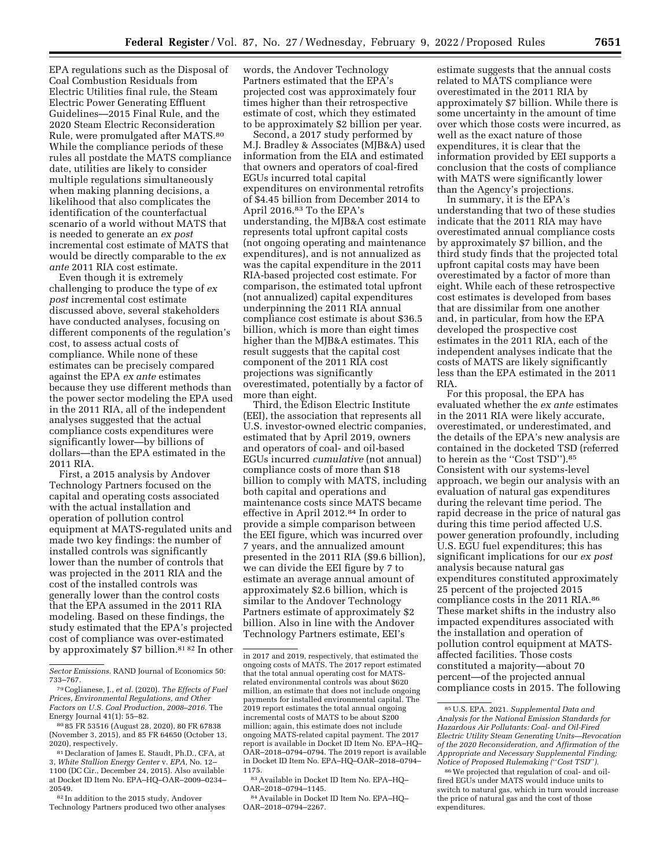EPA regulations such as the Disposal of Coal Combustion Residuals from Electric Utilities final rule, the Steam Electric Power Generating Effluent Guidelines—2015 Final Rule, and the 2020 Steam Electric Reconsideration Rule, were promulgated after MATS.80 While the compliance periods of these rules all postdate the MATS compliance date, utilities are likely to consider multiple regulations simultaneously when making planning decisions, a likelihood that also complicates the identification of the counterfactual scenario of a world without MATS that is needed to generate an *ex post*  incremental cost estimate of MATS that would be directly comparable to the *ex ante* 2011 RIA cost estimate.

Even though it is extremely challenging to produce the type of *ex post* incremental cost estimate discussed above, several stakeholders have conducted analyses, focusing on different components of the regulation's cost, to assess actual costs of compliance. While none of these estimates can be precisely compared against the EPA *ex ante* estimates because they use different methods than the power sector modeling the EPA used in the 2011 RIA, all of the independent analyses suggested that the actual compliance costs expenditures were significantly lower—by billions of dollars—than the EPA estimated in the 2011 RIA.

First, a 2015 analysis by Andover Technology Partners focused on the capital and operating costs associated with the actual installation and operation of pollution control equipment at MATS-regulated units and made two key findings: the number of installed controls was significantly lower than the number of controls that was projected in the 2011 RIA and the cost of the installed controls was generally lower than the control costs that the EPA assumed in the 2011 RIA modeling. Based on these findings, the study estimated that the EPA's projected cost of compliance was over-estimated by approximately \$7 billion.<sup>81 82</sup> In other

82 In addition to the 2015 study, Andover Technology Partners produced two other analyses words, the Andover Technology Partners estimated that the EPA's projected cost was approximately four times higher than their retrospective estimate of cost, which they estimated to be approximately \$2 billion per year.

Second, a 2017 study performed by M.J. Bradley & Associates (MJB&A) used information from the EIA and estimated that owners and operators of coal-fired EGUs incurred total capital expenditures on environmental retrofits of \$4.45 billion from December 2014 to April 2016.83 To the EPA's understanding, the MJB&A cost estimate represents total upfront capital costs (not ongoing operating and maintenance expenditures), and is not annualized as was the capital expenditure in the 2011 RIA-based projected cost estimate. For comparison, the estimated total upfront (not annualized) capital expenditures underpinning the 2011 RIA annual compliance cost estimate is about \$36.5 billion, which is more than eight times higher than the MJB&A estimates. This result suggests that the capital cost component of the 2011 RIA cost projections was significantly overestimated, potentially by a factor of more than eight.

Third, the Edison Electric Institute (EEI), the association that represents all U.S. investor-owned electric companies, estimated that by April 2019, owners and operators of coal- and oil-based EGUs incurred *cumulative* (not annual) compliance costs of more than \$18 billion to comply with MATS, including both capital and operations and maintenance costs since MATS became effective in April 2012.84 In order to provide a simple comparison between the EEI figure, which was incurred over 7 years, and the annualized amount presented in the 2011 RIA (\$9.6 billion), we can divide the EEI figure by 7 to estimate an average annual amount of approximately \$2.6 billion, which is similar to the Andover Technology Partners estimate of approximately \$2 billion. Also in line with the Andover Technology Partners estimate, EEI's

estimate suggests that the annual costs related to MATS compliance were overestimated in the 2011 RIA by approximately \$7 billion. While there is some uncertainty in the amount of time over which those costs were incurred, as well as the exact nature of those expenditures, it is clear that the information provided by EEI supports a conclusion that the costs of compliance with MATS were significantly lower than the Agency's projections.

In summary, it is the EPA's understanding that two of these studies indicate that the 2011 RIA may have overestimated annual compliance costs by approximately \$7 billion, and the third study finds that the projected total upfront capital costs may have been overestimated by a factor of more than eight. While each of these retrospective cost estimates is developed from bases that are dissimilar from one another and, in particular, from how the EPA developed the prospective cost estimates in the 2011 RIA, each of the independent analyses indicate that the costs of MATS are likely significantly less than the EPA estimated in the 2011 RIA.

For this proposal, the EPA has evaluated whether the *ex ante* estimates in the 2011 RIA were likely accurate, overestimated, or underestimated, and the details of the EPA's new analysis are contained in the docketed TSD (referred to herein as the ''Cost TSD'').85 Consistent with our systems-level approach, we begin our analysis with an evaluation of natural gas expenditures during the relevant time period. The rapid decrease in the price of natural gas during this time period affected U.S. power generation profoundly, including U.S. EGU fuel expenditures; this has significant implications for our *ex post*  analysis because natural gas expenditures constituted approximately 25 percent of the projected 2015 compliance costs in the 2011 RIA.86 These market shifts in the industry also impacted expenditures associated with the installation and operation of pollution control equipment at MATSaffected facilities. Those costs constituted a majority—about 70 percent—of the projected annual compliance costs in 2015. The following

*Sector Emissions.* RAND Journal of Economics 50: 733–767.

<sup>79</sup>Coglianese, J., *et al.* (2020). *The Effects of Fuel Prices, Environmental Regulations, and Other Factors on U.S. Coal Production, 2008–2016.* The Energy Journal 41(1): 55–82.

<sup>80</sup> 85 FR 53516 (August 28, 2020), 80 FR 67838 (November 3, 2015), and 85 FR 64650 (October 13, 2020), respectively.

<sup>81</sup> Declaration of James E. Staudt, Ph.D., CFA, at 3, *White Stallion Energy Center* v. *EPA,* No. 12– 1100 (DC Cir., December 24, 2015). Also available at Docket ID Item No. EPA–HQ–OAR–2009–0234– 20549.

in 2017 and 2019, respectively, that estimated the ongoing costs of MATS. The 2017 report estimated that the total annual operating cost for MATSrelated environmental controls was about \$620 million, an estimate that does not include ongoing payments for installed environmental capital. The 2019 report estimates the total annual ongoing incremental costs of MATS to be about \$200 million; again, this estimate does not include ongoing MATS-related capital payment. The 2017 report is available in Docket ID Item No. EPA–HQ– OAR–2018–0794–0794. The 2019 report is available in Docket ID Item No. EPA–HQ–OAR–2018–0794– 1175.

<sup>83</sup>Available in Docket ID Item No. EPA–HQ– OAR–2018–0794–1145.

<sup>84</sup>Available in Docket ID Item No. EPA–HQ– OAR–2018–0794–2267.

<sup>85</sup>U.S. EPA. 2021. *Supplemental Data and Analysis for the National Emission Standards for Hazardous Air Pollutants: Coal- and Oil-Fired Electric Utility Steam Generating Units—Revocation of the 2020 Reconsideration, and Affirmation of the Appropriate and Necessary Supplemental Finding; Notice of Proposed Rulemaking (*''*Cost TSD*''*).* 

<sup>86</sup>We projected that regulation of coal- and oilfired EGUs under MATS would induce units to switch to natural gas, which in turn would increase the price of natural gas and the cost of those expenditures.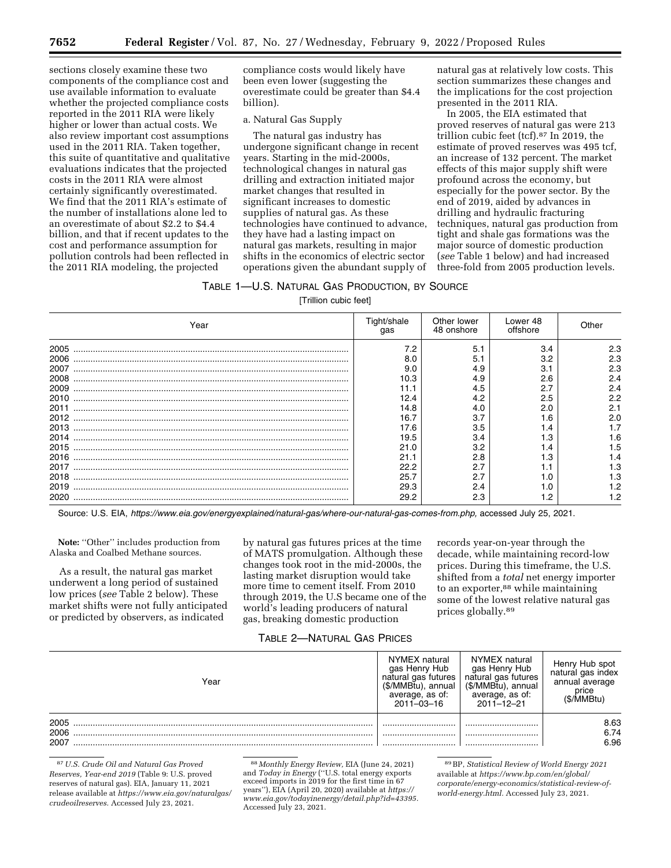sections closely examine these two components of the compliance cost and use available information to evaluate whether the projected compliance costs reported in the 2011 RIA were likely higher or lower than actual costs. We also review important cost assumptions used in the 2011 RIA. Taken together, this suite of quantitative and qualitative evaluations indicates that the projected costs in the 2011 RIA were almost certainly significantly overestimated. We find that the 2011 RIA's estimate of the number of installations alone led to an overestimate of about \$2.2 to \$4.4 billion, and that if recent updates to the cost and performance assumption for pollution controls had been reflected in the 2011 RIA modeling, the projected

compliance costs would likely have been even lower (suggesting the overestimate could be greater than \$4.4 billion).

# a. Natural Gas Supply

The natural gas industry has undergone significant change in recent years. Starting in the mid-2000s, technological changes in natural gas drilling and extraction initiated major market changes that resulted in significant increases to domestic supplies of natural gas. As these technologies have continued to advance, they have had a lasting impact on natural gas markets, resulting in major shifts in the economics of electric sector operations given the abundant supply of natural gas at relatively low costs. This section summarizes these changes and the implications for the cost projection presented in the 2011 RIA.

In 2005, the EIA estimated that proved reserves of natural gas were 213 trillion cubic feet (tcf).87 In 2019, the estimate of proved reserves was 495 tcf, an increase of 132 percent. The market effects of this major supply shift were profound across the economy, but especially for the power sector. By the end of 2019, aided by advances in drilling and hydraulic fracturing techniques, natural gas production from tight and shale gas formations was the major source of domestic production (*see* Table 1 below) and had increased three-fold from 2005 production levels.

# TABLE 1—U.S. NATURAL GAS PRODUCTION, BY SOURCE

[Trillion cubic feet]

| Year | Tight/shale<br>qas | Other lower<br>48 onshore | Lower 48<br>offshore | Other |
|------|--------------------|---------------------------|----------------------|-------|
| 2005 | 7.2                | 5.1                       | 3.4                  | 2.3   |
| 2006 | 8.0                | 5.1                       | 3.2                  | 2.3   |
| 2007 | 9.0                | 4.9                       | 3.1                  | 2.3   |
| 2008 | 10.3               | 4.9                       | 2.6                  | 2.4   |
| 2009 |                    | 4.5                       |                      | 2.4   |
| 2010 | 12.4               | 4.2                       | 2.5                  | 2.2   |
| 2011 | 14.8               | 4.0                       | 2.0                  | 2.1   |
| 2012 | 16.7               | 3.7                       | 1.6                  | 2.0   |
| 2013 | 17.6               | 3.5                       | 1.4                  |       |
| 2014 | 19.5               | 3.4                       | 1.3                  | 1.6   |
| 2015 | 21.0               | 3.2                       | 1.4                  | 1.5   |
| 2016 | 21.1               | 2.8                       | 1.3                  | 1.4   |
| 2017 | 22.2               | 2.7                       |                      | 1.3   |
| 2018 | 25.7               | 2.7                       | 1.0                  | 1.3   |
| 2019 | 29.3               | 2.4                       |                      | 1.2   |
| 2020 | 29.2               | 2.3                       |                      |       |

Source: U.S. EIA, [https://www.eia.gov/energyexplained/natural-gas/where-our-natural-gas-comes-from.php,](https://www.eia.gov/energyexplained/natural-gas/where-our-natural-gas-comes-from.php) accessed July 25, 2021.

**Note:** ''Other'' includes production from Alaska and Coalbed Methane sources.

As a result, the natural gas market underwent a long period of sustained low prices (*see* Table 2 below). These market shifts were not fully anticipated or predicted by observers, as indicated

by natural gas futures prices at the time of MATS promulgation. Although these changes took root in the mid-2000s, the lasting market disruption would take more time to cement itself. From 2010 through 2019, the U.S became one of the world's leading producers of natural gas, breaking domestic production

records year-on-year through the decade, while maintaining record-low prices. During this timeframe, the U.S. shifted from a *total* net energy importer to an exporter,88 while maintaining some of the lowest relative natural gas prices globally.89

# TABLE 2—NATURAL GAS PRICES

| Year                 | NYMEX natural<br>gas Henry Hub<br>natural gas futures<br>(\$/MMBtu), annual<br>average, as of:<br>2011-03-16 | NYMEX natural<br>gas Henry Hub<br>natural gas futures<br>(\$/MMBtu), annual<br>average, as of:<br>$2011 - 12 - 21$ | Henry Hub spot<br>natural gas index<br>annual average<br>price<br>(\$/MMBtu) |
|----------------------|--------------------------------------------------------------------------------------------------------------|--------------------------------------------------------------------------------------------------------------------|------------------------------------------------------------------------------|
| 2005<br>2006<br>2007 | <br>                                                                                                         | <br>                                                                                                               | 8.63<br>6.74<br>6.96                                                         |

87*U.S. Crude Oil and Natural Gas Proved Reserves, Year-end 2019* (Table 9: U.S. proved reserves of natural gas). EIA, January 11, 2021 release available at *[https://www.eia.gov/naturalgas/](https://www.eia.gov/naturalgas/crudeoilreserves) [crudeoilreserves.](https://www.eia.gov/naturalgas/crudeoilreserves)* Accessed July 23, 2021.

88 *Monthly Energy Review,* EIA (June 24, 2021) and *Today in Energy* (''U.S. total energy exports exceed imports in 2019 for the first time in 67 years''), EIA (April 20, 2020) available at *[https://](https://www.eia.gov/todayinenergy/detail.php?id=43395) [www.eia.gov/todayinenergy/detail.php?id=43395.](https://www.eia.gov/todayinenergy/detail.php?id=43395)*  Accessed July 23, 2021.

89BP, *Statistical Review of World Energy 2021*  available at *[https://www.bp.com/en/global/](https://www.bp.com/en/global/corporate/energy-economics/statistical-review-of-world-energy.html) [corporate/energy-economics/statistical-review-of](https://www.bp.com/en/global/corporate/energy-economics/statistical-review-of-world-energy.html)[world-energy.html.](https://www.bp.com/en/global/corporate/energy-economics/statistical-review-of-world-energy.html)* Accessed July 23, 2021.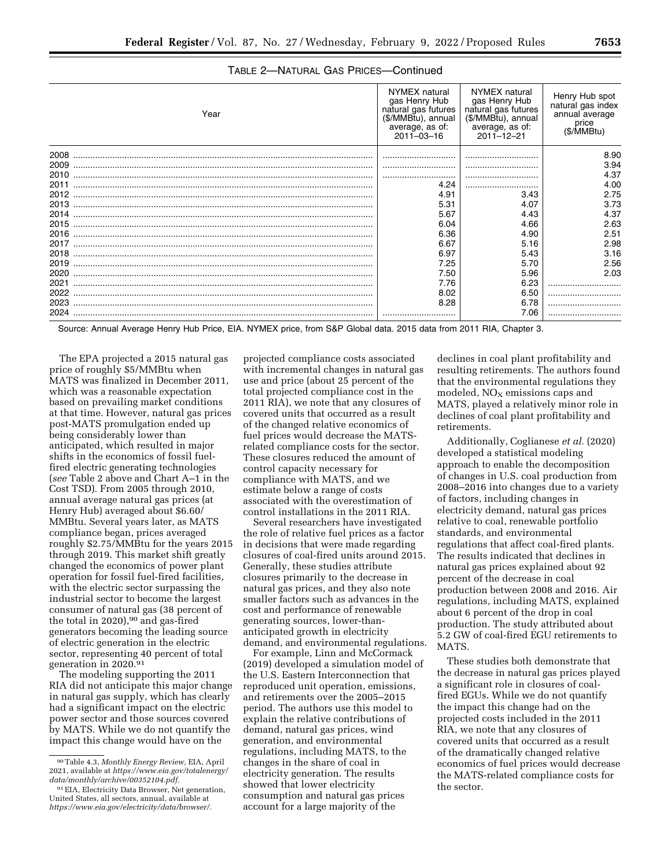| Year | NYMEX natural<br>gas Henry Hub<br>natural gas futures<br>(\$/MMBtu), annual<br>average, as of:<br>2011-03-16 | NYMEX natural<br>gas Henry Hub<br>natural gas futures<br>(\$/MMBtu), annual<br>average, as of:<br>2011-12-21 | Henry Hub spot<br>natural gas index<br>annual average<br>price<br>(\$/MMBtu) |
|------|--------------------------------------------------------------------------------------------------------------|--------------------------------------------------------------------------------------------------------------|------------------------------------------------------------------------------|
| 2008 |                                                                                                              |                                                                                                              | 8.90                                                                         |
| 2009 |                                                                                                              |                                                                                                              | 3.94                                                                         |
| 2010 |                                                                                                              |                                                                                                              | 4.37                                                                         |
| 2011 | 4.24                                                                                                         |                                                                                                              | 4.00                                                                         |
| 2012 | 4.91                                                                                                         | 3.43                                                                                                         | 2.75                                                                         |
| 2013 | 5.31                                                                                                         | 4.07                                                                                                         | 3.73                                                                         |
| 2014 | 5.67                                                                                                         | 4.43                                                                                                         | 4.37                                                                         |
| 2015 | 6.04                                                                                                         | 4.66                                                                                                         | 2.63                                                                         |
| 2016 | 6.36                                                                                                         | 4.90                                                                                                         | 2.51                                                                         |
| 2017 | 6.67                                                                                                         | 5.16                                                                                                         | 2.98                                                                         |
| 2018 | 6.97                                                                                                         | 5.43                                                                                                         | 3.16                                                                         |
| 2019 | 7.25                                                                                                         | 5.70                                                                                                         | 2.56                                                                         |
| 2020 | 7.50                                                                                                         | 5.96                                                                                                         | 2.03                                                                         |
| 2021 | 7.76                                                                                                         | 6.23                                                                                                         |                                                                              |
| 2022 | 8.02                                                                                                         | 6.50                                                                                                         |                                                                              |
| 2023 | 8.28                                                                                                         | 6.78                                                                                                         |                                                                              |
|      |                                                                                                              | 7.06                                                                                                         |                                                                              |

# TABLE 2—NATURAL GAS PRICES—Continued

Source: Annual Average Henry Hub Price, EIA. NYMEX price, from S&P Global data. 2015 data from 2011 RIA, Chapter 3.

The EPA projected a 2015 natural gas price of roughly \$5/MMBtu when MATS was finalized in December 2011, which was a reasonable expectation based on prevailing market conditions at that time. However, natural gas prices post-MATS promulgation ended up being considerably lower than anticipated, which resulted in major shifts in the economics of fossil fuelfired electric generating technologies (*see* Table 2 above and Chart A–1 in the Cost TSD). From 2005 through 2010, annual average natural gas prices (at Henry Hub) averaged about \$6.60/ MMBtu. Several years later, as MATS compliance began, prices averaged roughly \$2.75/MMBtu for the years 2015 through 2019. This market shift greatly changed the economics of power plant operation for fossil fuel-fired facilities, with the electric sector surpassing the industrial sector to become the largest consumer of natural gas (38 percent of the total in 2020),<sup>90</sup> and gas-fired generators becoming the leading source of electric generation in the electric sector, representing 40 percent of total generation in 2020.91

The modeling supporting the 2011 RIA did not anticipate this major change in natural gas supply, which has clearly had a significant impact on the electric power sector and those sources covered by MATS. While we do not quantify the impact this change would have on the

projected compliance costs associated with incremental changes in natural gas use and price (about 25 percent of the total projected compliance cost in the 2011 RIA), we note that any closures of covered units that occurred as a result of the changed relative economics of fuel prices would decrease the MATSrelated compliance costs for the sector. These closures reduced the amount of control capacity necessary for compliance with MATS, and we estimate below a range of costs associated with the overestimation of control installations in the 2011 RIA.

Several researchers have investigated the role of relative fuel prices as a factor in decisions that were made regarding closures of coal-fired units around 2015. Generally, these studies attribute closures primarily to the decrease in natural gas prices, and they also note smaller factors such as advances in the cost and performance of renewable generating sources, lower-thananticipated growth in electricity demand, and environmental regulations.

For example, Linn and McCormack (2019) developed a simulation model of the U.S. Eastern Interconnection that reproduced unit operation, emissions, and retirements over the 2005–2015 period. The authors use this model to explain the relative contributions of demand, natural gas prices, wind generation, and environmental regulations, including MATS, to the changes in the share of coal in electricity generation. The results showed that lower electricity consumption and natural gas prices account for a large majority of the

declines in coal plant profitability and resulting retirements. The authors found that the environmental regulations they modeled,  $NO<sub>X</sub>$  emissions caps and MATS, played a relatively minor role in declines of coal plant profitability and retirements.

Additionally, Coglianese *et al.* (2020) developed a statistical modeling approach to enable the decomposition of changes in U.S. coal production from 2008–2016 into changes due to a variety of factors, including changes in electricity demand, natural gas prices relative to coal, renewable portfolio standards, and environmental regulations that affect coal-fired plants. The results indicated that declines in natural gas prices explained about 92 percent of the decrease in coal production between 2008 and 2016. Air regulations, including MATS, explained about 6 percent of the drop in coal production. The study attributed about 5.2 GW of coal-fired EGU retirements to MATS.

These studies both demonstrate that the decrease in natural gas prices played a significant role in closures of coalfired EGUs. While we do not quantify the impact this change had on the projected costs included in the 2011 RIA, we note that any closures of covered units that occurred as a result of the dramatically changed relative economics of fuel prices would decrease the MATS-related compliance costs for the sector.

<sup>90</sup>Table 4.3, *Monthly Energy Review,* EIA, April 2021, available at *[https://www.eia.gov/totalenergy/](https://www.eia.gov/totalenergy/data/monthly/archive/00352104.pdf) [data/monthly/archive/00352104.pdf.](https://www.eia.gov/totalenergy/data/monthly/archive/00352104.pdf)* 

<sup>91</sup>EIA, Electricity Data Browser, Net generation, United States, all sectors, annual, available at *[https://www.eia.gov/electricity/data/browser/.](https://www.eia.gov/electricity/data/browser/)*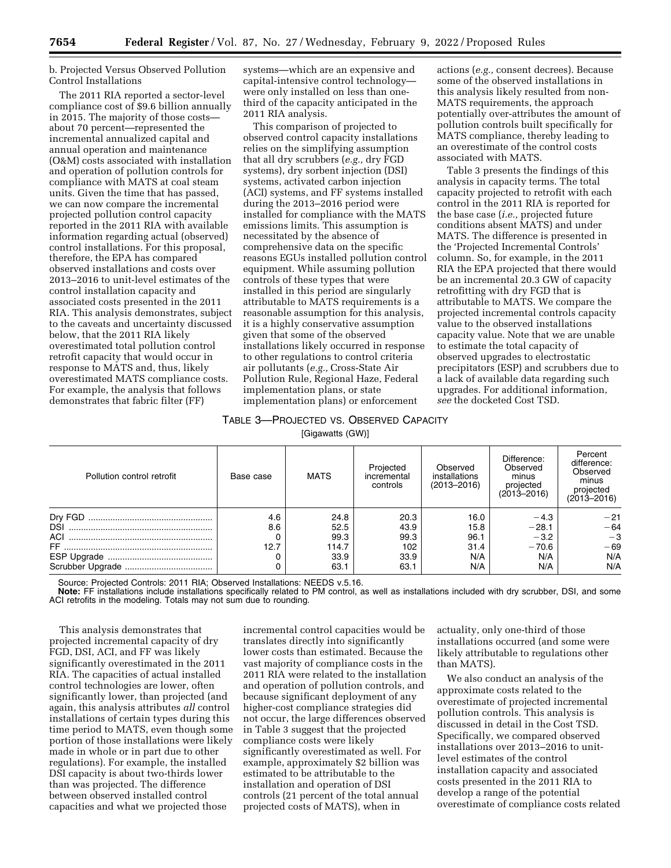b. Projected Versus Observed Pollution Control Installations

The 2011 RIA reported a sector-level compliance cost of \$9.6 billion annually in 2015. The majority of those costs about 70 percent—represented the incremental annualized capital and annual operation and maintenance (O&M) costs associated with installation and operation of pollution controls for compliance with MATS at coal steam units. Given the time that has passed, we can now compare the incremental projected pollution control capacity reported in the 2011 RIA with available information regarding actual (observed) control installations. For this proposal, therefore, the EPA has compared observed installations and costs over 2013–2016 to unit-level estimates of the control installation capacity and associated costs presented in the 2011 RIA. This analysis demonstrates, subject to the caveats and uncertainty discussed below, that the 2011 RIA likely overestimated total pollution control retrofit capacity that would occur in response to MATS and, thus, likely overestimated MATS compliance costs. For example, the analysis that follows demonstrates that fabric filter (FF)

systems—which are an expensive and capital-intensive control technology were only installed on less than onethird of the capacity anticipated in the 2011 RIA analysis.

This comparison of projected to observed control capacity installations relies on the simplifying assumption that all dry scrubbers (*e.g.,* dry FGD systems), dry sorbent injection (DSI) systems, activated carbon injection (ACI) systems, and FF systems installed during the 2013–2016 period were installed for compliance with the MATS emissions limits. This assumption is necessitated by the absence of comprehensive data on the specific reasons EGUs installed pollution control equipment. While assuming pollution controls of these types that were installed in this period are singularly attributable to MATS requirements is a reasonable assumption for this analysis, it is a highly conservative assumption given that some of the observed installations likely occurred in response to other regulations to control criteria air pollutants (*e.g.,* Cross-State Air Pollution Rule, Regional Haze, Federal implementation plans, or state implementation plans) or enforcement

actions (*e.g.,* consent decrees). Because some of the observed installations in this analysis likely resulted from non-MATS requirements, the approach potentially over-attributes the amount of pollution controls built specifically for MATS compliance, thereby leading to an overestimate of the control costs associated with MATS.

Table 3 presents the findings of this analysis in capacity terms. The total capacity projected to retrofit with each control in the 2011 RIA is reported for the base case (*i.e.,* projected future conditions absent MATS) and under MATS. The difference is presented in the 'Projected Incremental Controls' column. So, for example, in the 2011 RIA the EPA projected that there would be an incremental 20.3 GW of capacity retrofitting with dry FGD that is attributable to MATS. We compare the projected incremental controls capacity value to the observed installations capacity value. Note that we are unable to estimate the total capacity of observed upgrades to electrostatic precipitators (ESP) and scrubbers due to a lack of available data regarding such upgrades. For additional information, *see* the docketed Cost TSD.

#### TABLE 3—PROJECTED VS. OBSERVED CAPACITY  $[O]$ igawatta  $(O$ W)]

| Pollution control retrofit | Base case | MATS  | Projected<br>incremental<br>controls | Observed<br>installations<br>$(2013 - 2016)$ | Difference:<br>Observed<br>minus<br>projected<br>$(2013 - 2016)$ | Percent<br>difference:<br>Observed<br>minus<br>projected<br>$(2013 - 2016)$ |
|----------------------------|-----------|-------|--------------------------------------|----------------------------------------------|------------------------------------------------------------------|-----------------------------------------------------------------------------|
| Dry FGD                    | 4.6       | 24.8  | 20.3                                 | 16.0                                         | $-4.3$                                                           | $-21$                                                                       |
| <b>DSI</b>                 | 8.6       | 52.5  | 43.9                                 | 15.8                                         | $-28.1$                                                          | $-64$                                                                       |
| ACI                        |           | 99.3  | 99.3                                 | 96.1                                         | $-3.2$                                                           | $-3$                                                                        |
|                            | 12.7      | 114.7 | 102                                  | 31.4                                         | $-70.6$                                                          | $-69$                                                                       |
|                            |           | 33.9  | 33.9                                 | N/A                                          | N/A                                                              | N/A                                                                         |
|                            |           | 63.1  | 63.1                                 | N/A                                          | N/A                                                              | N/A                                                                         |

Source: Projected Controls: 2011 RIA; Observed Installations: NEEDS v.5.16.

**Note:** FF installations include installations specifically related to PM control, as well as installations included with dry scrubber, DSI, and some ACI retrofits in the modeling. Totals may not sum due to rounding.

This analysis demonstrates that projected incremental capacity of dry FGD, DSI, ACI, and FF was likely significantly overestimated in the 2011 RIA. The capacities of actual installed control technologies are lower, often significantly lower, than projected (and again, this analysis attributes *all* control installations of certain types during this time period to MATS, even though some portion of those installations were likely made in whole or in part due to other regulations). For example, the installed DSI capacity is about two-thirds lower than was projected. The difference between observed installed control capacities and what we projected those

incremental control capacities would be translates directly into significantly lower costs than estimated. Because the vast majority of compliance costs in the 2011 RIA were related to the installation and operation of pollution controls, and because significant deployment of any higher-cost compliance strategies did not occur, the large differences observed in Table 3 suggest that the projected compliance costs were likely significantly overestimated as well. For example, approximately \$2 billion was estimated to be attributable to the installation and operation of DSI controls (21 percent of the total annual projected costs of MATS), when in

actuality, only one-third of those installations occurred (and some were likely attributable to regulations other than MATS).

We also conduct an analysis of the approximate costs related to the overestimate of projected incremental pollution controls. This analysis is discussed in detail in the Cost TSD. Specifically, we compared observed installations over 2013–2016 to unitlevel estimates of the control installation capacity and associated costs presented in the 2011 RIA to develop a range of the potential overestimate of compliance costs related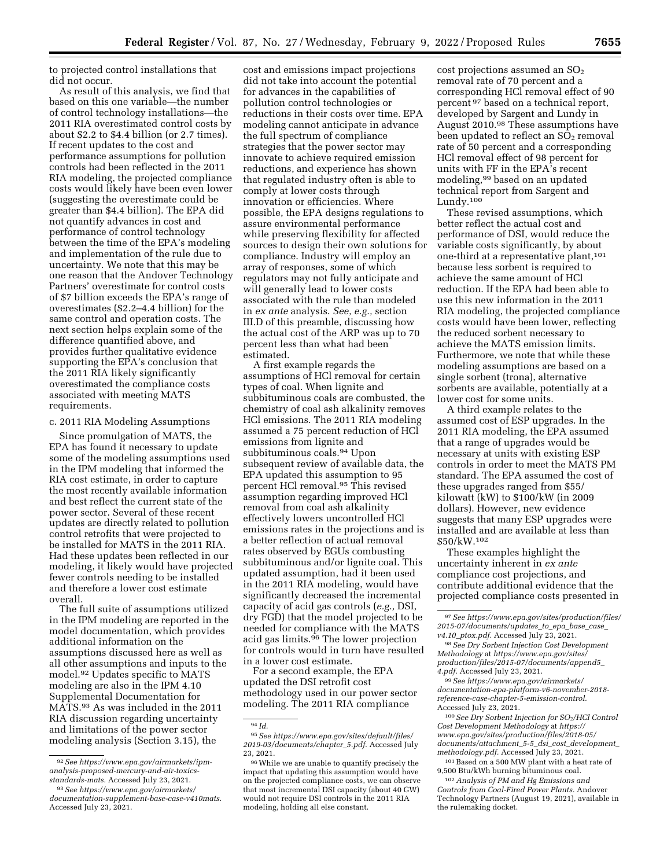to projected control installations that did not occur.

As result of this analysis, we find that based on this one variable—the number of control technology installations—the 2011 RIA overestimated control costs by about \$2.2 to \$4.4 billion (or 2.7 times). If recent updates to the cost and performance assumptions for pollution controls had been reflected in the 2011 RIA modeling, the projected compliance costs would likely have been even lower (suggesting the overestimate could be greater than \$4.4 billion). The EPA did not quantify advances in cost and performance of control technology between the time of the EPA's modeling and implementation of the rule due to uncertainty. We note that this may be one reason that the Andover Technology Partners' overestimate for control costs of \$7 billion exceeds the EPA's range of overestimates (\$2.2–4.4 billion) for the same control and operation costs. The next section helps explain some of the difference quantified above, and provides further qualitative evidence supporting the EPA's conclusion that the 2011 RIA likely significantly overestimated the compliance costs associated with meeting MATS requirements.

c. 2011 RIA Modeling Assumptions

Since promulgation of MATS, the EPA has found it necessary to update some of the modeling assumptions used in the IPM modeling that informed the RIA cost estimate, in order to capture the most recently available information and best reflect the current state of the power sector. Several of these recent updates are directly related to pollution control retrofits that were projected to be installed for MATS in the 2011 RIA. Had these updates been reflected in our modeling, it likely would have projected fewer controls needing to be installed and therefore a lower cost estimate overall.

The full suite of assumptions utilized in the IPM modeling are reported in the model documentation, which provides additional information on the assumptions discussed here as well as all other assumptions and inputs to the model.92 Updates specific to MATS modeling are also in the IPM 4.10 Supplemental Documentation for MATS.93 As was included in the 2011 RIA discussion regarding uncertainty and limitations of the power sector modeling analysis (Section 3.15), the

cost and emissions impact projections did not take into account the potential for advances in the capabilities of pollution control technologies or reductions in their costs over time. EPA modeling cannot anticipate in advance the full spectrum of compliance strategies that the power sector may innovate to achieve required emission reductions, and experience has shown that regulated industry often is able to comply at lower costs through innovation or efficiencies. Where possible, the EPA designs regulations to assure environmental performance while preserving flexibility for affected sources to design their own solutions for compliance. Industry will employ an array of responses, some of which regulators may not fully anticipate and will generally lead to lower costs associated with the rule than modeled in *ex ante* analysis. *See, e.g.,* section III.D of this preamble, discussing how the actual cost of the ARP was up to 70 percent less than what had been estimated.

A first example regards the assumptions of HCl removal for certain types of coal. When lignite and subbituminous coals are combusted, the chemistry of coal ash alkalinity removes HCl emissions. The 2011 RIA modeling assumed a 75 percent reduction of HCl emissions from lignite and subbituminous coals.94 Upon subsequent review of available data, the EPA updated this assumption to 95 percent HCl removal.95 This revised assumption regarding improved HCl removal from coal ash alkalinity effectively lowers uncontrolled HCl emissions rates in the projections and is a better reflection of actual removal rates observed by EGUs combusting subbituminous and/or lignite coal. This updated assumption, had it been used in the 2011 RIA modeling, would have significantly decreased the incremental capacity of acid gas controls (*e.g.,* DSI, dry FGD) that the model projected to be needed for compliance with the MATS acid gas limits.96 The lower projection for controls would in turn have resulted in a lower cost estimate.

For a second example, the EPA updated the DSI retrofit cost methodology used in our power sector modeling. The 2011 RIA compliance

cost projections assumed an  $SO<sub>2</sub>$ removal rate of 70 percent and a corresponding HCl removal effect of 90 percent 97 based on a technical report, developed by Sargent and Lundy in August 2010.98 These assumptions have been updated to reflect an  $SO<sub>2</sub>$  removal rate of 50 percent and a corresponding HCl removal effect of 98 percent for units with FF in the EPA's recent modeling,99 based on an updated technical report from Sargent and Lundy.100

These revised assumptions, which better reflect the actual cost and performance of DSI, would reduce the variable costs significantly, by about one-third at a representative plant,101 because less sorbent is required to achieve the same amount of HCl reduction. If the EPA had been able to use this new information in the 2011 RIA modeling, the projected compliance costs would have been lower, reflecting the reduced sorbent necessary to achieve the MATS emission limits. Furthermore, we note that while these modeling assumptions are based on a single sorbent (trona), alternative sorbents are available, potentially at a lower cost for some units.

A third example relates to the assumed cost of ESP upgrades. In the 2011 RIA modeling, the EPA assumed that a range of upgrades would be necessary at units with existing ESP controls in order to meet the MATS PM standard. The EPA assumed the cost of these upgrades ranged from \$55/ kilowatt (kW) to \$100/kW (in 2009 dollars). However, new evidence suggests that many ESP upgrades were installed and are available at less than \$50/kW.102

These examples highlight the uncertainty inherent in *ex ante*  compliance cost projections, and contribute additional evidence that the projected compliance costs presented in

99*See [https://www.epa.gov/airmarkets/](https://www.epa.gov/airmarkets/documentation-epa-platform-v6-november-2018-reference-case-chapter-5-emission-control)  [documentation-epa-platform-v6-november-2018](https://www.epa.gov/airmarkets/documentation-epa-platform-v6-november-2018-reference-case-chapter-5-emission-control) [reference-case-chapter-5-emission-control.](https://www.epa.gov/airmarkets/documentation-epa-platform-v6-november-2018-reference-case-chapter-5-emission-control)*  Accessed July 23, 2021.

<sup>100</sup>*See Dry Sorbent Injection for SO*2*/HCl Control Cost Development Methodology* at *[https://](https://www.epa.gov/sites/production/files/2018-05/documents/attachment_5-5_dsi_cost_development_methodology.pdf) [www.epa.gov/sites/production/files/2018-05/](https://www.epa.gov/sites/production/files/2018-05/documents/attachment_5-5_dsi_cost_development_methodology.pdf) [documents/attachment](https://www.epa.gov/sites/production/files/2018-05/documents/attachment_5-5_dsi_cost_development_methodology.pdf)*\_*5-5*\_*dsi*\_*cost*\_*development*\_ *[methodology.pdf.](https://www.epa.gov/sites/production/files/2018-05/documents/attachment_5-5_dsi_cost_development_methodology.pdf)* Accessed July 23, 2021.

101Based on a 500 MW plant with a heat rate of 9,500 Btu/kWh burning bituminous coal.

102*Analysis of PM and Hg Emissions and Controls from Coal-Fired Power Plants.* Andover Technology Partners (August 19, 2021), available in the rulemaking docket.

<sup>92</sup>*See [https://www.epa.gov/airmarkets/ipm](https://www.epa.gov/airmarkets/ipm-analysis-proposed-mercury-and-air-toxics-standards-mats)[analysis-proposed-mercury-and-air-toxics](https://www.epa.gov/airmarkets/ipm-analysis-proposed-mercury-and-air-toxics-standards-mats)[standards-mats.](https://www.epa.gov/airmarkets/ipm-analysis-proposed-mercury-and-air-toxics-standards-mats)* Accessed July 23, 2021.

<sup>93</sup>*See [https://www.epa.gov/airmarkets/](https://www.epa.gov/airmarkets/documentation-supplement-base-case-v410mats)  [documentation-supplement-base-case-v410mats.](https://www.epa.gov/airmarkets/documentation-supplement-base-case-v410mats)*  Accessed July 23, 2021.

<sup>94</sup> *Id.* 

<sup>95</sup>*See [https://www.epa.gov/sites/default/files/](https://www.epa.gov/sites/default/files/2019-03/documents/chapter_5.pdf)  [2019-03/documents/chapter](https://www.epa.gov/sites/default/files/2019-03/documents/chapter_5.pdf)*\_*5.pdf.* Accessed July 23, 2021.

<sup>96</sup>While we are unable to quantify precisely the impact that updating this assumption would have on the projected compliance costs, we can observe that most incremental DSI capacity (about 40 GW) would not require DSI controls in the 2011 RIA modeling, holding all else constant.

<sup>97</sup>*See [https://www.epa.gov/sites/production/files/](https://www.epa.gov/sites/production/files/2015-07/documents/updates_to_epa_base_case_v4.10_ptox.pdf)  [2015-07/documents/updates](https://www.epa.gov/sites/production/files/2015-07/documents/updates_to_epa_base_case_v4.10_ptox.pdf)*\_*to*\_*epa*\_*base*\_*case*\_ *v4.10*\_*[ptox.pdf.](https://www.epa.gov/sites/production/files/2015-07/documents/updates_to_epa_base_case_v4.10_ptox.pdf)* Accessed July 23, 2021.

<sup>98</sup>*See Dry Sorbent Injection Cost Development Methodology* at *[https://www.epa.gov/sites/](https://www.epa.gov/sites/production/files/2015-07/documents/append5_4.pdf) [production/files/2015-07/documents/append5](https://www.epa.gov/sites/production/files/2015-07/documents/append5_4.pdf)*\_ *[4.pdf.](https://www.epa.gov/sites/production/files/2015-07/documents/append5_4.pdf)* Accessed July 23, 2021.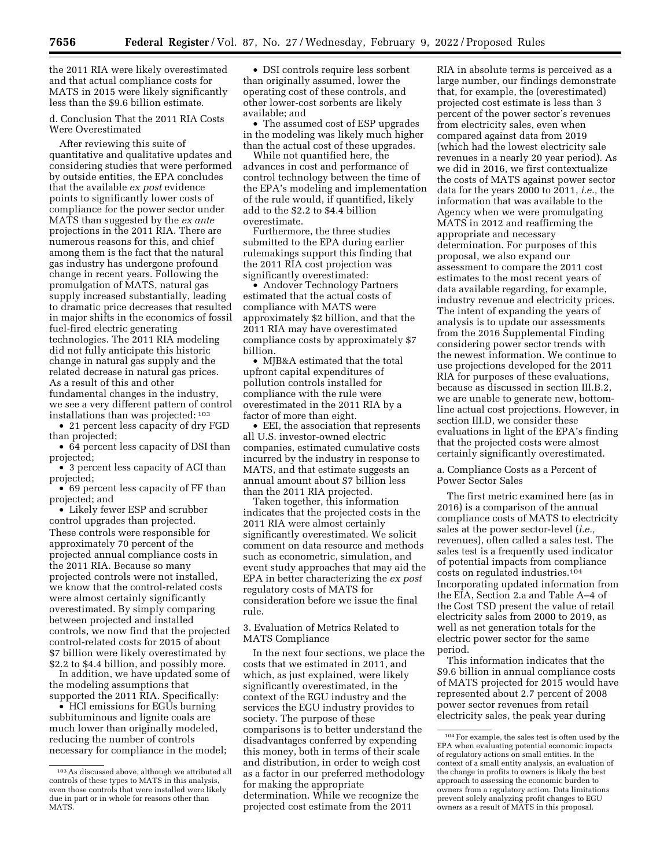the 2011 RIA were likely overestimated and that actual compliance costs for MATS in 2015 were likely significantly less than the \$9.6 billion estimate.

d. Conclusion That the 2011 RIA Costs Were Overestimated

After reviewing this suite of quantitative and qualitative updates and considering studies that were performed by outside entities, the EPA concludes that the available *ex post* evidence points to significantly lower costs of compliance for the power sector under MATS than suggested by the *ex ante*  projections in the 2011 RIA. There are numerous reasons for this, and chief among them is the fact that the natural gas industry has undergone profound change in recent years. Following the promulgation of MATS, natural gas supply increased substantially, leading to dramatic price decreases that resulted in major shifts in the economics of fossil fuel-fired electric generating technologies. The 2011 RIA modeling did not fully anticipate this historic change in natural gas supply and the related decrease in natural gas prices. As a result of this and other fundamental changes in the industry, we see a very different pattern of control installations than was projected: 103

• 21 percent less capacity of dry FGD than projected;

• 64 percent less capacity of DSI than projected;

• 3 percent less capacity of ACI than projected;

• 69 percent less capacity of FF than projected; and

• Likely fewer ESP and scrubber control upgrades than projected. These controls were responsible for approximately 70 percent of the projected annual compliance costs in the 2011 RIA. Because so many projected controls were not installed, we know that the control-related costs were almost certainly significantly overestimated. By simply comparing between projected and installed controls, we now find that the projected control-related costs for 2015 of about \$7 billion were likely overestimated by \$2.2 to \$4.4 billion, and possibly more.

In addition, we have updated some of the modeling assumptions that supported the 2011 RIA. Specifically:

• HCl emissions for EGUs burning subbituminous and lignite coals are much lower than originally modeled, reducing the number of controls necessary for compliance in the model;

• DSI controls require less sorbent than originally assumed, lower the operating cost of these controls, and other lower-cost sorbents are likely available; and

• The assumed cost of ESP upgrades in the modeling was likely much higher than the actual cost of these upgrades.

While not quantified here, the advances in cost and performance of control technology between the time of the EPA's modeling and implementation of the rule would, if quantified, likely add to the \$2.2 to \$4.4 billion overestimate.

Furthermore, the three studies submitted to the EPA during earlier rulemakings support this finding that the 2011 RIA cost projection was significantly overestimated:

• Andover Technology Partners estimated that the actual costs of compliance with MATS were approximately \$2 billion, and that the 2011 RIA may have overestimated compliance costs by approximately \$7 billion.

• MJB&A estimated that the total upfront capital expenditures of pollution controls installed for compliance with the rule were overestimated in the 2011 RIA by a factor of more than eight.

• EEI, the association that represents all U.S. investor-owned electric companies, estimated cumulative costs incurred by the industry in response to MATS, and that estimate suggests an annual amount about \$7 billion less than the 2011 RIA projected.

Taken together, this information indicates that the projected costs in the 2011 RIA were almost certainly significantly overestimated. We solicit comment on data resource and methods such as econometric, simulation, and event study approaches that may aid the EPA in better characterizing the *ex post*  regulatory costs of MATS for consideration before we issue the final rule.

3. Evaluation of Metrics Related to MATS Compliance

In the next four sections, we place the costs that we estimated in 2011, and which, as just explained, were likely significantly overestimated, in the context of the EGU industry and the services the EGU industry provides to society. The purpose of these comparisons is to better understand the disadvantages conferred by expending this money, both in terms of their scale and distribution, in order to weigh cost as a factor in our preferred methodology for making the appropriate determination. While we recognize the projected cost estimate from the 2011

RIA in absolute terms is perceived as a large number, our findings demonstrate that, for example, the (overestimated) projected cost estimate is less than 3 percent of the power sector's revenues from electricity sales, even when compared against data from 2019 (which had the lowest electricity sale revenues in a nearly 20 year period). As we did in 2016, we first contextualize the costs of MATS against power sector data for the years 2000 to 2011, *i.e.,* the information that was available to the Agency when we were promulgating MATS in 2012 and reaffirming the appropriate and necessary determination. For purposes of this proposal, we also expand our assessment to compare the 2011 cost estimates to the most recent years of data available regarding, for example, industry revenue and electricity prices. The intent of expanding the years of analysis is to update our assessments from the 2016 Supplemental Finding considering power sector trends with the newest information. We continue to use projections developed for the 2011 RIA for purposes of these evaluations, because as discussed in section III.B.2, we are unable to generate new, bottomline actual cost projections. However, in section III.D, we consider these evaluations in light of the EPA's finding that the projected costs were almost certainly significantly overestimated.

a. Compliance Costs as a Percent of Power Sector Sales

The first metric examined here (as in 2016) is a comparison of the annual compliance costs of MATS to electricity sales at the power sector-level (*i.e.,*  revenues), often called a sales test. The sales test is a frequently used indicator of potential impacts from compliance costs on regulated industries.104 Incorporating updated information from the EIA, Section 2.a and Table A–4 of the Cost TSD present the value of retail electricity sales from 2000 to 2019, as well as net generation totals for the electric power sector for the same period.

This information indicates that the \$9.6 billion in annual compliance costs of MATS projected for 2015 would have represented about 2.7 percent of 2008 power sector revenues from retail electricity sales, the peak year during

<sup>103</sup>As discussed above, although we attributed all controls of these types to MATS in this analysis, even those controls that were installed were likely due in part or in whole for reasons other than MATS.

<sup>104</sup>For example, the sales test is often used by the EPA when evaluating potential economic impacts of regulatory actions on small entities. In the context of a small entity analysis, an evaluation of the change in profits to owners is likely the best approach to assessing the economic burden to owners from a regulatory action. Data limitations prevent solely analyzing profit changes to EGU owners as a result of MATS in this proposal.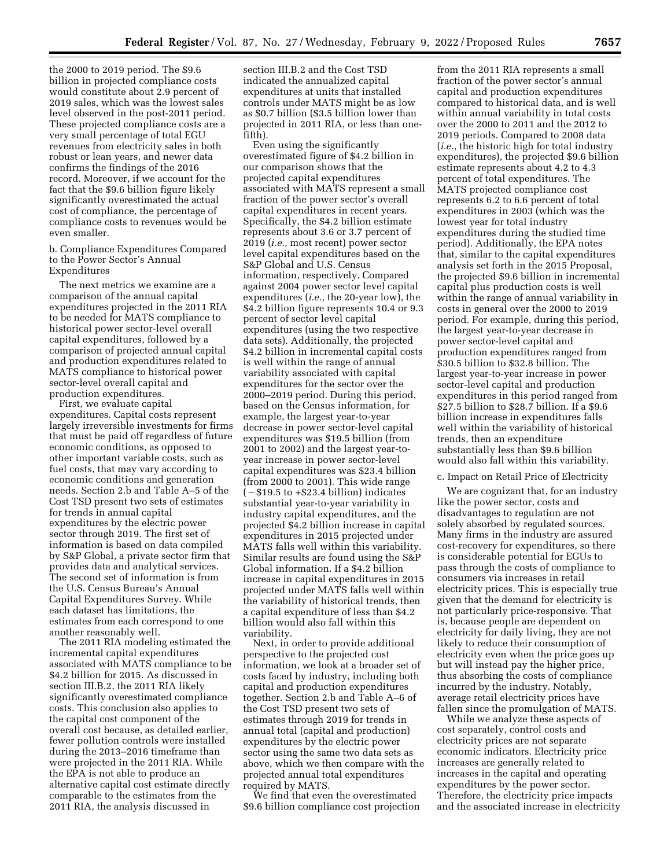the 2000 to 2019 period. The \$9.6 billion in projected compliance costs would constitute about 2.9 percent of 2019 sales, which was the lowest sales level observed in the post-2011 period. These projected compliance costs are a very small percentage of total EGU revenues from electricity sales in both robust or lean years, and newer data confirms the findings of the 2016 record. Moreover, if we account for the fact that the \$9.6 billion figure likely significantly overestimated the actual cost of compliance, the percentage of compliance costs to revenues would be even smaller.

b. Compliance Expenditures Compared to the Power Sector's Annual Expenditures

The next metrics we examine are a comparison of the annual capital expenditures projected in the 2011 RIA to be needed for MATS compliance to historical power sector-level overall capital expenditures, followed by a comparison of projected annual capital and production expenditures related to MATS compliance to historical power sector-level overall capital and production expenditures.

First, we evaluate capital expenditures. Capital costs represent largely irreversible investments for firms that must be paid off regardless of future economic conditions, as opposed to other important variable costs, such as fuel costs, that may vary according to economic conditions and generation needs. Section 2.b and Table A–5 of the Cost TSD present two sets of estimates for trends in annual capital expenditures by the electric power sector through 2019. The first set of information is based on data compiled by S&P Global, a private sector firm that provides data and analytical services. The second set of information is from the U.S. Census Bureau's Annual Capital Expenditures Survey. While each dataset has limitations, the estimates from each correspond to one another reasonably well.

The 2011 RIA modeling estimated the incremental capital expenditures associated with MATS compliance to be \$4.2 billion for 2015. As discussed in section III.B.2, the 2011 RIA likely significantly overestimated compliance costs. This conclusion also applies to the capital cost component of the overall cost because, as detailed earlier, fewer pollution controls were installed during the 2013–2016 timeframe than were projected in the 2011 RIA. While the EPA is not able to produce an alternative capital cost estimate directly comparable to the estimates from the 2011 RIA, the analysis discussed in

section III.B.2 and the Cost TSD indicated the annualized capital expenditures at units that installed controls under MATS might be as low as \$0.7 billion (\$3.5 billion lower than projected in 2011 RIA, or less than onefifth).

Even using the significantly overestimated figure of \$4.2 billion in our comparison shows that the projected capital expenditures associated with MATS represent a small fraction of the power sector's overall capital expenditures in recent years. Specifically, the \$4.2 billion estimate represents about 3.6 or 3.7 percent of 2019 (*i.e.,* most recent) power sector level capital expenditures based on the S&P Global and U.S. Census information, respectively. Compared against 2004 power sector level capital expenditures (*i.e.,* the 20-year low), the \$4.2 billion figure represents 10.4 or 9.3 percent of sector level capital expenditures (using the two respective data sets). Additionally, the projected \$4.2 billion in incremental capital costs is well within the range of annual variability associated with capital expenditures for the sector over the 2000–2019 period. During this period, based on the Census information, for example, the largest year-to-year decrease in power sector-level capital expenditures was \$19.5 billion (from 2001 to 2002) and the largest year-toyear increase in power sector-level capital expenditures was \$23.4 billion (from 2000 to 2001). This wide range  $(-\$19.5$  to  $+\$23.4$  billion) indicates substantial year-to-year variability in industry capital expenditures, and the projected \$4.2 billion increase in capital expenditures in 2015 projected under MATS falls well within this variability. Similar results are found using the S&P Global information. If a \$4.2 billion increase in capital expenditures in 2015 projected under MATS falls well within the variability of historical trends, then a capital expenditure of less than \$4.2 billion would also fall within this variability.

Next, in order to provide additional perspective to the projected cost information, we look at a broader set of costs faced by industry, including both capital and production expenditures together. Section 2.b and Table A–6 of the Cost TSD present two sets of estimates through 2019 for trends in annual total (capital and production) expenditures by the electric power sector using the same two data sets as above, which we then compare with the projected annual total expenditures required by MATS.

We find that even the overestimated \$9.6 billion compliance cost projection

from the 2011 RIA represents a small fraction of the power sector's annual capital and production expenditures compared to historical data, and is well within annual variability in total costs over the 2000 to 2011 and the 2012 to 2019 periods. Compared to 2008 data (*i.e.,* the historic high for total industry expenditures), the projected \$9.6 billion estimate represents about 4.2 to 4.3 percent of total expenditures. The MATS projected compliance cost represents 6.2 to 6.6 percent of total expenditures in 2003 (which was the lowest year for total industry expenditures during the studied time period). Additionally, the EPA notes that, similar to the capital expenditures analysis set forth in the 2015 Proposal, the projected \$9.6 billion in incremental capital plus production costs is well within the range of annual variability in costs in general over the 2000 to 2019 period. For example, during this period, the largest year-to-year decrease in power sector-level capital and production expenditures ranged from \$30.5 billion to \$32.8 billion. The largest year-to-year increase in power sector-level capital and production expenditures in this period ranged from \$27.5 billion to \$28.7 billion. If a \$9.6 billion increase in expenditures falls well within the variability of historical trends, then an expenditure substantially less than \$9.6 billion would also fall within this variability.

#### c. Impact on Retail Price of Electricity

We are cognizant that, for an industry like the power sector, costs and disadvantages to regulation are not solely absorbed by regulated sources. Many firms in the industry are assured cost-recovery for expenditures, so there is considerable potential for EGUs to pass through the costs of compliance to consumers via increases in retail electricity prices. This is especially true given that the demand for electricity is not particularly price-responsive. That is, because people are dependent on electricity for daily living, they are not likely to reduce their consumption of electricity even when the price goes up but will instead pay the higher price, thus absorbing the costs of compliance incurred by the industry. Notably, average retail electricity prices have fallen since the promulgation of MATS.

While we analyze these aspects of cost separately, control costs and electricity prices are not separate economic indicators. Electricity price increases are generally related to increases in the capital and operating expenditures by the power sector. Therefore, the electricity price impacts and the associated increase in electricity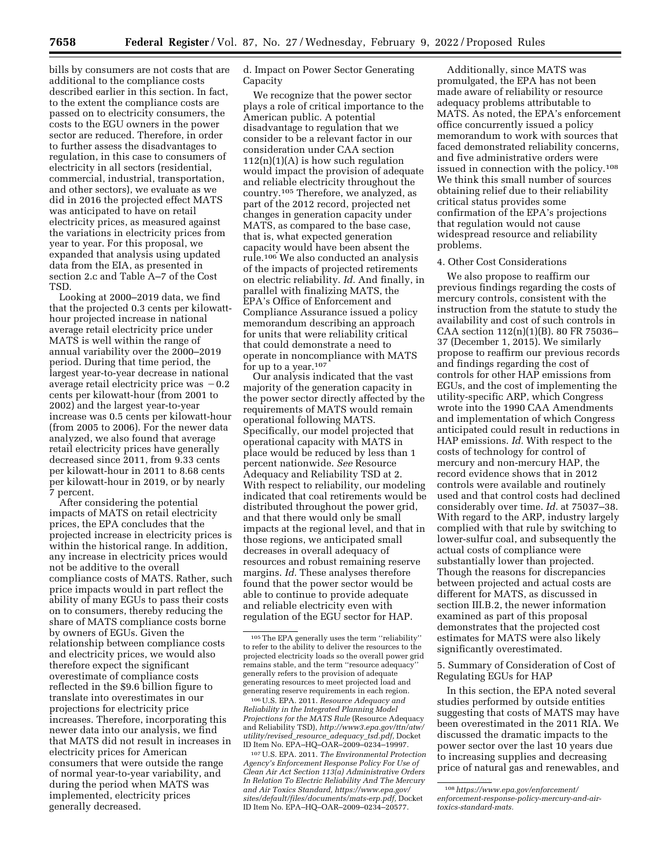bills by consumers are not costs that are additional to the compliance costs described earlier in this section. In fact, to the extent the compliance costs are passed on to electricity consumers, the costs to the EGU owners in the power sector are reduced. Therefore, in order to further assess the disadvantages to regulation, in this case to consumers of electricity in all sectors (residential, commercial, industrial, transportation, and other sectors), we evaluate as we did in 2016 the projected effect MATS was anticipated to have on retail electricity prices, as measured against the variations in electricity prices from year to year. For this proposal, we expanded that analysis using updated data from the EIA, as presented in section 2.c and Table A–7 of the Cost TSD.

Looking at 2000–2019 data, we find that the projected 0.3 cents per kilowatthour projected increase in national average retail electricity price under MATS is well within the range of annual variability over the 2000–2019 period. During that time period, the largest year-to-year decrease in national average retail electricity price was  $-0.2$ cents per kilowatt-hour (from 2001 to 2002) and the largest year-to-year increase was 0.5 cents per kilowatt-hour (from 2005 to 2006). For the newer data analyzed, we also found that average retail electricity prices have generally decreased since 2011, from 9.33 cents per kilowatt-hour in 2011 to 8.68 cents per kilowatt-hour in 2019, or by nearly 7 percent.

After considering the potential impacts of MATS on retail electricity prices, the EPA concludes that the projected increase in electricity prices is within the historical range. In addition, any increase in electricity prices would not be additive to the overall compliance costs of MATS. Rather, such price impacts would in part reflect the ability of many EGUs to pass their costs on to consumers, thereby reducing the share of MATS compliance costs borne by owners of EGUs. Given the relationship between compliance costs and electricity prices, we would also therefore expect the significant overestimate of compliance costs reflected in the \$9.6 billion figure to translate into overestimates in our projections for electricity price increases. Therefore, incorporating this newer data into our analysis, we find that MATS did not result in increases in electricity prices for American consumers that were outside the range of normal year-to-year variability, and during the period when MATS was implemented, electricity prices generally decreased.

d. Impact on Power Sector Generating Capacity

We recognize that the power sector plays a role of critical importance to the American public. A potential disadvantage to regulation that we consider to be a relevant factor in our consideration under CAA section  $112(n)(1)(A)$  is how such regulation would impact the provision of adequate and reliable electricity throughout the country.105 Therefore, we analyzed, as part of the 2012 record, projected net changes in generation capacity under MATS, as compared to the base case, that is, what expected generation capacity would have been absent the rule.106 We also conducted an analysis of the impacts of projected retirements on electric reliability. *Id.* And finally, in parallel with finalizing MATS, the EPA's Office of Enforcement and Compliance Assurance issued a policy memorandum describing an approach for units that were reliability critical that could demonstrate a need to operate in noncompliance with MATS for up to a year.<sup>107</sup>

Our analysis indicated that the vast majority of the generation capacity in the power sector directly affected by the requirements of MATS would remain operational following MATS. Specifically, our model projected that operational capacity with MATS in place would be reduced by less than 1 percent nationwide. *See* Resource Adequacy and Reliability TSD at 2. With respect to reliability, our modeling indicated that coal retirements would be distributed throughout the power grid, and that there would only be small impacts at the regional level, and that in those regions, we anticipated small decreases in overall adequacy of resources and robust remaining reserve margins. *Id.* These analyses therefore found that the power sector would be able to continue to provide adequate and reliable electricity even with regulation of the EGU sector for HAP.

106U.S. EPA. 2011. *Resource Adequacy and Reliability in the Integrated Planning Model Projections for the MATS Rule* (Resource Adequacy and Reliability TSD), *[http://www3.epa.gov/ttn/atw/](http://www3.epa.gov/ttn/atw/utility/revised_resource_adequacy_tsd.pdf) [utility/revised](http://www3.epa.gov/ttn/atw/utility/revised_resource_adequacy_tsd.pdf)*\_*resource*\_*adequacy*\_*tsd.pdf,* Docket ID Item No. EPA–HQ–OAR–2009–0234–19997.

107U.S. EPA. 2011. *The Environmental Protection Agency's Enforcement Response Policy For Use of Clean Air Act Section 113(a) Administrative Orders In Relation To Electric Reliability And The Mercury and Air Toxics Standard, [https://www.epa.gov/](https://www.epa.gov/sites/default/files/documents/mats-erp.pdf)  [sites/default/files/documents/mats-erp.pdf,](https://www.epa.gov/sites/default/files/documents/mats-erp.pdf)* Docket ID Item No. EPA–HQ–OAR–2009–0234–20577.

Additionally, since MATS was promulgated, the EPA has not been made aware of reliability or resource adequacy problems attributable to MATS. As noted, the EPA's enforcement office concurrently issued a policy memorandum to work with sources that faced demonstrated reliability concerns, and five administrative orders were issued in connection with the policy.108 We think this small number of sources obtaining relief due to their reliability critical status provides some confirmation of the EPA's projections that regulation would not cause widespread resource and reliability problems.

#### 4. Other Cost Considerations

We also propose to reaffirm our previous findings regarding the costs of mercury controls, consistent with the instruction from the statute to study the availability and cost of such controls in CAA section 112(n)(1)(B). 80 FR 75036– 37 (December 1, 2015). We similarly propose to reaffirm our previous records and findings regarding the cost of controls for other HAP emissions from EGUs, and the cost of implementing the utility-specific ARP, which Congress wrote into the 1990 CAA Amendments and implementation of which Congress anticipated could result in reductions in HAP emissions. *Id.* With respect to the costs of technology for control of mercury and non-mercury HAP, the record evidence shows that in 2012 controls were available and routinely used and that control costs had declined considerably over time. *Id.* at 75037–38. With regard to the ARP, industry largely complied with that rule by switching to lower-sulfur coal, and subsequently the actual costs of compliance were substantially lower than projected. Though the reasons for discrepancies between projected and actual costs are different for MATS, as discussed in section III.B.2, the newer information examined as part of this proposal demonstrates that the projected cost estimates for MATS were also likely significantly overestimated.

5. Summary of Consideration of Cost of Regulating EGUs for HAP

In this section, the EPA noted several studies performed by outside entities suggesting that costs of MATS may have been overestimated in the 2011 RIA. We discussed the dramatic impacts to the power sector over the last 10 years due to increasing supplies and decreasing price of natural gas and renewables, and

<sup>105</sup>The EPA generally uses the term ''reliability'' to refer to the ability to deliver the resources to the projected electricity loads so the overall power grid remains stable, and the term ''resource adequacy'' generally refers to the provision of adequate generating resources to meet projected load and generating reserve requirements in each region.

<sup>108</sup>*[https://www.epa.gov/enforcement/](https://www.epa.gov/enforcement/enforcement-response-policy-mercury-and-air-toxics-standard-mats)  [enforcement-response-policy-mercury-and-air](https://www.epa.gov/enforcement/enforcement-response-policy-mercury-and-air-toxics-standard-mats)[toxics-standard-mats.](https://www.epa.gov/enforcement/enforcement-response-policy-mercury-and-air-toxics-standard-mats)*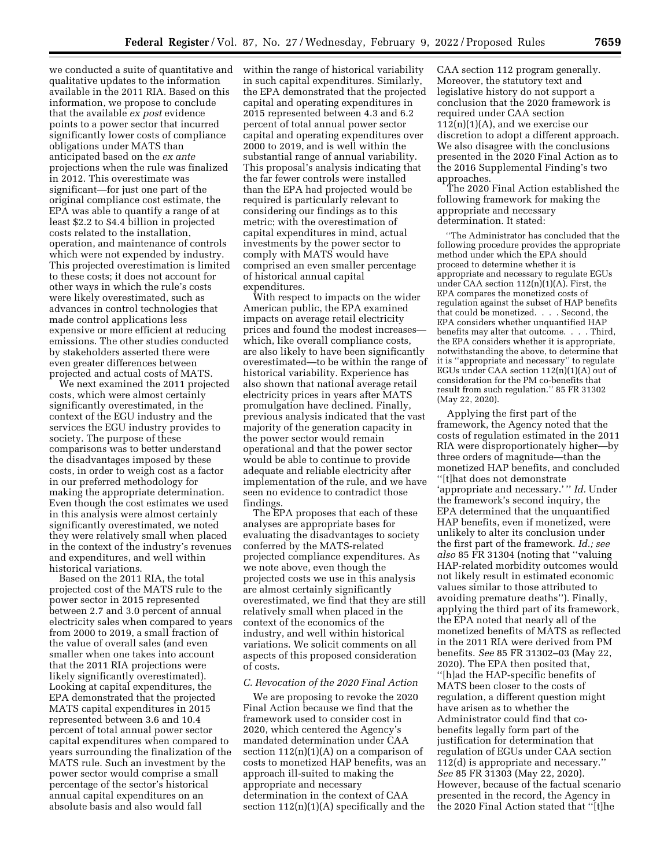we conducted a suite of quantitative and qualitative updates to the information available in the 2011 RIA. Based on this information, we propose to conclude that the available *ex post* evidence points to a power sector that incurred significantly lower costs of compliance obligations under MATS than anticipated based on the *ex ante*  projections when the rule was finalized in 2012. This overestimate was significant—for just one part of the original compliance cost estimate, the EPA was able to quantify a range of at least \$2.2 to \$4.4 billion in projected costs related to the installation, operation, and maintenance of controls which were not expended by industry. This projected overestimation is limited to these costs; it does not account for other ways in which the rule's costs were likely overestimated, such as advances in control technologies that made control applications less expensive or more efficient at reducing emissions. The other studies conducted by stakeholders asserted there were even greater differences between projected and actual costs of MATS.

We next examined the 2011 projected costs, which were almost certainly significantly overestimated, in the context of the EGU industry and the services the EGU industry provides to society. The purpose of these comparisons was to better understand the disadvantages imposed by these costs, in order to weigh cost as a factor in our preferred methodology for making the appropriate determination. Even though the cost estimates we used in this analysis were almost certainly significantly overestimated, we noted they were relatively small when placed in the context of the industry's revenues and expenditures, and well within historical variations.

Based on the 2011 RIA, the total projected cost of the MATS rule to the power sector in 2015 represented between 2.7 and 3.0 percent of annual electricity sales when compared to years from 2000 to 2019, a small fraction of the value of overall sales (and even smaller when one takes into account that the 2011 RIA projections were likely significantly overestimated). Looking at capital expenditures, the EPA demonstrated that the projected MATS capital expenditures in 2015 represented between 3.6 and 10.4 percent of total annual power sector capital expenditures when compared to years surrounding the finalization of the MATS rule. Such an investment by the power sector would comprise a small percentage of the sector's historical annual capital expenditures on an absolute basis and also would fall

within the range of historical variability in such capital expenditures. Similarly, the EPA demonstrated that the projected capital and operating expenditures in 2015 represented between 4.3 and 6.2 percent of total annual power sector capital and operating expenditures over 2000 to 2019, and is well within the substantial range of annual variability. This proposal's analysis indicating that the far fewer controls were installed than the EPA had projected would be required is particularly relevant to considering our findings as to this metric; with the overestimation of capital expenditures in mind, actual investments by the power sector to comply with MATS would have comprised an even smaller percentage of historical annual capital expenditures.

With respect to impacts on the wider American public, the EPA examined impacts on average retail electricity prices and found the modest increases which, like overall compliance costs, are also likely to have been significantly overestimated—to be within the range of historical variability. Experience has also shown that national average retail electricity prices in years after MATS promulgation have declined. Finally, previous analysis indicated that the vast majority of the generation capacity in the power sector would remain operational and that the power sector would be able to continue to provide adequate and reliable electricity after implementation of the rule, and we have seen no evidence to contradict those findings.

The EPA proposes that each of these analyses are appropriate bases for evaluating the disadvantages to society conferred by the MATS-related projected compliance expenditures. As we note above, even though the projected costs we use in this analysis are almost certainly significantly overestimated, we find that they are still relatively small when placed in the context of the economics of the industry, and well within historical variations. We solicit comments on all aspects of this proposed consideration of costs.

#### *C. Revocation of the 2020 Final Action*

We are proposing to revoke the 2020 Final Action because we find that the framework used to consider cost in 2020, which centered the Agency's mandated determination under CAA section  $112(n)(1)(A)$  on a comparison of costs to monetized HAP benefits, was an approach ill-suited to making the appropriate and necessary determination in the context of CAA section  $112(n)(1)(A)$  specifically and the

CAA section 112 program generally. Moreover, the statutory text and legislative history do not support a conclusion that the 2020 framework is required under CAA section  $112(n)(1)(A)$ , and we exercise our discretion to adopt a different approach. We also disagree with the conclusions presented in the 2020 Final Action as to the 2016 Supplemental Finding's two approaches.

The 2020 Final Action established the following framework for making the appropriate and necessary determination. It stated:

''The Administrator has concluded that the following procedure provides the appropriate method under which the EPA should proceed to determine whether it is appropriate and necessary to regulate EGUs under CAA section 112(n)(1)(A). First, the EPA compares the monetized costs of regulation against the subset of HAP benefits that could be monetized. . . . Second, the EPA considers whether unquantified HAP benefits may alter that outcome. . . . Third, the EPA considers whether it is appropriate, notwithstanding the above, to determine that it is ''appropriate and necessary'' to regulate EGUs under CAA section 112(n)(1)(A) out of consideration for the PM co-benefits that result from such regulation.'' 85 FR 31302 (May 22, 2020).

Applying the first part of the framework, the Agency noted that the costs of regulation estimated in the 2011 RIA were disproportionately higher—by three orders of magnitude—than the monetized HAP benefits, and concluded ''[t]hat does not demonstrate 'appropriate and necessary.' '' *Id.* Under the framework's second inquiry, the EPA determined that the unquantified HAP benefits, even if monetized, were unlikely to alter its conclusion under the first part of the framework. *Id.; see also* 85 FR 31304 (noting that ''valuing HAP-related morbidity outcomes would not likely result in estimated economic values similar to those attributed to avoiding premature deaths''). Finally, applying the third part of its framework, the EPA noted that nearly all of the monetized benefits of MATS as reflected in the 2011 RIA were derived from PM benefits. *See* 85 FR 31302–03 (May 22, 2020). The EPA then posited that, ''[h]ad the HAP-specific benefits of MATS been closer to the costs of regulation, a different question might have arisen as to whether the Administrator could find that cobenefits legally form part of the justification for determination that regulation of EGUs under CAA section 112(d) is appropriate and necessary.'' *See* 85 FR 31303 (May 22, 2020). However, because of the factual scenario presented in the record, the Agency in the 2020 Final Action stated that ''[t]he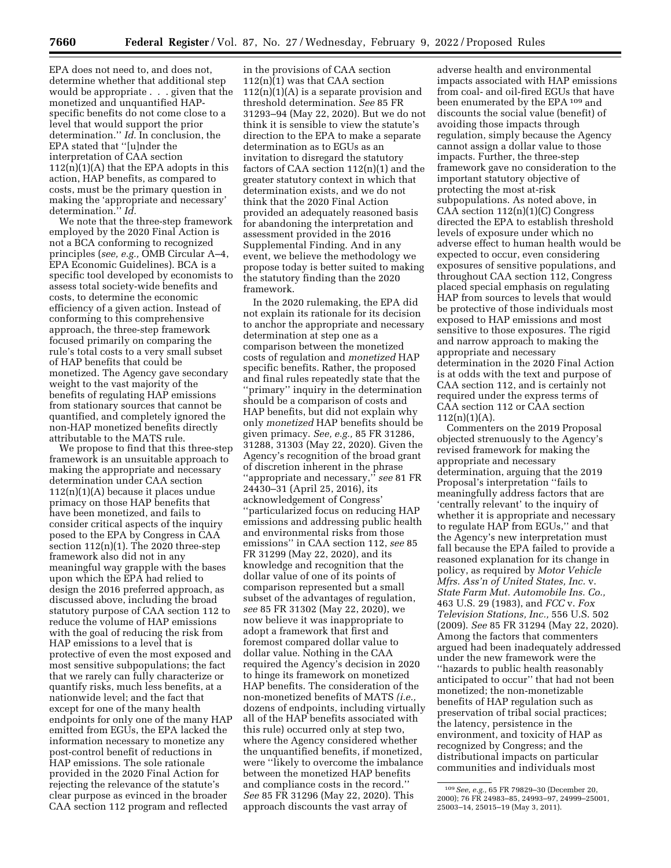EPA does not need to, and does not, determine whether that additional step would be appropriate . . . given that the monetized and unquantified HAPspecific benefits do not come close to a level that would support the prior determination.'' *Id.* In conclusion, the EPA stated that ''[u]nder the interpretation of CAA section  $112(n)(1)(A)$  that the EPA adopts in this action, HAP benefits, as compared to costs, must be the primary question in making the 'appropriate and necessary' determination.'' *Id.* 

We note that the three-step framework employed by the 2020 Final Action is not a BCA conforming to recognized principles (*see, e.g.,* OMB Circular A–4, EPA Economic Guidelines). BCA is a specific tool developed by economists to assess total society-wide benefits and costs, to determine the economic efficiency of a given action. Instead of conforming to this comprehensive approach, the three-step framework focused primarily on comparing the rule's total costs to a very small subset of HAP benefits that could be monetized. The Agency gave secondary weight to the vast majority of the benefits of regulating HAP emissions from stationary sources that cannot be quantified, and completely ignored the non-HAP monetized benefits directly attributable to the MATS rule.

We propose to find that this three-step framework is an unsuitable approach to making the appropriate and necessary determination under CAA section 112(n)(1)(A) because it places undue primacy on those HAP benefits that have been monetized, and fails to consider critical aspects of the inquiry posed to the EPA by Congress in CAA section  $112(n)(1)$ . The 2020 three-step framework also did not in any meaningful way grapple with the bases upon which the EPA had relied to design the 2016 preferred approach, as discussed above, including the broad statutory purpose of CAA section 112 to reduce the volume of HAP emissions with the goal of reducing the risk from HAP emissions to a level that is protective of even the most exposed and most sensitive subpopulations; the fact that we rarely can fully characterize or quantify risks, much less benefits, at a nationwide level; and the fact that except for one of the many health endpoints for only one of the many HAP emitted from EGUs, the EPA lacked the information necessary to monetize any post-control benefit of reductions in HAP emissions. The sole rationale provided in the 2020 Final Action for rejecting the relevance of the statute's clear purpose as evinced in the broader CAA section 112 program and reflected

in the provisions of CAA section 112(n)(1) was that CAA section  $112(n)(1)(A)$  is a separate provision and threshold determination. *See* 85 FR 31293–94 (May 22, 2020). But we do not think it is sensible to view the statute's direction to the EPA to make a separate determination as to EGUs as an invitation to disregard the statutory factors of CAA section 112(n)(1) and the greater statutory context in which that determination exists, and we do not think that the 2020 Final Action provided an adequately reasoned basis for abandoning the interpretation and assessment provided in the 2016 Supplemental Finding. And in any event, we believe the methodology we propose today is better suited to making the statutory finding than the 2020 framework.

In the 2020 rulemaking, the EPA did not explain its rationale for its decision to anchor the appropriate and necessary determination at step one as a comparison between the monetized costs of regulation and *monetized* HAP specific benefits. Rather, the proposed and final rules repeatedly state that the ''primary'' inquiry in the determination should be a comparison of costs and HAP benefits, but did not explain why only *monetized* HAP benefits should be given primacy. *See, e.g.,* 85 FR 31286, 31288, 31303 (May 22, 2020). Given the Agency's recognition of the broad grant of discretion inherent in the phrase ''appropriate and necessary,'' *see* 81 FR 24430–31 (April 25, 2016), its acknowledgement of Congress' ''particularized focus on reducing HAP emissions and addressing public health and environmental risks from those emissions'' in CAA section 112, *see* 85 FR 31299 (May 22, 2020), and its knowledge and recognition that the dollar value of one of its points of comparison represented but a small subset of the advantages of regulation, *see* 85 FR 31302 (May 22, 2020), we now believe it was inappropriate to adopt a framework that first and foremost compared dollar value to dollar value. Nothing in the CAA required the Agency's decision in 2020 to hinge its framework on monetized HAP benefits. The consideration of the non-monetized benefits of MATS *(i.e.,*  dozens of endpoints, including virtually all of the HAP benefits associated with this rule) occurred only at step two, where the Agency considered whether the unquantified benefits, if monetized, were ''likely to overcome the imbalance between the monetized HAP benefits and compliance costs in the record.'' *See* 85 FR 31296 (May 22, 2020). This approach discounts the vast array of

adverse health and environmental impacts associated with HAP emissions from coal- and oil-fired EGUs that have been enumerated by the EPA 109 and discounts the social value (benefit) of avoiding those impacts through regulation, simply because the Agency cannot assign a dollar value to those impacts. Further, the three-step framework gave no consideration to the important statutory objective of protecting the most at-risk subpopulations. As noted above, in CAA section  $112(n)(1)(C)$  Congress directed the EPA to establish threshold levels of exposure under which no adverse effect to human health would be expected to occur, even considering exposures of sensitive populations, and throughout CAA section 112, Congress placed special emphasis on regulating HAP from sources to levels that would be protective of those individuals most exposed to HAP emissions and most sensitive to those exposures. The rigid and narrow approach to making the appropriate and necessary determination in the 2020 Final Action is at odds with the text and purpose of CAA section 112, and is certainly not required under the express terms of CAA section 112 or CAA section  $112(n)(1)(A)$ .

Commenters on the 2019 Proposal objected strenuously to the Agency's revised framework for making the appropriate and necessary determination, arguing that the 2019 Proposal's interpretation ''fails to meaningfully address factors that are 'centrally relevant' to the inquiry of whether it is appropriate and necessary to regulate HAP from EGUs,'' and that the Agency's new interpretation must fall because the EPA failed to provide a reasoned explanation for its change in policy, as required by *Motor Vehicle Mfrs. Ass'n of United States, Inc.* v. *State Farm Mut. Automobile Ins. Co.,*  463 U.S. 29 (1983), and *FCC* v. *Fox Television Stations, Inc.,* 556 U.S. 502 (2009). *See* 85 FR 31294 (May 22, 2020). Among the factors that commenters argued had been inadequately addressed under the new framework were the ''hazards to public health reasonably anticipated to occur'' that had not been monetized; the non-monetizable benefits of HAP regulation such as preservation of tribal social practices; the latency, persistence in the environment, and toxicity of HAP as recognized by Congress; and the distributional impacts on particular communities and individuals most

<sup>109</sup>*See, e.g.,* 65 FR 79829–30 (December 20, 2000); 76 FR 24983–85, 24993–97, 24999–25001, 25003–14, 25015–19 (May 3, 2011).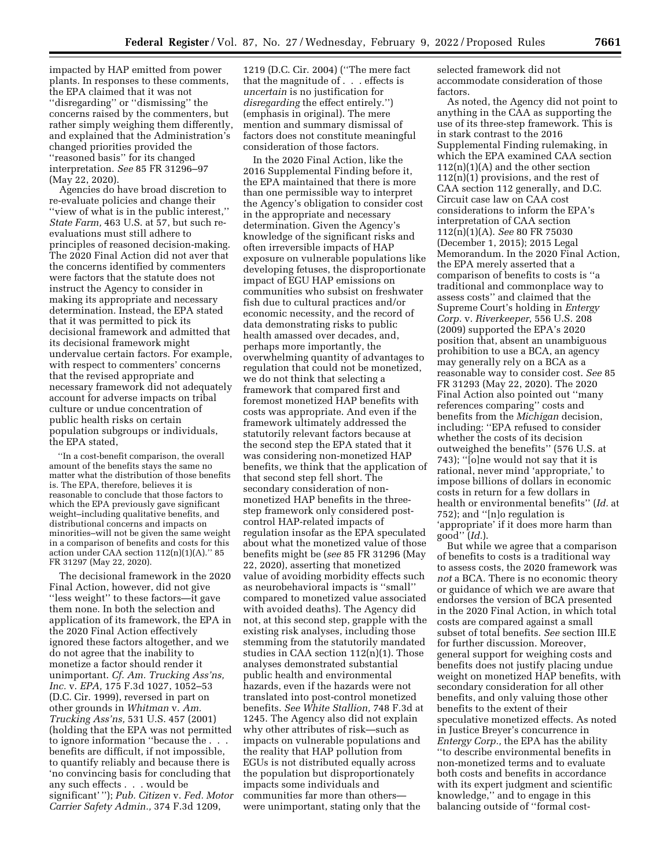impacted by HAP emitted from power plants. In responses to these comments, the EPA claimed that it was not ''disregarding'' or ''dismissing'' the concerns raised by the commenters, but rather simply weighing them differently, and explained that the Administration's changed priorities provided the ''reasoned basis'' for its changed interpretation. *See* 85 FR 31296–97 (May 22, 2020).

Agencies do have broad discretion to re-evaluate policies and change their ''view of what is in the public interest,'' *State Farm,* 463 U.S. at 57, but such reevaluations must still adhere to principles of reasoned decision-making. The 2020 Final Action did not aver that the concerns identified by commenters were factors that the statute does not instruct the Agency to consider in making its appropriate and necessary determination. Instead, the EPA stated that it was permitted to pick its decisional framework and admitted that its decisional framework might undervalue certain factors. For example, with respect to commenters' concerns that the revised appropriate and necessary framework did not adequately account for adverse impacts on tribal culture or undue concentration of public health risks on certain population subgroups or individuals, the EPA stated,

''In a cost-benefit comparison, the overall amount of the benefits stays the same no matter what the distribution of those benefits is. The EPA, therefore, believes it is reasonable to conclude that those factors to which the EPA previously gave significant weight–including qualitative benefits, and distributional concerns and impacts on minorities–will not be given the same weight in a comparison of benefits and costs for this action under CAA section  $112(n)(1)(A)$ ." 85 FR 31297 (May 22, 2020).

The decisional framework in the 2020 Final Action, however, did not give ''less weight'' to these factors—it gave them none. In both the selection and application of its framework, the EPA in the 2020 Final Action effectively ignored these factors altogether, and we do not agree that the inability to monetize a factor should render it unimportant. *Cf. Am. Trucking Ass'ns, Inc.* v. *EPA,* 175 F.3d 1027, 1052–53 (D.C. Cir. 1999), reversed in part on other grounds in *Whitman* v. *Am. Trucking Ass'ns,* 531 U.S. 457 (2001) (holding that the EPA was not permitted to ignore information ''because the . . . benefits are difficult, if not impossible, to quantify reliably and because there is 'no convincing basis for concluding that any such effects . . . would be significant' ''); *Pub. Citizen* v. *Fed. Motor Carrier Safety Admin.,* 374 F.3d 1209,

1219 (D.C. Cir. 2004) (''The mere fact that the magnitude of . . . effects is *uncertain* is no justification for *disregarding* the effect entirely.'') (emphasis in original). The mere mention and summary dismissal of factors does not constitute meaningful consideration of those factors.

In the 2020 Final Action, like the 2016 Supplemental Finding before it, the EPA maintained that there is more than one permissible way to interpret the Agency's obligation to consider cost in the appropriate and necessary determination. Given the Agency's knowledge of the significant risks and often irreversible impacts of HAP exposure on vulnerable populations like developing fetuses, the disproportionate impact of EGU HAP emissions on communities who subsist on freshwater fish due to cultural practices and/or economic necessity, and the record of data demonstrating risks to public health amassed over decades, and, perhaps more importantly, the overwhelming quantity of advantages to regulation that could not be monetized, we do not think that selecting a framework that compared first and foremost monetized HAP benefits with costs was appropriate. And even if the framework ultimately addressed the statutorily relevant factors because at the second step the EPA stated that it was considering non-monetized HAP benefits, we think that the application of that second step fell short. The secondary consideration of nonmonetized HAP benefits in the threestep framework only considered postcontrol HAP-related impacts of regulation insofar as the EPA speculated about what the monetized value of those benefits might be (*see* 85 FR 31296 (May 22, 2020), asserting that monetized value of avoiding morbidity effects such as neurobehavioral impacts is ''small'' compared to monetized value associated with avoided deaths). The Agency did not, at this second step, grapple with the existing risk analyses, including those stemming from the statutorily mandated studies in CAA section 112(n)(1). Those analyses demonstrated substantial public health and environmental hazards, even if the hazards were not translated into post-control monetized benefits. *See White Stallion,* 748 F.3d at 1245. The Agency also did not explain why other attributes of risk—such as impacts on vulnerable populations and the reality that HAP pollution from EGUs is not distributed equally across the population but disproportionately impacts some individuals and communities far more than others were unimportant, stating only that the

selected framework did not accommodate consideration of those factors.

As noted, the Agency did not point to anything in the CAA as supporting the use of its three-step framework. This is in stark contrast to the 2016 Supplemental Finding rulemaking, in which the EPA examined CAA section  $112(n)(1)(A)$  and the other section 112(n)(1) provisions, and the rest of CAA section 112 generally, and D.C. Circuit case law on CAA cost considerations to inform the EPA's interpretation of CAA section 112(n)(1)(A). *See* 80 FR 75030 (December 1, 2015); 2015 Legal Memorandum. In the 2020 Final Action, the EPA merely asserted that a comparison of benefits to costs is ''a traditional and commonplace way to assess costs'' and claimed that the Supreme Court's holding in *Entergy Corp.* v. *Riverkeeper,* 556 U.S. 208 (2009) supported the EPA's 2020 position that, absent an unambiguous prohibition to use a BCA, an agency may generally rely on a BCA as a reasonable way to consider cost. *See* 85 FR 31293 (May 22, 2020). The 2020 Final Action also pointed out ''many references comparing'' costs and benefits from the *Michigan* decision, including: ''EPA refused to consider whether the costs of its decision outweighed the benefits'' (576 U.S. at 743); ''[o]ne would not say that it is rational, never mind 'appropriate,' to impose billions of dollars in economic costs in return for a few dollars in health or environmental benefits'' (*Id.* at 752); and ''[n]o regulation is 'appropriate' if it does more harm than good'' (*Id.*).

But while we agree that a comparison of benefits to costs is a traditional way to assess costs, the 2020 framework was *not* a BCA. There is no economic theory or guidance of which we are aware that endorses the version of BCA presented in the 2020 Final Action, in which total costs are compared against a small subset of total benefits. *See* section III.E for further discussion. Moreover, general support for weighing costs and benefits does not justify placing undue weight on monetized HAP benefits, with secondary consideration for all other benefits, and only valuing those other benefits to the extent of their speculative monetized effects. As noted in Justice Breyer's concurrence in *Entergy Corp.,* the EPA has the ability ''to describe environmental benefits in non-monetized terms and to evaluate both costs and benefits in accordance with its expert judgment and scientific knowledge,'' and to engage in this balancing outside of ''formal cost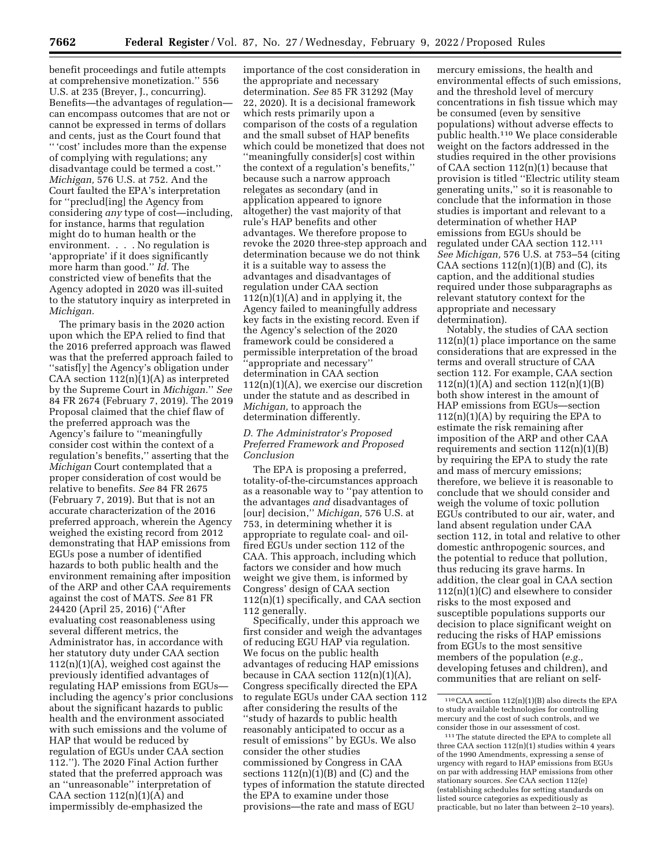benefit proceedings and futile attempts at comprehensive monetization.'' 556 U.S. at 235 (Breyer, J., concurring). Benefits—the advantages of regulation can encompass outcomes that are not or cannot be expressed in terms of dollars and cents, just as the Court found that '' 'cost' includes more than the expense of complying with regulations; any disadvantage could be termed a cost.'' *Michigan,* 576 U.S. at 752. And the Court faulted the EPA's interpretation for ''preclud[ing] the Agency from considering *any* type of cost—including, for instance, harms that regulation might do to human health or the environment. . . . No regulation is 'appropriate' if it does significantly more harm than good.'' *Id.* The constricted view of benefits that the Agency adopted in 2020 was ill-suited to the statutory inquiry as interpreted in *Michigan.* 

The primary basis in the 2020 action upon which the EPA relied to find that the 2016 preferred approach was flawed was that the preferred approach failed to ''satisf[y] the Agency's obligation under CAA section  $112(n)(1)(A)$  as interpreted by the Supreme Court in *Michigan.*'' *See*  84 FR 2674 (February 7, 2019). The 2019 Proposal claimed that the chief flaw of the preferred approach was the Agency's failure to ''meaningfully consider cost within the context of a regulation's benefits,'' asserting that the *Michigan* Court contemplated that a proper consideration of cost would be relative to benefits. *See* 84 FR 2675 (February 7, 2019). But that is not an accurate characterization of the 2016 preferred approach, wherein the Agency weighed the existing record from 2012 demonstrating that HAP emissions from EGUs pose a number of identified hazards to both public health and the environment remaining after imposition of the ARP and other CAA requirements against the cost of MATS. *See* 81 FR 24420 (April 25, 2016) (''After evaluating cost reasonableness using several different metrics, the Administrator has, in accordance with her statutory duty under CAA section  $112(n)(1)(A)$ , weighed cost against the previously identified advantages of regulating HAP emissions from EGUs including the agency's prior conclusions about the significant hazards to public health and the environment associated with such emissions and the volume of HAP that would be reduced by regulation of EGUs under CAA section 112.''). The 2020 Final Action further stated that the preferred approach was an ''unreasonable'' interpretation of CAA section  $112(n)(1)(A)$  and impermissibly de-emphasized the

importance of the cost consideration in the appropriate and necessary determination. *See* 85 FR 31292 (May 22, 2020). It is a decisional framework which rests primarily upon a comparison of the costs of a regulation and the small subset of HAP benefits which could be monetized that does not ''meaningfully consider[s] cost within the context of a regulation's benefits,'' because such a narrow approach relegates as secondary (and in application appeared to ignore altogether) the vast majority of that rule's HAP benefits and other advantages. We therefore propose to revoke the 2020 three-step approach and determination because we do not think it is a suitable way to assess the advantages and disadvantages of regulation under CAA section  $112(n)(1)(A)$  and in applying it, the Agency failed to meaningfully address key facts in the existing record. Even if the Agency's selection of the 2020 framework could be considered a permissible interpretation of the broad ''appropriate and necessary'' determination in CAA section  $112(n)(1)(A)$ , we exercise our discretion under the statute and as described in *Michigan,* to approach the determination differently.

# *D. The Administrator's Proposed Preferred Framework and Proposed Conclusion*

The EPA is proposing a preferred, totality-of-the-circumstances approach as a reasonable way to ''pay attention to the advantages *and* disadvantages of [our] decision,'' *Michigan,* 576 U.S. at 753, in determining whether it is appropriate to regulate coal- and oilfired EGUs under section 112 of the CAA. This approach, including which factors we consider and how much weight we give them, is informed by Congress' design of CAA section 112(n)(1) specifically, and CAA section 112 generally.

Specifically, under this approach we first consider and weigh the advantages of reducing EGU HAP via regulation. We focus on the public health advantages of reducing HAP emissions because in CAA section  $112(n)(1)(A)$ , Congress specifically directed the EPA to regulate EGUs under CAA section 112 after considering the results of the ''study of hazards to public health reasonably anticipated to occur as a result of emissions'' by EGUs. We also consider the other studies commissioned by Congress in CAA sections  $112(n)(1)(B)$  and  $(C)$  and the types of information the statute directed the EPA to examine under those provisions—the rate and mass of EGU

mercury emissions, the health and environmental effects of such emissions, and the threshold level of mercury concentrations in fish tissue which may be consumed (even by sensitive populations) without adverse effects to public health.110 We place considerable weight on the factors addressed in the studies required in the other provisions of CAA section 112(n)(1) because that provision is titled ''Electric utility steam generating units,'' so it is reasonable to conclude that the information in those studies is important and relevant to a determination of whether HAP emissions from EGUs should be regulated under CAA section 112.111 *See Michigan,* 576 U.S. at 753–54 (citing CAA sections  $112(n)(1)(B)$  and (C), its caption, and the additional studies required under those subparagraphs as relevant statutory context for the appropriate and necessary determination).

Notably, the studies of CAA section  $112(n)(1)$  place importance on the same considerations that are expressed in the terms and overall structure of CAA section 112. For example, CAA section  $112(n)(1)(A)$  and section  $112(n)(1)(B)$ both show interest in the amount of HAP emissions from EGUs—section  $112(n)(1)(A)$  by requiring the EPA to estimate the risk remaining after imposition of the ARP and other CAA requirements and section  $112(n)(1)(B)$ by requiring the EPA to study the rate and mass of mercury emissions; therefore, we believe it is reasonable to conclude that we should consider and weigh the volume of toxic pollution EGUs contributed to our air, water, and land absent regulation under CAA section 112, in total and relative to other domestic anthropogenic sources, and the potential to reduce that pollution, thus reducing its grave harms. In addition, the clear goal in CAA section 112(n)(1)(C) and elsewhere to consider risks to the most exposed and susceptible populations supports our decision to place significant weight on reducing the risks of HAP emissions from EGUs to the most sensitive members of the population (*e.g.,*  developing fetuses and children), and communities that are reliant on self-

 $110$  CAA section  $112(n)(1)(B)$  also directs the EPA to study available technologies for controlling mercury and the cost of such controls, and we consider those in our assessment of cost.

<sup>111</sup>The statute directed the EPA to complete all three CAA section  $112(n)(1)$  studies within 4 years of the 1990 Amendments, expressing a sense of urgency with regard to HAP emissions from EGUs on par with addressing HAP emissions from other stationary sources. *See* CAA section 112(e) (establishing schedules for setting standards on listed source categories as expeditiously as practicable, but no later than between 2–10 years).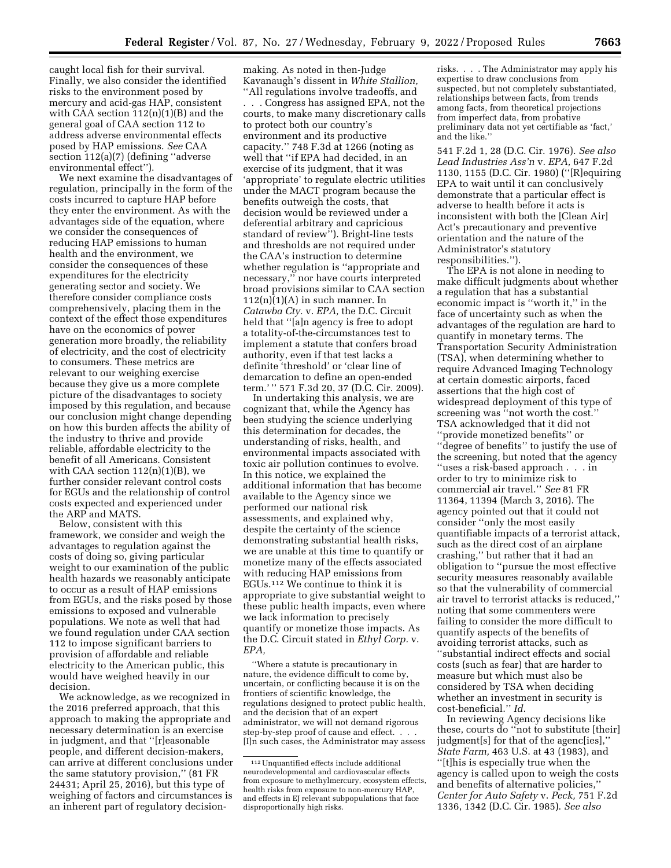caught local fish for their survival. Finally, we also consider the identified risks to the environment posed by mercury and acid-gas HAP, consistent with CAA section  $112(n)(1)(B)$  and the general goal of CAA section 112 to address adverse environmental effects posed by HAP emissions. *See* CAA section 112(a)(7) (defining ''adverse environmental effect'').

We next examine the disadvantages of regulation, principally in the form of the costs incurred to capture HAP before they enter the environment. As with the advantages side of the equation, where we consider the consequences of reducing HAP emissions to human health and the environment, we consider the consequences of these expenditures for the electricity generating sector and society. We therefore consider compliance costs comprehensively, placing them in the context of the effect those expenditures have on the economics of power generation more broadly, the reliability of electricity, and the cost of electricity to consumers. These metrics are relevant to our weighing exercise because they give us a more complete picture of the disadvantages to society imposed by this regulation, and because our conclusion might change depending on how this burden affects the ability of the industry to thrive and provide reliable, affordable electricity to the benefit of all Americans. Consistent with CAA section  $112(n)(1)(B)$ , we further consider relevant control costs for EGUs and the relationship of control costs expected and experienced under the ARP and MATS.

Below, consistent with this framework, we consider and weigh the advantages to regulation against the costs of doing so, giving particular weight to our examination of the public health hazards we reasonably anticipate to occur as a result of HAP emissions from EGUs, and the risks posed by those emissions to exposed and vulnerable populations. We note as well that had we found regulation under CAA section 112 to impose significant barriers to provision of affordable and reliable electricity to the American public, this would have weighed heavily in our decision.

We acknowledge, as we recognized in the 2016 preferred approach, that this approach to making the appropriate and necessary determination is an exercise in judgment, and that ''[r]easonable people, and different decision-makers, can arrive at different conclusions under the same statutory provision,'' (81 FR 24431; April 25, 2016), but this type of weighing of factors and circumstances is an inherent part of regulatory decision-

making. As noted in then-Judge Kavanaugh's dissent in *White Stallion,*  ''All regulations involve tradeoffs, and . . . Congress has assigned EPA, not the courts, to make many discretionary calls to protect both our country's environment and its productive capacity.'' 748 F.3d at 1266 (noting as well that ''if EPA had decided, in an exercise of its judgment, that it was 'appropriate' to regulate electric utilities under the MACT program because the benefits outweigh the costs, that decision would be reviewed under a deferential arbitrary and capricious standard of review''). Bright-line tests and thresholds are not required under the CAA's instruction to determine whether regulation is ''appropriate and necessary,'' nor have courts interpreted broad provisions similar to CAA section  $112(n)(1)(A)$  in such manner. In *Catawba Cty.* v. *EPA,* the D.C. Circuit held that ''[a]n agency is free to adopt a totality-of-the-circumstances test to implement a statute that confers broad authority, even if that test lacks a definite 'threshold' or 'clear line of demarcation to define an open-ended term.' '' 571 F.3d 20, 37 (D.C. Cir. 2009).

In undertaking this analysis, we are cognizant that, while the Agency has been studying the science underlying this determination for decades, the understanding of risks, health, and environmental impacts associated with toxic air pollution continues to evolve. In this notice, we explained the additional information that has become available to the Agency since we performed our national risk assessments, and explained why, despite the certainty of the science demonstrating substantial health risks, we are unable at this time to quantify or monetize many of the effects associated with reducing HAP emissions from EGUs.112 We continue to think it is appropriate to give substantial weight to these public health impacts, even where we lack information to precisely quantify or monetize those impacts. As the D.C. Circuit stated in *Ethyl Corp.* v. *EPA,* 

''Where a statute is precautionary in nature, the evidence difficult to come by, uncertain, or conflicting because it is on the frontiers of scientific knowledge, the regulations designed to protect public health, and the decision that of an expert administrator, we will not demand rigorous step-by-step proof of cause and effect. . . . [I]n such cases, the Administrator may assess risks. . . . The Administrator may apply his expertise to draw conclusions from suspected, but not completely substantiated, relationships between facts, from trends among facts, from theoretical projections from imperfect data, from probative preliminary data not yet certifiable as 'fact,' and the like.''

541 F.2d 1, 28 (D.C. Cir. 1976). *See also Lead Industries Ass'n* v. *EPA,* 647 F.2d 1130, 1155 (D.C. Cir. 1980) (''[R]equiring EPA to wait until it can conclusively demonstrate that a particular effect is adverse to health before it acts is inconsistent with both the [Clean Air] Act's precautionary and preventive orientation and the nature of the Administrator's statutory responsibilities.'').

The EPA is not alone in needing to make difficult judgments about whether a regulation that has a substantial economic impact is ''worth it,'' in the face of uncertainty such as when the advantages of the regulation are hard to quantify in monetary terms. The Transportation Security Administration (TSA), when determining whether to require Advanced Imaging Technology at certain domestic airports, faced assertions that the high cost of widespread deployment of this type of screening was ''not worth the cost.'' TSA acknowledged that it did not ''provide monetized benefits'' or ''degree of benefits'' to justify the use of the screening, but noted that the agency ''uses a risk-based approach . . . in order to try to minimize risk to commercial air travel.'' *See* 81 FR 11364, 11394 (March 3, 2016). The agency pointed out that it could not consider ''only the most easily quantifiable impacts of a terrorist attack, such as the direct cost of an airplane crashing,'' but rather that it had an obligation to ''pursue the most effective security measures reasonably available so that the vulnerability of commercial air travel to terrorist attacks is reduced,'' noting that some commenters were failing to consider the more difficult to quantify aspects of the benefits of avoiding terrorist attacks, such as ''substantial indirect effects and social costs (such as fear) that are harder to measure but which must also be considered by TSA when deciding whether an investment in security is cost-beneficial.'' *Id.* 

In reviewing Agency decisions like these, courts do ''not to substitute [their] judgment[s] for that of the agenc[ies],'' *State Farm,* 463 U.S. at 43 (1983), and ''[t]his is especially true when the agency is called upon to weigh the costs and benefits of alternative policies,'' *Center for Auto Safety* v. *Peck,* 751 F.2d 1336, 1342 (D.C. Cir. 1985). *See also* 

<sup>112</sup>Unquantified effects include additional neurodevelopmental and cardiovascular effects from exposure to methylmercury, ecosystem effects, health risks from exposure to non-mercury HAP, and effects in EJ relevant subpopulations that face disproportionally high risks.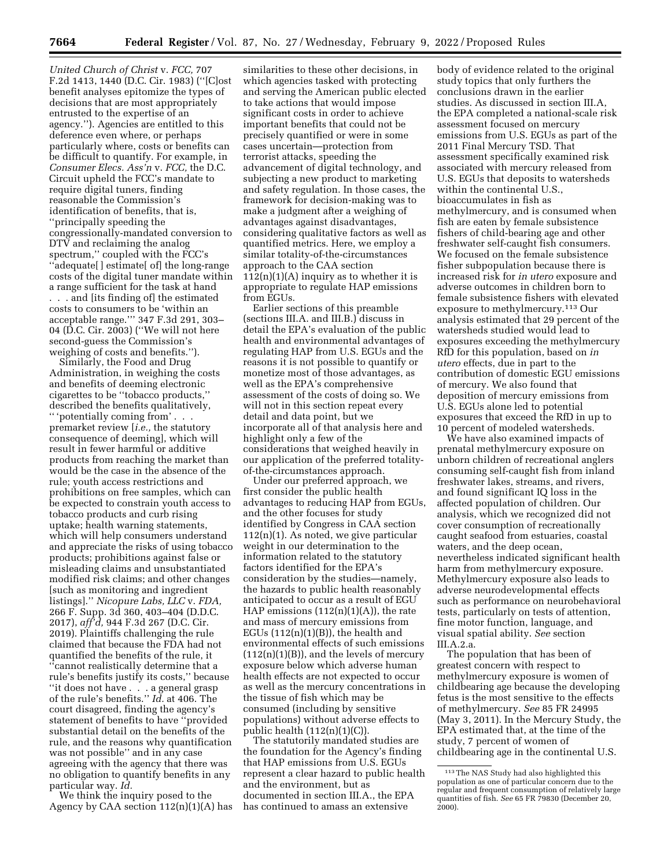*United Church of Christ* v. *FCC,* 707 F.2d 1413, 1440 (D.C. Cir. 1983) (''[C]ost benefit analyses epitomize the types of decisions that are most appropriately entrusted to the expertise of an agency.''). Agencies are entitled to this deference even where, or perhaps particularly where, costs or benefits can be difficult to quantify. For example, in *Consumer Elecs. Ass'n* v. *FCC,* the D.C. Circuit upheld the FCC's mandate to require digital tuners, finding reasonable the Commission's identification of benefits, that is, ''principally speeding the congressionally-mandated conversion to DTV and reclaiming the analog spectrum,'' coupled with the FCC's 'adequate[] estimate[ of] the long-range costs of the digital tuner mandate within a range sufficient for the task at hand . . . and [its finding of] the estimated costs to consumers to be 'within an acceptable range.''' 347 F.3d 291, 303– 04 (D.C. Cir. 2003) (''We will not here second-guess the Commission's weighing of costs and benefits.'').

Similarly, the Food and Drug Administration, in weighing the costs and benefits of deeming electronic cigarettes to be ''tobacco products,'' described the benefits qualitatively, '' 'potentially coming from' . . .

premarket review [*i.e.,* the statutory consequence of deeming], which will result in fewer harmful or additive products from reaching the market than would be the case in the absence of the rule; youth access restrictions and prohibitions on free samples, which can be expected to constrain youth access to tobacco products and curb rising uptake; health warning statements, which will help consumers understand and appreciate the risks of using tobacco products; prohibitions against false or misleading claims and unsubstantiated modified risk claims; and other changes [such as monitoring and ingredient listings].'' *Nicopure Labs, LLC* v. *FDA,*  266 F. Supp. 3d 360, 403–404 (D.D.C. 2017), *aff'd,* 944 F.3d 267 (D.C. Cir. 2019). Plaintiffs challenging the rule claimed that because the FDA had not quantified the benefits of the rule, it ''cannot realistically determine that a rule's benefits justify its costs,'' because ''it does not have . . . a general grasp of the rule's benefits.'' *Id.* at 406. The court disagreed, finding the agency's statement of benefits to have ''provided substantial detail on the benefits of the rule, and the reasons why quantification was not possible'' and in any case agreeing with the agency that there was no obligation to quantify benefits in any particular way. *Id.* 

We think the inquiry posed to the Agency by CAA section  $112(n)(1)(A)$  has

similarities to these other decisions, in which agencies tasked with protecting and serving the American public elected to take actions that would impose significant costs in order to achieve important benefits that could not be precisely quantified or were in some cases uncertain—protection from terrorist attacks, speeding the advancement of digital technology, and subjecting a new product to marketing and safety regulation. In those cases, the framework for decision-making was to make a judgment after a weighing of advantages against disadvantages, considering qualitative factors as well as quantified metrics. Here, we employ a similar totality-of-the-circumstances approach to the CAA section  $112(n)(1)(A)$  inquiry as to whether it is appropriate to regulate HAP emissions from EGUs.

Earlier sections of this preamble (sections III.A. and III.B.) discuss in detail the EPA's evaluation of the public health and environmental advantages of regulating HAP from U.S. EGUs and the reasons it is not possible to quantify or monetize most of those advantages, as well as the EPA's comprehensive assessment of the costs of doing so. We will not in this section repeat every detail and data point, but we incorporate all of that analysis here and highlight only a few of the considerations that weighed heavily in our application of the preferred totalityof-the-circumstances approach.

Under our preferred approach, we first consider the public health advantages to reducing HAP from EGUs, and the other focuses for study identified by Congress in CAA section  $112(n)(1)$ . As noted, we give particular weight in our determination to the information related to the statutory factors identified for the EPA's consideration by the studies—namely, the hazards to public health reasonably anticipated to occur as a result of EGU HAP emissions  $(112(n)(1)(A))$ , the rate and mass of mercury emissions from EGUs  $(112(n)(1)(B))$ , the health and environmental effects of such emissions  $(112(n)(1)(B))$ , and the levels of mercury exposure below which adverse human health effects are not expected to occur as well as the mercury concentrations in the tissue of fish which may be consumed (including by sensitive populations) without adverse effects to public health  $(112(n)(1)(C))$ .

The statutorily mandated studies are the foundation for the Agency's finding that HAP emissions from U.S. EGUs represent a clear hazard to public health and the environment, but as documented in section III.A., the EPA has continued to amass an extensive

body of evidence related to the original study topics that only furthers the conclusions drawn in the earlier studies. As discussed in section III.A, the EPA completed a national-scale risk assessment focused on mercury emissions from U.S. EGUs as part of the 2011 Final Mercury TSD. That assessment specifically examined risk associated with mercury released from U.S. EGUs that deposits to watersheds within the continental U.S., bioaccumulates in fish as methylmercury, and is consumed when fish are eaten by female subsistence fishers of child-bearing age and other freshwater self-caught fish consumers. We focused on the female subsistence fisher subpopulation because there is increased risk for *in utero* exposure and adverse outcomes in children born to female subsistence fishers with elevated exposure to methylmercury.113 Our analysis estimated that 29 percent of the watersheds studied would lead to exposures exceeding the methylmercury RfD for this population, based on *in utero* effects, due in part to the contribution of domestic EGU emissions of mercury. We also found that deposition of mercury emissions from U.S. EGUs alone led to potential exposures that exceed the RfD in up to 10 percent of modeled watersheds.

We have also examined impacts of prenatal methylmercury exposure on unborn children of recreational anglers consuming self-caught fish from inland freshwater lakes, streams, and rivers, and found significant IQ loss in the affected population of children. Our analysis, which we recognized did not cover consumption of recreationally caught seafood from estuaries, coastal waters, and the deep ocean, nevertheless indicated significant health harm from methylmercury exposure. Methylmercury exposure also leads to adverse neurodevelopmental effects such as performance on neurobehavioral tests, particularly on tests of attention, fine motor function, language, and visual spatial ability. *See* section III.A.2.a.

The population that has been of greatest concern with respect to methylmercury exposure is women of childbearing age because the developing fetus is the most sensitive to the effects of methylmercury. *See* 85 FR 24995 (May 3, 2011). In the Mercury Study, the EPA estimated that, at the time of the study, 7 percent of women of childbearing age in the continental U.S.

<sup>113</sup>The NAS Study had also highlighted this population as one of particular concern due to the regular and frequent consumption of relatively large quantities of fish. *See* 65 FR 79830 (December 20, 2000).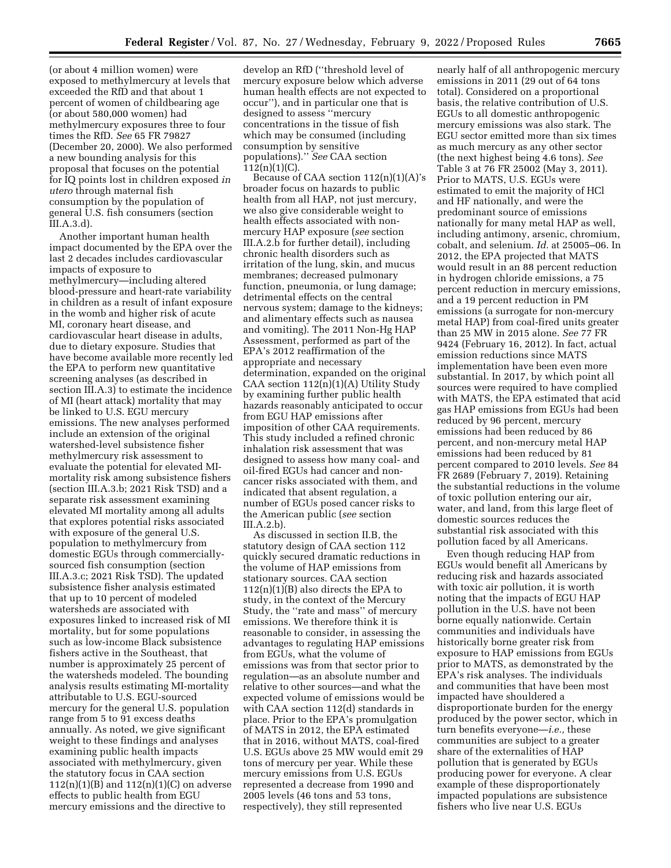(or about 4 million women) were exposed to methylmercury at levels that exceeded the RfD and that about 1 percent of women of childbearing age (or about 580,000 women) had methylmercury exposures three to four times the RfD. *See* 65 FR 79827 (December 20, 2000). We also performed a new bounding analysis for this proposal that focuses on the potential for IQ points lost in children exposed *in utero* through maternal fish consumption by the population of general U.S. fish consumers (section III.A.3.d).

Another important human health impact documented by the EPA over the last 2 decades includes cardiovascular impacts of exposure to methylmercury—including altered blood-pressure and heart-rate variability in children as a result of infant exposure in the womb and higher risk of acute MI, coronary heart disease, and cardiovascular heart disease in adults, due to dietary exposure. Studies that have become available more recently led the EPA to perform new quantitative screening analyses (as described in section III.A.3) to estimate the incidence of MI (heart attack) mortality that may be linked to U.S. EGU mercury emissions. The new analyses performed include an extension of the original watershed-level subsistence fisher methylmercury risk assessment to evaluate the potential for elevated MImortality risk among subsistence fishers (section III.A.3.b; 2021 Risk TSD) and a separate risk assessment examining elevated MI mortality among all adults that explores potential risks associated with exposure of the general U.S. population to methylmercury from domestic EGUs through commerciallysourced fish consumption (section III.A.3.c; 2021 Risk TSD). The updated subsistence fisher analysis estimated that up to 10 percent of modeled watersheds are associated with exposures linked to increased risk of MI mortality, but for some populations such as low-income Black subsistence fishers active in the Southeast, that number is approximately 25 percent of the watersheds modeled. The bounding analysis results estimating MI-mortality attributable to U.S. EGU-sourced mercury for the general U.S. population range from 5 to 91 excess deaths annually. As noted, we give significant weight to these findings and analyses examining public health impacts associated with methylmercury, given the statutory focus in CAA section  $112(n)(1)(B)$  and  $112(n)(1)(C)$  on adverse effects to public health from EGU mercury emissions and the directive to

develop an RfD (''threshold level of mercury exposure below which adverse human health effects are not expected to occur''), and in particular one that is designed to assess ''mercury concentrations in the tissue of fish which may be consumed (including consumption by sensitive populations).'' *See* CAA section  $112(n)(1)(C)$ .

Because of CAA section  $112(n)(1)(A)$ 's broader focus on hazards to public health from all HAP, not just mercury, we also give considerable weight to health effects associated with nonmercury HAP exposure (*see* section III.A.2.b for further detail), including chronic health disorders such as irritation of the lung, skin, and mucus membranes; decreased pulmonary function, pneumonia, or lung damage; detrimental effects on the central nervous system; damage to the kidneys; and alimentary effects such as nausea and vomiting). The 2011 Non-Hg HAP Assessment, performed as part of the EPA's 2012 reaffirmation of the appropriate and necessary determination, expanded on the original CAA section 112(n)(1)(A) Utility Study by examining further public health hazards reasonably anticipated to occur from EGU HAP emissions after imposition of other CAA requirements. This study included a refined chronic inhalation risk assessment that was designed to assess how many coal- and oil-fired EGUs had cancer and noncancer risks associated with them, and indicated that absent regulation, a number of EGUs posed cancer risks to the American public (*see* section III.A.2.b).

As discussed in section II.B, the statutory design of CAA section 112 quickly secured dramatic reductions in the volume of HAP emissions from stationary sources. CAA section  $112(n)(1)(B)$  also directs the EPA to study, in the context of the Mercury Study, the ''rate and mass'' of mercury emissions. We therefore think it is reasonable to consider, in assessing the advantages to regulating HAP emissions from EGUs, what the volume of emissions was from that sector prior to regulation—as an absolute number and relative to other sources—and what the expected volume of emissions would be with CAA section 112(d) standards in place. Prior to the EPA's promulgation of MATS in 2012, the EPA estimated that in 2016, without MATS, coal-fired U.S. EGUs above 25 MW would emit 29 tons of mercury per year. While these mercury emissions from U.S. EGUs represented a decrease from 1990 and 2005 levels (46 tons and 53 tons, respectively), they still represented

nearly half of all anthropogenic mercury emissions in 2011 (29 out of 64 tons total). Considered on a proportional basis, the relative contribution of U.S. EGUs to all domestic anthropogenic mercury emissions was also stark. The EGU sector emitted more than six times as much mercury as any other sector (the next highest being 4.6 tons). *See*  Table 3 at 76 FR 25002 (May 3, 2011). Prior to MATS, U.S. EGUs were estimated to emit the majority of HCl and HF nationally, and were the predominant source of emissions nationally for many metal HAP as well, including antimony, arsenic, chromium, cobalt, and selenium. *Id.* at 25005–06. In 2012, the EPA projected that MATS would result in an 88 percent reduction in hydrogen chloride emissions, a 75 percent reduction in mercury emissions, and a 19 percent reduction in PM emissions (a surrogate for non-mercury metal HAP) from coal-fired units greater than 25 MW in 2015 alone. *See* 77 FR 9424 (February 16, 2012). In fact, actual emission reductions since MATS implementation have been even more substantial. In 2017, by which point all sources were required to have complied with MATS, the EPA estimated that acid gas HAP emissions from EGUs had been reduced by 96 percent, mercury emissions had been reduced by 86 percent, and non-mercury metal HAP emissions had been reduced by 81 percent compared to 2010 levels. *See* 84 FR 2689 (February 7, 2019). Retaining the substantial reductions in the volume of toxic pollution entering our air, water, and land, from this large fleet of domestic sources reduces the substantial risk associated with this pollution faced by all Americans.

Even though reducing HAP from EGUs would benefit all Americans by reducing risk and hazards associated with toxic air pollution, it is worth noting that the impacts of EGU HAP pollution in the U.S. have not been borne equally nationwide. Certain communities and individuals have historically borne greater risk from exposure to HAP emissions from EGUs prior to MATS, as demonstrated by the EPA's risk analyses. The individuals and communities that have been most impacted have shouldered a disproportionate burden for the energy produced by the power sector, which in turn benefits everyone—*i.e.,* these communities are subject to a greater share of the externalities of HAP pollution that is generated by EGUs producing power for everyone. A clear example of these disproportionately impacted populations are subsistence fishers who live near U.S. EGUs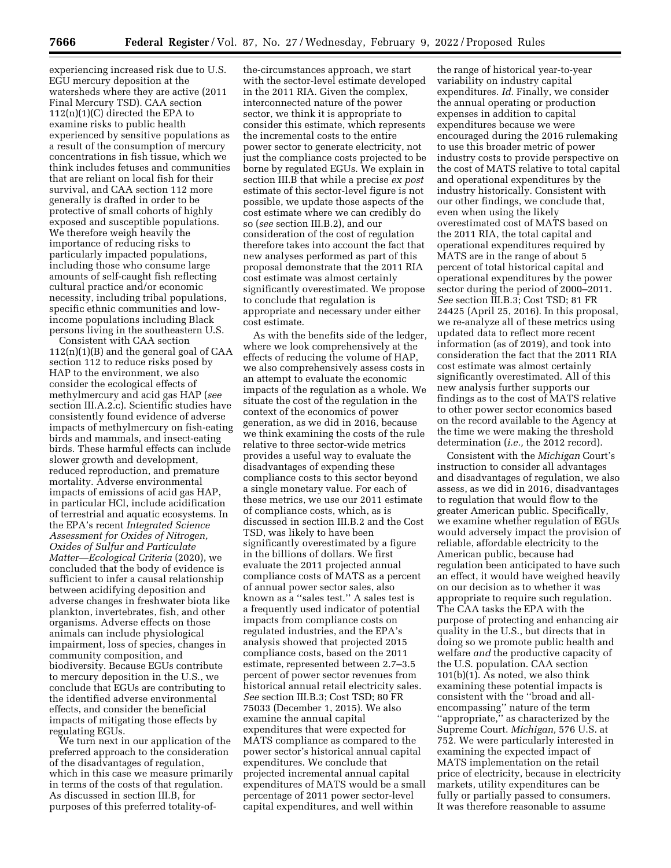experiencing increased risk due to U.S. EGU mercury deposition at the watersheds where they are active (2011 Final Mercury TSD). CAA section  $112(n)(1)(C)$  directed the EPA to examine risks to public health experienced by sensitive populations as a result of the consumption of mercury concentrations in fish tissue, which we think includes fetuses and communities that are reliant on local fish for their survival, and CAA section 112 more generally is drafted in order to be protective of small cohorts of highly exposed and susceptible populations. We therefore weigh heavily the importance of reducing risks to particularly impacted populations, including those who consume large amounts of self-caught fish reflecting cultural practice and/or economic necessity, including tribal populations, specific ethnic communities and lowincome populations including Black persons living in the southeastern U.S.

Consistent with CAA section 112(n)(1)(B) and the general goal of CAA section 112 to reduce risks posed by HAP to the environment, we also consider the ecological effects of methylmercury and acid gas HAP (*see*  section III.A.2.c). Scientific studies have consistently found evidence of adverse impacts of methylmercury on fish-eating birds and mammals, and insect-eating birds. These harmful effects can include slower growth and development, reduced reproduction, and premature mortality. Adverse environmental impacts of emissions of acid gas HAP, in particular HCl, include acidification of terrestrial and aquatic ecosystems. In the EPA's recent *Integrated Science Assessment for Oxides of Nitrogen, Oxides of Sulfur and Particulate Matter*—*Ecological Criteria* (2020), we concluded that the body of evidence is sufficient to infer a causal relationship between acidifying deposition and adverse changes in freshwater biota like plankton, invertebrates, fish, and other organisms. Adverse effects on those animals can include physiological impairment, loss of species, changes in community composition, and biodiversity. Because EGUs contribute to mercury deposition in the U.S., we conclude that EGUs are contributing to the identified adverse environmental effects, and consider the beneficial impacts of mitigating those effects by regulating EGUs.

We turn next in our application of the preferred approach to the consideration of the disadvantages of regulation, which in this case we measure primarily in terms of the costs of that regulation. As discussed in section III.B, for purposes of this preferred totality-of-

the-circumstances approach, we start with the sector-level estimate developed in the 2011 RIA. Given the complex, interconnected nature of the power sector, we think it is appropriate to consider this estimate, which represents the incremental costs to the entire power sector to generate electricity, not just the compliance costs projected to be borne by regulated EGUs. We explain in section III.B that while a precise *ex post*  estimate of this sector-level figure is not possible, we update those aspects of the cost estimate where we can credibly do so (*see* section III.B.2), and our consideration of the cost of regulation therefore takes into account the fact that new analyses performed as part of this proposal demonstrate that the 2011 RIA cost estimate was almost certainly significantly overestimated. We propose to conclude that regulation is appropriate and necessary under either cost estimate.

As with the benefits side of the ledger, where we look comprehensively at the effects of reducing the volume of HAP, we also comprehensively assess costs in an attempt to evaluate the economic impacts of the regulation as a whole. We situate the cost of the regulation in the context of the economics of power generation, as we did in 2016, because we think examining the costs of the rule relative to three sector-wide metrics provides a useful way to evaluate the disadvantages of expending these compliance costs to this sector beyond a single monetary value. For each of these metrics, we use our 2011 estimate of compliance costs, which, as is discussed in section III.B.2 and the Cost TSD, was likely to have been significantly overestimated by a figure in the billions of dollars. We first evaluate the 2011 projected annual compliance costs of MATS as a percent of annual power sector sales, also known as a ''sales test.'' A sales test is a frequently used indicator of potential impacts from compliance costs on regulated industries, and the EPA's analysis showed that projected 2015 compliance costs, based on the 2011 estimate, represented between 2.7–3.5 percent of power sector revenues from historical annual retail electricity sales. *See* section III.B.3; Cost TSD; 80 FR 75033 (December 1, 2015). We also examine the annual capital expenditures that were expected for MATS compliance as compared to the power sector's historical annual capital expenditures. We conclude that projected incremental annual capital expenditures of MATS would be a small percentage of 2011 power sector-level capital expenditures, and well within

the range of historical year-to-year variability on industry capital expenditures. *Id.* Finally, we consider the annual operating or production expenses in addition to capital expenditures because we were encouraged during the 2016 rulemaking to use this broader metric of power industry costs to provide perspective on the cost of MATS relative to total capital and operational expenditures by the industry historically. Consistent with our other findings, we conclude that, even when using the likely overestimated cost of MATS based on the 2011 RIA, the total capital and operational expenditures required by MATS are in the range of about 5 percent of total historical capital and operational expenditures by the power sector during the period of 2000–2011. *See* section III.B.3; Cost TSD; 81 FR 24425 (April 25, 2016). In this proposal, we re-analyze all of these metrics using updated data to reflect more recent information (as of 2019), and took into consideration the fact that the 2011 RIA cost estimate was almost certainly significantly overestimated. All of this new analysis further supports our findings as to the cost of MATS relative to other power sector economics based on the record available to the Agency at the time we were making the threshold determination (*i.e.,* the 2012 record).

Consistent with the *Michigan* Court's instruction to consider all advantages and disadvantages of regulation, we also assess, as we did in 2016, disadvantages to regulation that would flow to the greater American public. Specifically, we examine whether regulation of EGUs would adversely impact the provision of reliable, affordable electricity to the American public, because had regulation been anticipated to have such an effect, it would have weighed heavily on our decision as to whether it was appropriate to require such regulation. The CAA tasks the EPA with the purpose of protecting and enhancing air quality in the U.S., but directs that in doing so we promote public health and welfare *and* the productive capacity of the U.S. population. CAA section  $101(b)(1)$ . As noted, we also think examining these potential impacts is consistent with the ''broad and allencompassing'' nature of the term ''appropriate,'' as characterized by the Supreme Court. *Michigan,* 576 U.S. at 752. We were particularly interested in examining the expected impact of MATS implementation on the retail price of electricity, because in electricity markets, utility expenditures can be fully or partially passed to consumers. It was therefore reasonable to assume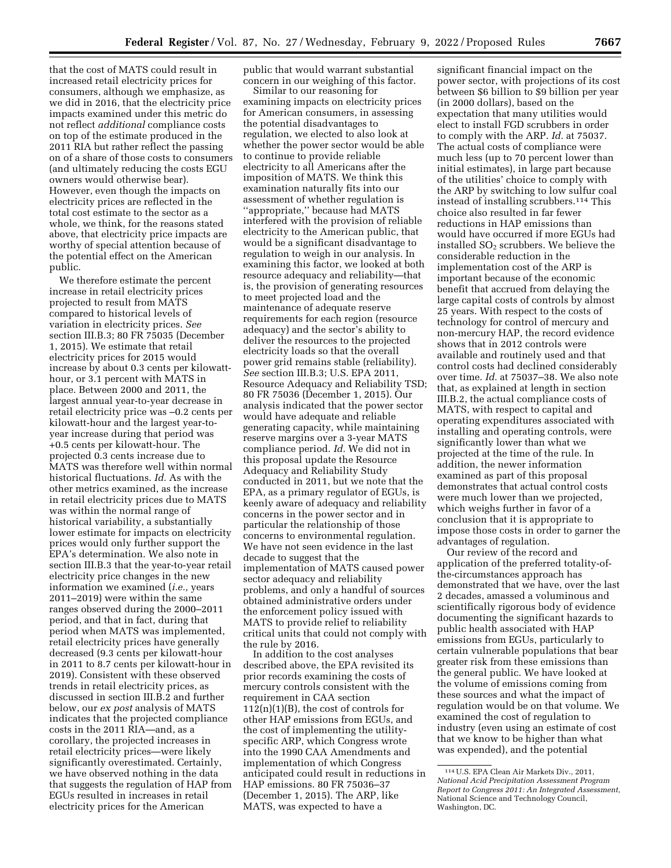that the cost of MATS could result in increased retail electricity prices for consumers, although we emphasize, as we did in 2016, that the electricity price impacts examined under this metric do not reflect *additional* compliance costs on top of the estimate produced in the 2011 RIA but rather reflect the passing on of a share of those costs to consumers (and ultimately reducing the costs EGU owners would otherwise bear). However, even though the impacts on electricity prices are reflected in the total cost estimate to the sector as a whole, we think, for the reasons stated above, that electricity price impacts are worthy of special attention because of the potential effect on the American public.

We therefore estimate the percent increase in retail electricity prices projected to result from MATS compared to historical levels of variation in electricity prices. *See*  section III.B.3; 80 FR 75035 (December 1, 2015). We estimate that retail electricity prices for 2015 would increase by about 0.3 cents per kilowatthour, or 3.1 percent with MATS in place. Between 2000 and 2011, the largest annual year-to-year decrease in retail electricity price was –0.2 cents per kilowatt-hour and the largest year-toyear increase during that period was +0.5 cents per kilowatt-hour. The projected 0.3 cents increase due to MATS was therefore well within normal historical fluctuations. *Id.* As with the other metrics examined, as the increase in retail electricity prices due to MATS was within the normal range of historical variability, a substantially lower estimate for impacts on electricity prices would only further support the EPA's determination. We also note in section III.B.3 that the year-to-year retail electricity price changes in the new information we examined (*i.e.,* years 2011–2019) were within the same ranges observed during the 2000–2011 period, and that in fact, during that period when MATS was implemented, retail electricity prices have generally decreased (9.3 cents per kilowatt-hour in 2011 to 8.7 cents per kilowatt-hour in 2019). Consistent with these observed trends in retail electricity prices, as discussed in section III.B.2 and further below, our *ex post* analysis of MATS indicates that the projected compliance costs in the 2011 RIA—and, as a corollary, the projected increases in retail electricity prices—were likely significantly overestimated. Certainly, we have observed nothing in the data that suggests the regulation of HAP from EGUs resulted in increases in retail electricity prices for the American

public that would warrant substantial concern in our weighing of this factor.

Similar to our reasoning for examining impacts on electricity prices for American consumers, in assessing the potential disadvantages to regulation, we elected to also look at whether the power sector would be able to continue to provide reliable electricity to all Americans after the imposition of MATS. We think this examination naturally fits into our assessment of whether regulation is ''appropriate,'' because had MATS interfered with the provision of reliable electricity to the American public, that would be a significant disadvantage to regulation to weigh in our analysis. In examining this factor, we looked at both resource adequacy and reliability—that is, the provision of generating resources to meet projected load and the maintenance of adequate reserve requirements for each region (resource adequacy) and the sector's ability to deliver the resources to the projected electricity loads so that the overall power grid remains stable (reliability). *See* section III.B.3; U.S. EPA 2011, Resource Adequacy and Reliability TSD; 80 FR 75036 (December 1, 2015). Our analysis indicated that the power sector would have adequate and reliable generating capacity, while maintaining reserve margins over a 3-year MATS compliance period. *Id.* We did not in this proposal update the Resource Adequacy and Reliability Study conducted in 2011, but we note that the EPA, as a primary regulator of EGUs, is keenly aware of adequacy and reliability concerns in the power sector and in particular the relationship of those concerns to environmental regulation. We have not seen evidence in the last decade to suggest that the implementation of MATS caused power sector adequacy and reliability problems, and only a handful of sources obtained administrative orders under the enforcement policy issued with MATS to provide relief to reliability critical units that could not comply with the rule by 2016.

In addition to the cost analyses described above, the EPA revisited its prior records examining the costs of mercury controls consistent with the requirement in CAA section  $112(n)(1)(B)$ , the cost of controls for other HAP emissions from EGUs, and the cost of implementing the utilityspecific ARP, which Congress wrote into the 1990 CAA Amendments and implementation of which Congress anticipated could result in reductions in HAP emissions. 80 FR 75036–37 (December 1, 2015). The ARP, like MATS, was expected to have a

significant financial impact on the power sector, with projections of its cost between \$6 billion to \$9 billion per year (in 2000 dollars), based on the expectation that many utilities would elect to install FGD scrubbers in order to comply with the ARP. *Id.* at 75037. The actual costs of compliance were much less (up to 70 percent lower than initial estimates), in large part because of the utilities' choice to comply with the ARP by switching to low sulfur coal instead of installing scrubbers.114 This choice also resulted in far fewer reductions in HAP emissions than would have occurred if more EGUs had installed  $SO<sub>2</sub>$  scrubbers. We believe the considerable reduction in the implementation cost of the ARP is important because of the economic benefit that accrued from delaying the large capital costs of controls by almost 25 years. With respect to the costs of technology for control of mercury and non-mercury HAP, the record evidence shows that in 2012 controls were available and routinely used and that control costs had declined considerably over time. *Id.* at 75037–38. We also note that, as explained at length in section III.B.2, the actual compliance costs of MATS, with respect to capital and operating expenditures associated with installing and operating controls, were significantly lower than what we projected at the time of the rule. In addition, the newer information examined as part of this proposal demonstrates that actual control costs were much lower than we projected, which weighs further in favor of a conclusion that it is appropriate to impose those costs in order to garner the advantages of regulation.

Our review of the record and application of the preferred totality-ofthe-circumstances approach has demonstrated that we have, over the last 2 decades, amassed a voluminous and scientifically rigorous body of evidence documenting the significant hazards to public health associated with HAP emissions from EGUs, particularly to certain vulnerable populations that bear greater risk from these emissions than the general public. We have looked at the volume of emissions coming from these sources and what the impact of regulation would be on that volume. We examined the cost of regulation to industry (even using an estimate of cost that we know to be higher than what was expended), and the potential

<sup>114</sup>U.S. EPA Clean Air Markets Div., 2011, *National Acid Precipitation Assessment Program Report to Congress 2011: An Integrated Assessment,*  National Science and Technology Council, Washington, DC.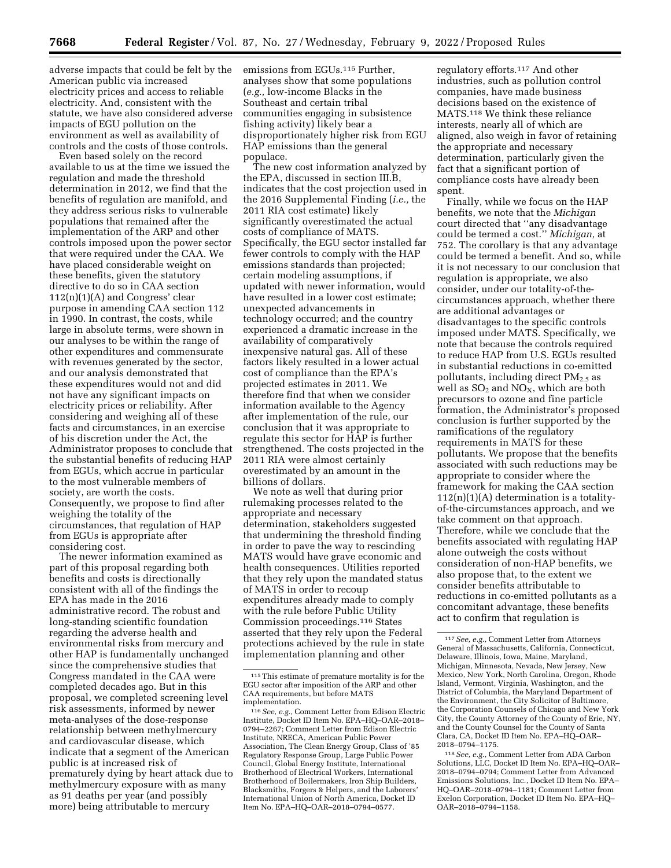adverse impacts that could be felt by the American public via increased electricity prices and access to reliable electricity. And, consistent with the statute, we have also considered adverse impacts of EGU pollution on the environment as well as availability of controls and the costs of those controls.

Even based solely on the record available to us at the time we issued the regulation and made the threshold determination in 2012, we find that the benefits of regulation are manifold, and they address serious risks to vulnerable populations that remained after the implementation of the ARP and other controls imposed upon the power sector that were required under the CAA. We have placed considerable weight on these benefits, given the statutory directive to do so in CAA section  $112(n)(1)(A)$  and Congress' clear purpose in amending CAA section 112 in 1990. In contrast, the costs, while large in absolute terms, were shown in our analyses to be within the range of other expenditures and commensurate with revenues generated by the sector, and our analysis demonstrated that these expenditures would not and did not have any significant impacts on electricity prices or reliability. After considering and weighing all of these facts and circumstances, in an exercise of his discretion under the Act, the Administrator proposes to conclude that the substantial benefits of reducing HAP from EGUs, which accrue in particular to the most vulnerable members of society, are worth the costs. Consequently, we propose to find after weighing the totality of the circumstances, that regulation of HAP from EGUs is appropriate after considering cost.

The newer information examined as part of this proposal regarding both benefits and costs is directionally consistent with all of the findings the EPA has made in the 2016 administrative record. The robust and long-standing scientific foundation regarding the adverse health and environmental risks from mercury and other HAP is fundamentally unchanged since the comprehensive studies that Congress mandated in the CAA were completed decades ago. But in this proposal, we completed screening level risk assessments, informed by newer meta-analyses of the dose-response relationship between methylmercury and cardiovascular disease, which indicate that a segment of the American public is at increased risk of prematurely dying by heart attack due to methylmercury exposure with as many as 91 deaths per year (and possibly more) being attributable to mercury

emissions from EGUs.<sup>115</sup> Further, analyses show that some populations (*e.g.,* low-income Blacks in the Southeast and certain tribal communities engaging in subsistence fishing activity) likely bear a disproportionately higher risk from EGU HAP emissions than the general populace.

The new cost information analyzed by the EPA, discussed in section III.B, indicates that the cost projection used in the 2016 Supplemental Finding (*i.e.,* the 2011 RIA cost estimate) likely significantly overestimated the actual costs of compliance of MATS. Specifically, the EGU sector installed far fewer controls to comply with the HAP emissions standards than projected; certain modeling assumptions, if updated with newer information, would have resulted in a lower cost estimate; unexpected advancements in technology occurred; and the country experienced a dramatic increase in the availability of comparatively inexpensive natural gas. All of these factors likely resulted in a lower actual cost of compliance than the EPA's projected estimates in 2011. We therefore find that when we consider information available to the Agency after implementation of the rule, our conclusion that it was appropriate to regulate this sector for HAP is further strengthened. The costs projected in the 2011 RIA were almost certainly overestimated by an amount in the billions of dollars.

We note as well that during prior rulemaking processes related to the appropriate and necessary determination, stakeholders suggested that undermining the threshold finding in order to pave the way to rescinding MATS would have grave economic and health consequences. Utilities reported that they rely upon the mandated status of MATS in order to recoup expenditures already made to comply with the rule before Public Utility Commission proceedings.116 States asserted that they rely upon the Federal protections achieved by the rule in state implementation planning and other

regulatory efforts.117 And other industries, such as pollution control companies, have made business decisions based on the existence of MATS.118 We think these reliance interests, nearly all of which are aligned, also weigh in favor of retaining the appropriate and necessary determination, particularly given the fact that a significant portion of compliance costs have already been spent.

Finally, while we focus on the HAP benefits, we note that the *Michigan*  court directed that ''any disadvantage could be termed a cost.'' *Michigan,* at 752. The corollary is that any advantage could be termed a benefit. And so, while it is not necessary to our conclusion that regulation is appropriate, we also consider, under our totality-of-thecircumstances approach, whether there are additional advantages or disadvantages to the specific controls imposed under MATS. Specifically, we note that because the controls required to reduce HAP from U.S. EGUs resulted in substantial reductions in co-emitted pollutants, including direct  $PM_{2.5}$  as well as  $SO_2$  and  $NO_X$ , which are both precursors to ozone and fine particle formation, the Administrator's proposed conclusion is further supported by the ramifications of the regulatory requirements in MATS for these pollutants. We propose that the benefits associated with such reductions may be appropriate to consider where the framework for making the CAA section  $112(n)(1)(A)$  determination is a totalityof-the-circumstances approach, and we take comment on that approach. Therefore, while we conclude that the benefits associated with regulating HAP alone outweigh the costs without consideration of non-HAP benefits, we also propose that, to the extent we consider benefits attributable to reductions in co-emitted pollutants as a concomitant advantage, these benefits act to confirm that regulation is

<sup>115</sup>This estimate of premature mortality is for the EGU sector after imposition of the ARP and other CAA requirements, but before MATS implementation.

<sup>116</sup>*See, e.g.,* Comment Letter from Edison Electric Institute, Docket ID Item No. EPA–HQ–OAR–2018– 0794–2267; Comment Letter from Edison Electric Institute, NRECA, American Public Power Association, The Clean Energy Group, Class of '85 Regulatory Response Group, Large Public Power Council, Global Energy Institute, International Brotherhood of Electrical Workers, International Brotherhood of Boilermakers, Iron Ship Builders, Blacksmiths, Forgers & Helpers, and the Laborers' International Union of North America, Docket ID Item No. EPA–HQ–OAR–2018–0794–0577.

<sup>117</sup>*See, e.g.,* Comment Letter from Attorneys General of Massachusetts, California, Connecticut, Delaware, Illinois, Iowa, Maine, Maryland, Michigan, Minnesota, Nevada, New Jersey, New Mexico, New York, North Carolina, Oregon, Rhode Island, Vermont, Virginia, Washington, and the District of Columbia, the Maryland Department of the Environment, the City Solicitor of Baltimore, the Corporation Counsels of Chicago and New York City, the County Attorney of the County of Erie, NY, and the County Counsel for the County of Santa Clara, CA, Docket ID Item No. EPA–HQ–OAR– 2018–0794–1175.

<sup>118</sup>*See, e.g.,* Comment Letter from ADA Carbon Solutions, LLC, Docket ID Item No. EPA–HQ–OAR– 2018–0794–0794; Comment Letter from Advanced Emissions Solutions, Inc., Docket ID Item No. EPA– HQ–OAR–2018–0794–1181; Comment Letter from Exelon Corporation, Docket ID Item No. EPA–HQ– OAR–2018–0794–1158.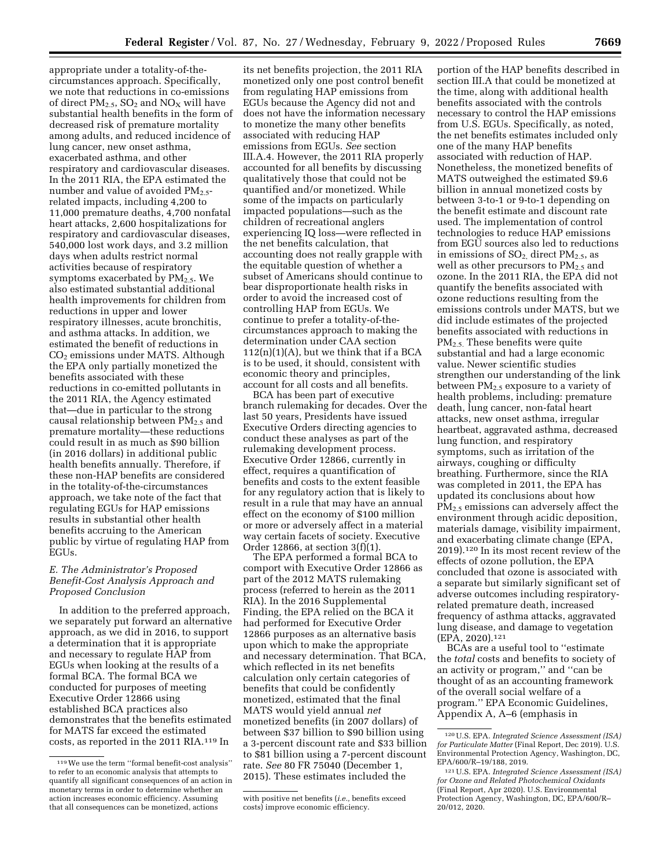appropriate under a totality-of-thecircumstances approach. Specifically, we note that reductions in co-emissions of direct  $PM_{2.5}$ ,  $SO_2$  and  $NO_X$  will have substantial health benefits in the form of decreased risk of premature mortality among adults, and reduced incidence of lung cancer, new onset asthma, exacerbated asthma, and other respiratory and cardiovascular diseases. In the 2011 RIA, the EPA estimated the number and value of avoided  $PM_{2.5}$ related impacts, including 4,200 to 11,000 premature deaths, 4,700 nonfatal heart attacks, 2,600 hospitalizations for respiratory and cardiovascular diseases, 540,000 lost work days, and 3.2 million days when adults restrict normal activities because of respiratory symptoms exacerbated by PM<sub>2.5</sub>. We also estimated substantial additional health improvements for children from reductions in upper and lower respiratory illnesses, acute bronchitis, and asthma attacks. In addition, we estimated the benefit of reductions in  $CO<sub>2</sub>$  emissions under MATS. Although the EPA only partially monetized the benefits associated with these reductions in co-emitted pollutants in the 2011 RIA, the Agency estimated that—due in particular to the strong causal relationship between  $PM_{2.5}$  and premature mortality—these reductions could result in as much as \$90 billion (in 2016 dollars) in additional public health benefits annually. Therefore, if these non-HAP benefits are considered in the totality-of-the-circumstances approach, we take note of the fact that regulating EGUs for HAP emissions results in substantial other health benefits accruing to the American public by virtue of regulating HAP from EGUs.

# *E. The Administrator's Proposed Benefit-Cost Analysis Approach and Proposed Conclusion*

In addition to the preferred approach, we separately put forward an alternative approach, as we did in 2016, to support a determination that it is appropriate and necessary to regulate HAP from EGUs when looking at the results of a formal BCA. The formal BCA we conducted for purposes of meeting Executive Order 12866 using established BCA practices also demonstrates that the benefits estimated for MATS far exceed the estimated costs, as reported in the 2011 RIA.119 In

its net benefits projection, the 2011 RIA monetized only one post control benefit from regulating HAP emissions from EGUs because the Agency did not and does not have the information necessary to monetize the many other benefits associated with reducing HAP emissions from EGUs. *See* section III.A.4. However, the 2011 RIA properly accounted for all benefits by discussing qualitatively those that could not be quantified and/or monetized. While some of the impacts on particularly impacted populations—such as the children of recreational anglers experiencing IQ loss—were reflected in the net benefits calculation, that accounting does not really grapple with the equitable question of whether a subset of Americans should continue to bear disproportionate health risks in order to avoid the increased cost of controlling HAP from EGUs. We continue to prefer a totality-of-thecircumstances approach to making the determination under CAA section  $112(n)(1)(A)$ , but we think that if a BCA is to be used, it should, consistent with economic theory and principles, account for all costs and all benefits.

BCA has been part of executive branch rulemaking for decades. Over the last 50 years, Presidents have issued Executive Orders directing agencies to conduct these analyses as part of the rulemaking development process. Executive Order 12866, currently in effect, requires a quantification of benefits and costs to the extent feasible for any regulatory action that is likely to result in a rule that may have an annual effect on the economy of \$100 million or more or adversely affect in a material way certain facets of society. Executive Order 12866, at section 3(f)(1).

The EPA performed a formal BCA to comport with Executive Order 12866 as part of the 2012 MATS rulemaking process (referred to herein as the 2011 RIA). In the 2016 Supplemental Finding, the EPA relied on the BCA it had performed for Executive Order 12866 purposes as an alternative basis upon which to make the appropriate and necessary determination. That BCA, which reflected in its net benefits calculation only certain categories of benefits that could be confidently monetized, estimated that the final MATS would yield annual *net*  monetized benefits (in 2007 dollars) of between \$37 billion to \$90 billion using a 3-percent discount rate and \$33 billion to \$81 billion using a 7-percent discount rate. *See* 80 FR 75040 (December 1, 2015). These estimates included the

portion of the HAP benefits described in section III.A that could be monetized at the time, along with additional health benefits associated with the controls necessary to control the HAP emissions from U.S. EGUs. Specifically, as noted, the net benefits estimates included only one of the many HAP benefits associated with reduction of HAP. Nonetheless, the monetized benefits of MATS outweighed the estimated \$9.6 billion in annual monetized costs by between 3-to-1 or 9-to-1 depending on the benefit estimate and discount rate used. The implementation of control technologies to reduce HAP emissions from EGU sources also led to reductions in emissions of  $SO_2$ , direct  $PM_{2.5}$ , as well as other precursors to  $PM_{2.5}$  and ozone. In the 2011 RIA, the EPA did not quantify the benefits associated with ozone reductions resulting from the emissions controls under MATS, but we did include estimates of the projected benefits associated with reductions in PM2.5. These benefits were quite substantial and had a large economic value. Newer scientific studies strengthen our understanding of the link between  $PM_{2.5}$  exposure to a variety of health problems, including: premature death, lung cancer, non-fatal heart attacks, new onset asthma, irregular heartbeat, aggravated asthma, decreased lung function, and respiratory symptoms, such as irritation of the airways, coughing or difficulty breathing. Furthermore, since the RIA was completed in 2011, the EPA has updated its conclusions about how PM2.5 emissions can adversely affect the environment through acidic deposition, materials damage, visibility impairment, and exacerbating climate change (EPA, 2019).120 In its most recent review of the effects of ozone pollution, the EPA concluded that ozone is associated with a separate but similarly significant set of adverse outcomes including respiratoryrelated premature death, increased frequency of asthma attacks, aggravated lung disease, and damage to vegetation (EPA, 2020).121

BCAs are a useful tool to ''estimate the *total* costs and benefits to society of an activity or program,'' and ''can be thought of as an accounting framework of the overall social welfare of a program.'' EPA Economic Guidelines, Appendix A, A–6 (emphasis in

<sup>119</sup>We use the term ''formal benefit-cost analysis'' to refer to an economic analysis that attempts to quantify all significant consequences of an action in monetary terms in order to determine whether an action increases economic efficiency. Assuming that all consequences can be monetized, actions

with positive net benefits (*i.e.,* benefits exceed costs) improve economic efficiency.

<sup>120</sup>U.S. EPA. *Integrated Science Assessment (ISA) for Particulate Matter* (Final Report, Dec 2019). U.S. Environmental Protection Agency, Washington, DC, EPA/600/R–19/188, 2019.

<sup>121</sup>U.S. EPA. *Integrated Science Assessment (ISA) for Ozone and Related Photochemical Oxidants*  (Final Report, Apr 2020). U.S. Environmental Protection Agency, Washington, DC, EPA/600/R– 20/012, 2020.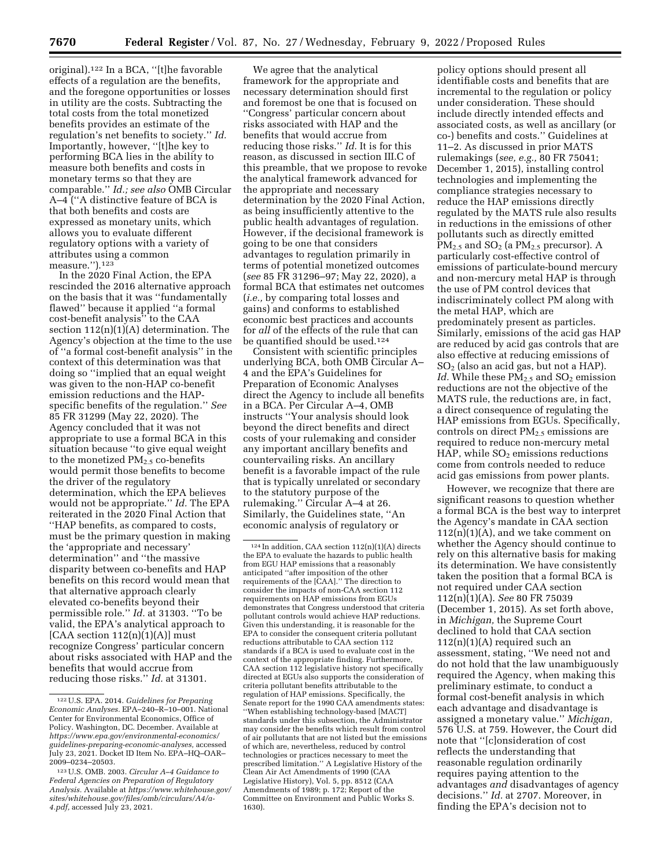original).122 In a BCA, ''[t]he favorable effects of a regulation are the benefits, and the foregone opportunities or losses in utility are the costs. Subtracting the total costs from the total monetized benefits provides an estimate of the regulation's net benefits to society.'' *Id.*  Importantly, however, ''[t]he key to performing BCA lies in the ability to measure both benefits and costs in monetary terms so that they are comparable.'' *Id.; see also* OMB Circular A–4 (''A distinctive feature of BCA is that both benefits and costs are expressed as monetary units, which allows you to evaluate different regulatory options with a variety of attributes using a common measure.'').123

In the 2020 Final Action, the EPA rescinded the 2016 alternative approach on the basis that it was ''fundamentally flawed'' because it applied ''a formal cost-benefit analysis'' to the CAA section  $112(n)(1)(A)$  determination. The Agency's objection at the time to the use of ''a formal cost-benefit analysis'' in the context of this determination was that doing so ''implied that an equal weight was given to the non-HAP co-benefit emission reductions and the HAPspecific benefits of the regulation.'' *See*  85 FR 31299 (May 22, 2020). The Agency concluded that it was not appropriate to use a formal BCA in this situation because ''to give equal weight to the monetized  $PM<sub>2</sub>$ , co-benefits would permit those benefits to become the driver of the regulatory determination, which the EPA believes would not be appropriate.'' *Id.* The EPA reiterated in the 2020 Final Action that ''HAP benefits, as compared to costs, must be the primary question in making the 'appropriate and necessary' determination'' and ''the massive disparity between co-benefits and HAP benefits on this record would mean that that alternative approach clearly elevated co-benefits beyond their permissible role.'' *Id.* at 31303. ''To be valid, the EPA's analytical approach to  $[CAA section 112(n)(1)(A)]$  must recognize Congress' particular concern about risks associated with HAP and the benefits that would accrue from reducing those risks.'' *Id.* at 31301.

We agree that the analytical framework for the appropriate and necessary determination should first and foremost be one that is focused on ''Congress' particular concern about risks associated with HAP and the benefits that would accrue from reducing those risks.'' *Id.* It is for this reason, as discussed in section III.C of this preamble, that we propose to revoke the analytical framework advanced for the appropriate and necessary determination by the 2020 Final Action, as being insufficiently attentive to the public health advantages of regulation. However, if the decisional framework is going to be one that considers advantages to regulation primarily in terms of potential monetized outcomes (*see* 85 FR 31296–97; May 22, 2020), a formal BCA that estimates net outcomes (*i.e.,* by comparing total losses and gains) and conforms to established economic best practices and accounts for *all* of the effects of the rule that can be quantified should be used.<sup>124</sup>

Consistent with scientific principles underlying BCA, both OMB Circular A– 4 and the EPA's Guidelines for Preparation of Economic Analyses direct the Agency to include all benefits in a BCA. Per Circular A–4, OMB instructs ''Your analysis should look beyond the direct benefits and direct costs of your rulemaking and consider any important ancillary benefits and countervailing risks. An ancillary benefit is a favorable impact of the rule that is typically unrelated or secondary to the statutory purpose of the rulemaking.'' Circular A–4 at 26. Similarly, the Guidelines state, ''An economic analysis of regulatory or

policy options should present all identifiable costs and benefits that are incremental to the regulation or policy under consideration. These should include directly intended effects and associated costs, as well as ancillary (or co-) benefits and costs.'' Guidelines at 11–2. As discussed in prior MATS rulemakings (*see, e.g.,* 80 FR 75041; December 1, 2015), installing control technologies and implementing the compliance strategies necessary to reduce the HAP emissions directly regulated by the MATS rule also results in reductions in the emissions of other pollutants such as directly emitted  $PM_{2.5}$  and  $SO_2$  (a  $PM_{2.5}$  precursor). A particularly cost-effective control of emissions of particulate-bound mercury and non-mercury metal HAP is through the use of PM control devices that indiscriminately collect PM along with the metal HAP, which are predominately present as particles. Similarly, emissions of the acid gas HAP are reduced by acid gas controls that are also effective at reducing emissions of SO2 (also an acid gas, but not a HAP). *Id.* While these PM<sub>2.5</sub> and SO<sub>2</sub> emission reductions are not the objective of the MATS rule, the reductions are, in fact, a direct consequence of regulating the HAP emissions from EGUs. Specifically, controls on direct PM2.5 emissions are required to reduce non-mercury metal HAP, while  $SO<sub>2</sub>$  emissions reductions come from controls needed to reduce acid gas emissions from power plants.

However, we recognize that there are significant reasons to question whether a formal BCA is the best way to interpret the Agency's mandate in CAA section  $112(n)(1)(A)$ , and we take comment on whether the Agency should continue to rely on this alternative basis for making its determination. We have consistently taken the position that a formal BCA is not required under CAA section 112(n)(1)(A). *See* 80 FR 75039 (December 1, 2015). As set forth above, in *Michigan,* the Supreme Court declined to hold that CAA section  $112(n)(1)(A)$  required such an assessment, stating, ''We need not and do not hold that the law unambiguously required the Agency, when making this preliminary estimate, to conduct a formal cost-benefit analysis in which each advantage and disadvantage is assigned a monetary value.'' *Michigan,*  576 U.S. at 759. However, the Court did note that ''[c]onsideration of cost reflects the understanding that reasonable regulation ordinarily requires paying attention to the advantages *and* disadvantages of agency decisions.'' *Id.* at 2707. Moreover, in finding the EPA's decision not to

<sup>122</sup>U.S. EPA. 2014. *Guidelines for Preparing Economic Analyses.* EPA–240–R–10–001. National Center for Environmental Economics, Office of Policy. Washington, DC. December. Available at *[https://www.epa.gov/environmental-economics/](https://www.epa.gov/environmental-economics/guidelines-preparing-economic-analyses) [guidelines-preparing-economic-analyses,](https://www.epa.gov/environmental-economics/guidelines-preparing-economic-analyses)* accessed July 23, 2021. Docket ID Item No. EPA–HQ–OAR– 2009–0234–20503.

<sup>123</sup>U.S. OMB. 2003. *Circular A–4 Guidance to Federal Agencies on Preparation of Regulatory Analysis.* Available at *[https://www.whitehouse.gov/](https://www.whitehouse.gov/sites/whitehouse.gov/files/omb/circulars/A4/a-4.pdf) [sites/whitehouse.gov/files/omb/circulars/A4/a-](https://www.whitehouse.gov/sites/whitehouse.gov/files/omb/circulars/A4/a-4.pdf)[4.pdf,](https://www.whitehouse.gov/sites/whitehouse.gov/files/omb/circulars/A4/a-4.pdf)* accessed July 23, 2021.

 $124$  In addition, CAA section  $112(n)(1)(A)$  directs the EPA to evaluate the hazards to public health from EGU HAP emissions that a reasonably anticipated ''after imposition of the other requirements of the [CAA].'' The direction to consider the impacts of non-CAA section 112 requirements on HAP emissions from EGUs demonstrates that Congress understood that criteria pollutant controls would achieve HAP reductions. Given this understanding, it is reasonable for the EPA to consider the consequent criteria pollutant reductions attributable to CAA section 112 standards if a BCA is used to evaluate cost in the context of the appropriate finding. Furthermore, CAA section 112 legislative history not specifically directed at EGUs also supports the consideration of criteria pollutant benefits attributable to the regulation of HAP emissions. Specifically, the Senate report for the 1990 CAA amendments states: ''When establishing technology-based [MACT] standards under this subsection, the Administrator may consider the benefits which result from control of air pollutants that are not listed but the emissions of which are, nevertheless, reduced by control technologies or practices necessary to meet the prescribed limitation.'' A Legislative History of the Clean Air Act Amendments of 1990 (CAA Legislative History), Vol. 5, pp. 8512 (CAA Amendments of 1989; p. 172; Report of the Committee on Environment and Public Works S. 1630).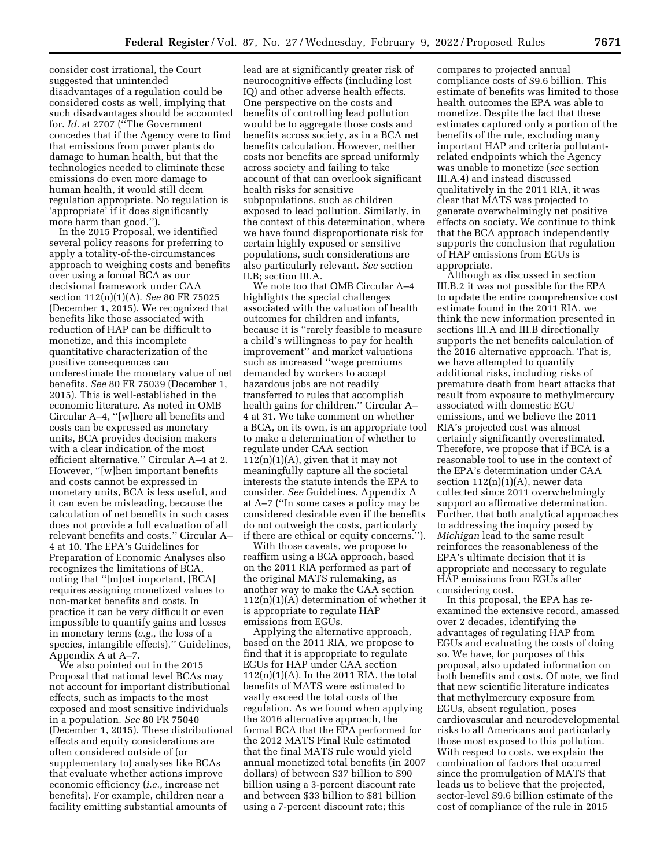consider cost irrational, the Court suggested that unintended disadvantages of a regulation could be considered costs as well, implying that such disadvantages should be accounted for. *Id.* at 2707 (''The Government concedes that if the Agency were to find that emissions from power plants do damage to human health, but that the technologies needed to eliminate these emissions do even more damage to human health, it would still deem regulation appropriate. No regulation is 'appropriate' if it does significantly more harm than good.'').

In the 2015 Proposal, we identified several policy reasons for preferring to apply a totality-of-the-circumstances approach to weighing costs and benefits over using a formal BCA as our decisional framework under CAA section 112(n)(1)(A). *See* 80 FR 75025 (December 1, 2015). We recognized that benefits like those associated with reduction of HAP can be difficult to monetize, and this incomplete quantitative characterization of the positive consequences can underestimate the monetary value of net benefits. *See* 80 FR 75039 (December 1, 2015). This is well-established in the economic literature. As noted in OMB Circular A–4, ''[w]here all benefits and costs can be expressed as monetary units, BCA provides decision makers with a clear indication of the most efficient alternative.'' Circular A–4 at 2. However, ''[w]hen important benefits and costs cannot be expressed in monetary units, BCA is less useful, and it can even be misleading, because the calculation of net benefits in such cases does not provide a full evaluation of all relevant benefits and costs.'' Circular A– 4 at 10. The EPA's Guidelines for Preparation of Economic Analyses also recognizes the limitations of BCA, noting that ''[m]ost important, [BCA] requires assigning monetized values to non-market benefits and costs. In practice it can be very difficult or even impossible to quantify gains and losses in monetary terms (*e.g.,* the loss of a species, intangible effects).'' Guidelines, Appendix A at A–7.

We also pointed out in the 2015 Proposal that national level BCAs may not account for important distributional effects, such as impacts to the most exposed and most sensitive individuals in a population. *See* 80 FR 75040 (December 1, 2015). These distributional effects and equity considerations are often considered outside of (or supplementary to) analyses like BCAs that evaluate whether actions improve economic efficiency (*i.e.,* increase net benefits). For example, children near a facility emitting substantial amounts of

lead are at significantly greater risk of neurocognitive effects (including lost IQ) and other adverse health effects. One perspective on the costs and benefits of controlling lead pollution would be to aggregate those costs and benefits across society, as in a BCA net benefits calculation. However, neither costs nor benefits are spread uniformly across society and failing to take account of that can overlook significant health risks for sensitive subpopulations, such as children exposed to lead pollution. Similarly, in the context of this determination, where we have found disproportionate risk for certain highly exposed or sensitive populations, such considerations are also particularly relevant. *See* section II.B; section III.A.

We note too that OMB Circular A–4 highlights the special challenges associated with the valuation of health outcomes for children and infants, because it is ''rarely feasible to measure a child's willingness to pay for health improvement'' and market valuations such as increased ''wage premiums demanded by workers to accept hazardous jobs are not readily transferred to rules that accomplish health gains for children.'' Circular A– 4 at 31. We take comment on whether a BCA, on its own, is an appropriate tool to make a determination of whether to regulate under CAA section  $112(n)(1)(A)$ , given that it may not meaningfully capture all the societal interests the statute intends the EPA to consider. *See* Guidelines, Appendix A at A–7 (''In some cases a policy may be considered desirable even if the benefits do not outweigh the costs, particularly if there are ethical or equity concerns.'').

With those caveats, we propose to reaffirm using a BCA approach, based on the 2011 RIA performed as part of the original MATS rulemaking, as another way to make the CAA section 112(n)(1)(A) determination of whether it is appropriate to regulate HAP emissions from EGUs.

Applying the alternative approach, based on the 2011 RIA, we propose to find that it is appropriate to regulate EGUs for HAP under CAA section  $112(n)(1)(A)$ . In the 2011 RIA, the total benefits of MATS were estimated to vastly exceed the total costs of the regulation. As we found when applying the 2016 alternative approach, the formal BCA that the EPA performed for the 2012 MATS Final Rule estimated that the final MATS rule would yield annual monetized total benefits (in 2007 dollars) of between \$37 billion to \$90 billion using a 3-percent discount rate and between \$33 billion to \$81 billion using a 7-percent discount rate; this

compares to projected annual compliance costs of \$9.6 billion. This estimate of benefits was limited to those health outcomes the EPA was able to monetize. Despite the fact that these estimates captured only a portion of the benefits of the rule, excluding many important HAP and criteria pollutantrelated endpoints which the Agency was unable to monetize (*see* section III.A.4) and instead discussed qualitatively in the 2011 RIA, it was clear that MATS was projected to generate overwhelmingly net positive effects on society. We continue to think that the BCA approach independently supports the conclusion that regulation of HAP emissions from EGUs is appropriate.

Although as discussed in section III.B.2 it was not possible for the EPA to update the entire comprehensive cost estimate found in the 2011 RIA, we think the new information presented in sections III.A and III.B directionally supports the net benefits calculation of the 2016 alternative approach. That is, we have attempted to quantify additional risks, including risks of premature death from heart attacks that result from exposure to methylmercury associated with domestic EGU emissions, and we believe the 2011 RIA's projected cost was almost certainly significantly overestimated. Therefore, we propose that if BCA is a reasonable tool to use in the context of the EPA's determination under CAA section 112(n)(1)(A), newer data collected since 2011 overwhelmingly support an affirmative determination. Further, that both analytical approaches to addressing the inquiry posed by *Michigan* lead to the same result reinforces the reasonableness of the EPA's ultimate decision that it is appropriate and necessary to regulate HAP emissions from EGUs after considering cost.

In this proposal, the EPA has reexamined the extensive record, amassed over 2 decades, identifying the advantages of regulating HAP from EGUs and evaluating the costs of doing so. We have, for purposes of this proposal, also updated information on both benefits and costs. Of note, we find that new scientific literature indicates that methylmercury exposure from EGUs, absent regulation, poses cardiovascular and neurodevelopmental risks to all Americans and particularly those most exposed to this pollution. With respect to costs, we explain the combination of factors that occurred since the promulgation of MATS that leads us to believe that the projected, sector-level \$9.6 billion estimate of the cost of compliance of the rule in 2015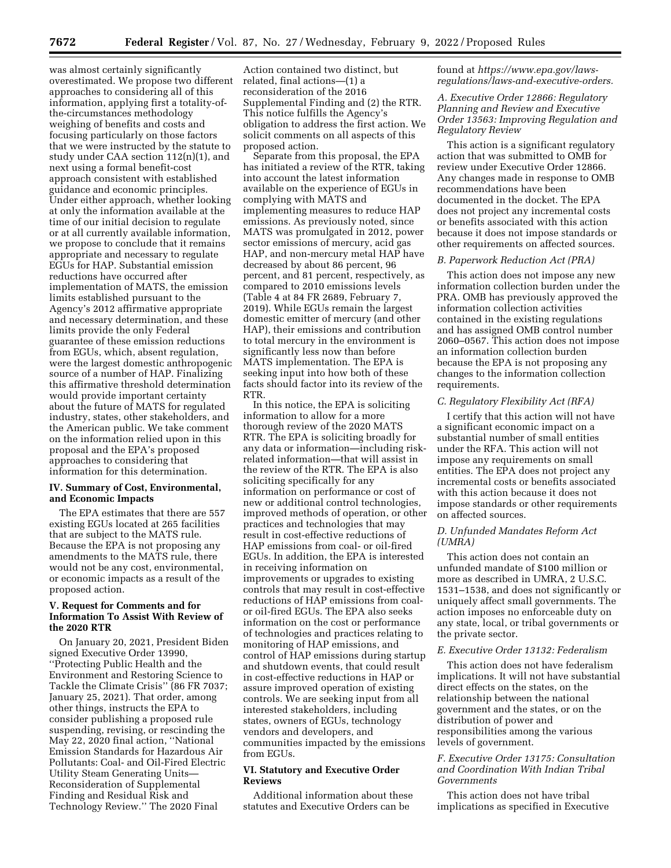was almost certainly significantly overestimated. We propose two different approaches to considering all of this information, applying first a totality-ofthe-circumstances methodology weighing of benefits and costs and focusing particularly on those factors that we were instructed by the statute to study under CAA section 112(n)(1), and next using a formal benefit-cost approach consistent with established guidance and economic principles. Under either approach, whether looking at only the information available at the time of our initial decision to regulate or at all currently available information, we propose to conclude that it remains appropriate and necessary to regulate EGUs for HAP. Substantial emission reductions have occurred after implementation of MATS, the emission limits established pursuant to the Agency's 2012 affirmative appropriate and necessary determination, and these limits provide the only Federal guarantee of these emission reductions from EGUs, which, absent regulation, were the largest domestic anthropogenic source of a number of HAP. Finalizing this affirmative threshold determination would provide important certainty about the future of MATS for regulated industry, states, other stakeholders, and the American public. We take comment on the information relied upon in this proposal and the EPA's proposed approaches to considering that information for this determination.

## **IV. Summary of Cost, Environmental, and Economic Impacts**

The EPA estimates that there are 557 existing EGUs located at 265 facilities that are subject to the MATS rule. Because the EPA is not proposing any amendments to the MATS rule, there would not be any cost, environmental, or economic impacts as a result of the proposed action.

### **V. Request for Comments and for Information To Assist With Review of the 2020 RTR**

On January 20, 2021, President Biden signed Executive Order 13990, ''Protecting Public Health and the Environment and Restoring Science to Tackle the Climate Crisis'' (86 FR 7037; January 25, 2021). That order, among other things, instructs the EPA to consider publishing a proposed rule suspending, revising, or rescinding the May 22, 2020 final action, ''National Emission Standards for Hazardous Air Pollutants: Coal- and Oil-Fired Electric Utility Steam Generating Units— Reconsideration of Supplemental Finding and Residual Risk and Technology Review.'' The 2020 Final

Action contained two distinct, but related, final actions—(1) a reconsideration of the 2016 Supplemental Finding and (2) the RTR. This notice fulfills the Agency's obligation to address the first action. We solicit comments on all aspects of this proposed action.

Separate from this proposal, the EPA has initiated a review of the RTR, taking into account the latest information available on the experience of EGUs in complying with MATS and implementing measures to reduce HAP emissions. As previously noted, since MATS was promulgated in 2012, power sector emissions of mercury, acid gas HAP, and non-mercury metal HAP have decreased by about 86 percent, 96 percent, and 81 percent, respectively, as compared to 2010 emissions levels (Table 4 at 84 FR 2689, February 7, 2019). While EGUs remain the largest domestic emitter of mercury (and other HAP), their emissions and contribution to total mercury in the environment is significantly less now than before MATS implementation. The EPA is seeking input into how both of these facts should factor into its review of the RTR.

In this notice, the EPA is soliciting information to allow for a more thorough review of the 2020 MATS RTR. The EPA is soliciting broadly for any data or information—including riskrelated information—that will assist in the review of the RTR. The EPA is also soliciting specifically for any information on performance or cost of new or additional control technologies, improved methods of operation, or other practices and technologies that may result in cost-effective reductions of HAP emissions from coal- or oil-fired EGUs. In addition, the EPA is interested in receiving information on improvements or upgrades to existing controls that may result in cost-effective reductions of HAP emissions from coalor oil-fired EGUs. The EPA also seeks information on the cost or performance of technologies and practices relating to monitoring of HAP emissions, and control of HAP emissions during startup and shutdown events, that could result in cost-effective reductions in HAP or assure improved operation of existing controls. We are seeking input from all interested stakeholders, including states, owners of EGUs, technology vendors and developers, and communities impacted by the emissions from EGUs.

# **VI. Statutory and Executive Order Reviews**

Additional information about these statutes and Executive Orders can be

found at *[https://www.epa.gov/laws](https://www.epa.gov/laws-regulations/laws-and-executive-orders)[regulations/laws-and-executive-orders.](https://www.epa.gov/laws-regulations/laws-and-executive-orders)* 

# *A. Executive Order 12866: Regulatory Planning and Review and Executive Order 13563: Improving Regulation and Regulatory Review*

This action is a significant regulatory action that was submitted to OMB for review under Executive Order 12866. Any changes made in response to OMB recommendations have been documented in the docket. The EPA does not project any incremental costs or benefits associated with this action because it does not impose standards or other requirements on affected sources.

#### *B. Paperwork Reduction Act (PRA)*

This action does not impose any new information collection burden under the PRA. OMB has previously approved the information collection activities contained in the existing regulations and has assigned OMB control number 2060–0567. This action does not impose an information collection burden because the EPA is not proposing any changes to the information collection requirements.

### *C. Regulatory Flexibility Act (RFA)*

I certify that this action will not have a significant economic impact on a substantial number of small entities under the RFA. This action will not impose any requirements on small entities. The EPA does not project any incremental costs or benefits associated with this action because it does not impose standards or other requirements on affected sources.

### *D. Unfunded Mandates Reform Act (UMRA)*

This action does not contain an unfunded mandate of \$100 million or more as described in UMRA, 2 U.S.C. 1531–1538, and does not significantly or uniquely affect small governments. The action imposes no enforceable duty on any state, local, or tribal governments or the private sector.

### *E. Executive Order 13132: Federalism*

This action does not have federalism implications. It will not have substantial direct effects on the states, on the relationship between the national government and the states, or on the distribution of power and responsibilities among the various levels of government.

# *F. Executive Order 13175: Consultation and Coordination With Indian Tribal Governments*

This action does not have tribal implications as specified in Executive